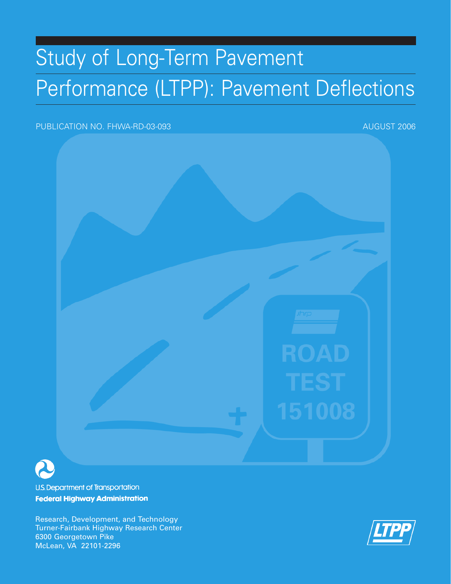# Study of Long-Term Pavement Performance (LTPP): Pavement Deflections

#### PUBLICATION NO. FHWA-RD-03-093 AUGUST 2006



**U.S. Department of Transportation Federal Highway Administration** 

Research, Development, and Technology Turner-Fairbank Highway Research Center 6300 Georgetown Pike McLean, VA 22101-2296

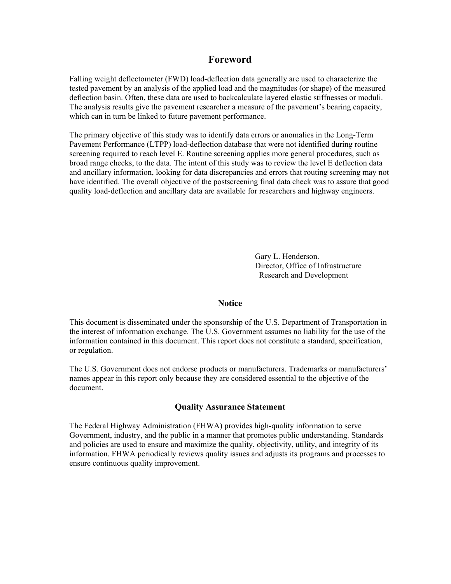#### **Foreword**

Falling weight deflectometer (FWD) load-deflection data generally are used to characterize the tested pavement by an analysis of the applied load and the magnitudes (or shape) of the measured deflection basin. Often, these data are used to backcalculate layered elastic stiffnesses or moduli. The analysis results give the pavement researcher a measure of the pavement's bearing capacity, which can in turn be linked to future pavement performance.

The primary objective of this study was to identify data errors or anomalies in the Long-Term Pavement Performance (LTPP) load-deflection database that were not identified during routine screening required to reach level E. Routine screening applies more general procedures, such as broad range checks, to the data. The intent of this study was to review the level E deflection data and ancillary information, looking for data discrepancies and errors that routing screening may not have identified. The overall objective of the postscreening final data check was to assure that good quality load-deflection and ancillary data are available for researchers and highway engineers.

> Gary L. Henderson. Director, Office of Infrastructure Research and Development

#### **Notice**

This document is disseminated under the sponsorship of the U.S. Department of Transportation in the interest of information exchange. The U.S. Government assumes no liability for the use of the information contained in this document. This report does not constitute a standard, specification, or regulation.

The U.S. Government does not endorse products or manufacturers. Trademarks or manufacturers' names appear in this report only because they are considered essential to the objective of the document.

#### **Quality Assurance Statement**

The Federal Highway Administration (FHWA) provides high-quality information to serve Government, industry, and the public in a manner that promotes public understanding. Standards and policies are used to ensure and maximize the quality, objectivity, utility, and integrity of its information. FHWA periodically reviews quality issues and adjusts its programs and processes to ensure continuous quality improvement.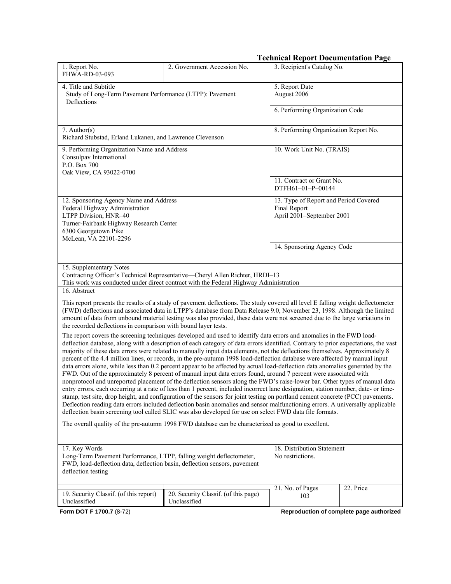| 3. Recipient's Catalog No.<br>1. Report No.<br>2. Government Accession No.<br>FHWA-RD-03-093<br>4. Title and Subtitle<br>5. Report Date<br>Study of Long-Term Pavement Performance (LTPP): Pavement<br>August 2006<br>Deflections<br>6. Performing Organization Code<br>$7.$ Author(s)<br>8. Performing Organization Report No.<br>Richard Stubstad, Erland Lukanen, and Lawrence Clevenson<br>9. Performing Organization Name and Address<br>10. Work Unit No. (TRAIS)<br>Consulpav International<br>P.O. Box 700<br>Oak View, CA 93022-0700<br>11. Contract or Grant No.<br>DTFH61-01-P-00144<br>12. Sponsoring Agency Name and Address<br>13. Type of Report and Period Covered<br>Federal Highway Administration<br>Final Report<br>April 2001-September 2001<br>LTPP Division, HNR-40<br>Turner-Fairbank Highway Research Center<br>6300 Georgetown Pike<br>McLean, VA 22101-2296<br>14. Sponsoring Agency Code<br>15. Supplementary Notes<br>Contracting Officer's Technical Representative-Cheryl Allen Richter, HRDI-13<br>This work was conducted under direct contract with the Federal Highway Administration<br>16. Abstract<br>This report presents the results of a study of pavement deflections. The study covered all level E falling weight deflectometer<br>(FWD) deflections and associated data in LTPP's database from Data Release 9.0, November 23, 1998. Although the limited<br>amount of data from unbound material testing was also provided, these data were not screened due to the large variations in<br>the recorded deflections in comparison with bound layer tests.<br>The report covers the screening techniques developed and used to identify data errors and anomalies in the FWD load-<br>deflection database, along with a description of each category of data errors identified. Contrary to prior expectations, the vast<br>majority of these data errors were related to manually input data elements, not the deflections themselves. Approximately 8<br>percent of the 4.4 million lines, or records, in the pre-autumn 1998 load-deflection database were affected by manual input<br>data errors alone, while less than 0.2 percent appear to be affected by actual load-deflection data anomalies generated by the<br>FWD. Out of the approximately 8 percent of manual input data errors found, around 7 percent were associated with<br>nonprotocol and unreported placement of the deflection sensors along the FWD's raise-lower bar. Other types of manual data<br>entry errors, each occurring at a rate of less than 1 percent, included incorrect lane designation, station number, date- or time-<br>stamp, test site, drop height, and configuration of the sensors for joint testing on portland cement concrete (PCC) pavements.<br>Deflection reading data errors included deflection basin anomalies and sensor malfunctioning errors. A universally applicable<br>deflection basin screening tool called SLIC was also developed for use on select FWD data file formats.<br>The overall quality of the pre-autumn 1998 FWD database can be characterized as good to excellent.<br>17. Key Words<br>18. Distribution Statement<br>Long-Term Pavement Performance, LTPP, falling weight deflectometer,<br>No restrictions.<br>FWD, load-deflection data, deflection basin, deflection sensors, pavement<br>deflection testing<br>21. No. of Pages<br>22. Price<br>19. Security Classif. (of this report)<br>20. Security Classif. (of this page)<br>103<br>Unclassified<br>Unclassified<br>Reproduction of complete page authorized |                          |  | <b>Technical Report Documentation Page</b> |  |
|------------------------------------------------------------------------------------------------------------------------------------------------------------------------------------------------------------------------------------------------------------------------------------------------------------------------------------------------------------------------------------------------------------------------------------------------------------------------------------------------------------------------------------------------------------------------------------------------------------------------------------------------------------------------------------------------------------------------------------------------------------------------------------------------------------------------------------------------------------------------------------------------------------------------------------------------------------------------------------------------------------------------------------------------------------------------------------------------------------------------------------------------------------------------------------------------------------------------------------------------------------------------------------------------------------------------------------------------------------------------------------------------------------------------------------------------------------------------------------------------------------------------------------------------------------------------------------------------------------------------------------------------------------------------------------------------------------------------------------------------------------------------------------------------------------------------------------------------------------------------------------------------------------------------------------------------------------------------------------------------------------------------------------------------------------------------------------------------------------------------------------------------------------------------------------------------------------------------------------------------------------------------------------------------------------------------------------------------------------------------------------------------------------------------------------------------------------------------------------------------------------------------------------------------------------------------------------------------------------------------------------------------------------------------------------------------------------------------------------------------------------------------------------------------------------------------------------------------------------------------------------------------------------------------------------------------------------------------------------------------------------------------------------------------------------------------------------------------------------------------------------------------------------------------------------------------------------------------------------------------------------------------------------------------------------------------------------------------------------------------------------------------------------------------------------------------------------------------------------------------------------------------------------------------------------------------------------------------------|--------------------------|--|--------------------------------------------|--|
|                                                                                                                                                                                                                                                                                                                                                                                                                                                                                                                                                                                                                                                                                                                                                                                                                                                                                                                                                                                                                                                                                                                                                                                                                                                                                                                                                                                                                                                                                                                                                                                                                                                                                                                                                                                                                                                                                                                                                                                                                                                                                                                                                                                                                                                                                                                                                                                                                                                                                                                                                                                                                                                                                                                                                                                                                                                                                                                                                                                                                                                                                                                                                                                                                                                                                                                                                                                                                                                                                                                                                                                                      |                          |  |                                            |  |
|                                                                                                                                                                                                                                                                                                                                                                                                                                                                                                                                                                                                                                                                                                                                                                                                                                                                                                                                                                                                                                                                                                                                                                                                                                                                                                                                                                                                                                                                                                                                                                                                                                                                                                                                                                                                                                                                                                                                                                                                                                                                                                                                                                                                                                                                                                                                                                                                                                                                                                                                                                                                                                                                                                                                                                                                                                                                                                                                                                                                                                                                                                                                                                                                                                                                                                                                                                                                                                                                                                                                                                                                      |                          |  |                                            |  |
|                                                                                                                                                                                                                                                                                                                                                                                                                                                                                                                                                                                                                                                                                                                                                                                                                                                                                                                                                                                                                                                                                                                                                                                                                                                                                                                                                                                                                                                                                                                                                                                                                                                                                                                                                                                                                                                                                                                                                                                                                                                                                                                                                                                                                                                                                                                                                                                                                                                                                                                                                                                                                                                                                                                                                                                                                                                                                                                                                                                                                                                                                                                                                                                                                                                                                                                                                                                                                                                                                                                                                                                                      |                          |  |                                            |  |
|                                                                                                                                                                                                                                                                                                                                                                                                                                                                                                                                                                                                                                                                                                                                                                                                                                                                                                                                                                                                                                                                                                                                                                                                                                                                                                                                                                                                                                                                                                                                                                                                                                                                                                                                                                                                                                                                                                                                                                                                                                                                                                                                                                                                                                                                                                                                                                                                                                                                                                                                                                                                                                                                                                                                                                                                                                                                                                                                                                                                                                                                                                                                                                                                                                                                                                                                                                                                                                                                                                                                                                                                      |                          |  |                                            |  |
|                                                                                                                                                                                                                                                                                                                                                                                                                                                                                                                                                                                                                                                                                                                                                                                                                                                                                                                                                                                                                                                                                                                                                                                                                                                                                                                                                                                                                                                                                                                                                                                                                                                                                                                                                                                                                                                                                                                                                                                                                                                                                                                                                                                                                                                                                                                                                                                                                                                                                                                                                                                                                                                                                                                                                                                                                                                                                                                                                                                                                                                                                                                                                                                                                                                                                                                                                                                                                                                                                                                                                                                                      |                          |  |                                            |  |
|                                                                                                                                                                                                                                                                                                                                                                                                                                                                                                                                                                                                                                                                                                                                                                                                                                                                                                                                                                                                                                                                                                                                                                                                                                                                                                                                                                                                                                                                                                                                                                                                                                                                                                                                                                                                                                                                                                                                                                                                                                                                                                                                                                                                                                                                                                                                                                                                                                                                                                                                                                                                                                                                                                                                                                                                                                                                                                                                                                                                                                                                                                                                                                                                                                                                                                                                                                                                                                                                                                                                                                                                      |                          |  |                                            |  |
|                                                                                                                                                                                                                                                                                                                                                                                                                                                                                                                                                                                                                                                                                                                                                                                                                                                                                                                                                                                                                                                                                                                                                                                                                                                                                                                                                                                                                                                                                                                                                                                                                                                                                                                                                                                                                                                                                                                                                                                                                                                                                                                                                                                                                                                                                                                                                                                                                                                                                                                                                                                                                                                                                                                                                                                                                                                                                                                                                                                                                                                                                                                                                                                                                                                                                                                                                                                                                                                                                                                                                                                                      |                          |  |                                            |  |
|                                                                                                                                                                                                                                                                                                                                                                                                                                                                                                                                                                                                                                                                                                                                                                                                                                                                                                                                                                                                                                                                                                                                                                                                                                                                                                                                                                                                                                                                                                                                                                                                                                                                                                                                                                                                                                                                                                                                                                                                                                                                                                                                                                                                                                                                                                                                                                                                                                                                                                                                                                                                                                                                                                                                                                                                                                                                                                                                                                                                                                                                                                                                                                                                                                                                                                                                                                                                                                                                                                                                                                                                      |                          |  |                                            |  |
|                                                                                                                                                                                                                                                                                                                                                                                                                                                                                                                                                                                                                                                                                                                                                                                                                                                                                                                                                                                                                                                                                                                                                                                                                                                                                                                                                                                                                                                                                                                                                                                                                                                                                                                                                                                                                                                                                                                                                                                                                                                                                                                                                                                                                                                                                                                                                                                                                                                                                                                                                                                                                                                                                                                                                                                                                                                                                                                                                                                                                                                                                                                                                                                                                                                                                                                                                                                                                                                                                                                                                                                                      |                          |  |                                            |  |
|                                                                                                                                                                                                                                                                                                                                                                                                                                                                                                                                                                                                                                                                                                                                                                                                                                                                                                                                                                                                                                                                                                                                                                                                                                                                                                                                                                                                                                                                                                                                                                                                                                                                                                                                                                                                                                                                                                                                                                                                                                                                                                                                                                                                                                                                                                                                                                                                                                                                                                                                                                                                                                                                                                                                                                                                                                                                                                                                                                                                                                                                                                                                                                                                                                                                                                                                                                                                                                                                                                                                                                                                      |                          |  |                                            |  |
|                                                                                                                                                                                                                                                                                                                                                                                                                                                                                                                                                                                                                                                                                                                                                                                                                                                                                                                                                                                                                                                                                                                                                                                                                                                                                                                                                                                                                                                                                                                                                                                                                                                                                                                                                                                                                                                                                                                                                                                                                                                                                                                                                                                                                                                                                                                                                                                                                                                                                                                                                                                                                                                                                                                                                                                                                                                                                                                                                                                                                                                                                                                                                                                                                                                                                                                                                                                                                                                                                                                                                                                                      |                          |  |                                            |  |
|                                                                                                                                                                                                                                                                                                                                                                                                                                                                                                                                                                                                                                                                                                                                                                                                                                                                                                                                                                                                                                                                                                                                                                                                                                                                                                                                                                                                                                                                                                                                                                                                                                                                                                                                                                                                                                                                                                                                                                                                                                                                                                                                                                                                                                                                                                                                                                                                                                                                                                                                                                                                                                                                                                                                                                                                                                                                                                                                                                                                                                                                                                                                                                                                                                                                                                                                                                                                                                                                                                                                                                                                      | Form DOT F 1700.7 (8-72) |  |                                            |  |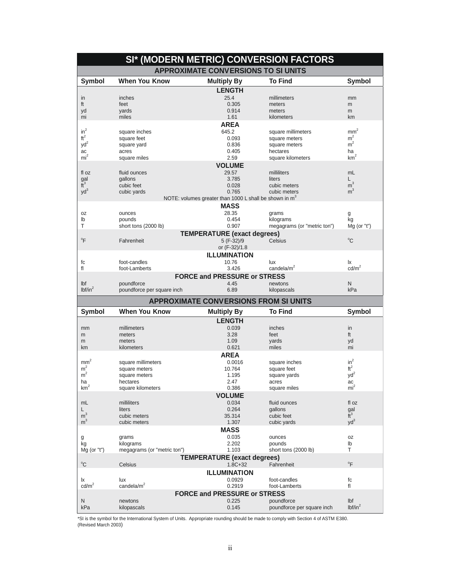|                       |                             | SI* (MODERN METRIC) CONVERSION FACTORS                   |                                          |                            |  |  |  |
|-----------------------|-----------------------------|----------------------------------------------------------|------------------------------------------|----------------------------|--|--|--|
|                       |                             | <b>APPROXIMATE CONVERSIONS TO SI UNITS</b>               |                                          |                            |  |  |  |
| <b>Symbol</b>         | <b>When You Know</b>        | <b>Multiply By</b>                                       | <b>To Find</b>                           | <b>Symbol</b>              |  |  |  |
|                       |                             | <b>LENGTH</b>                                            |                                          |                            |  |  |  |
| in                    | inches                      | 25.4                                                     | millimeters                              | mm                         |  |  |  |
| ft                    | feet                        | 0.305                                                    | meters                                   | m                          |  |  |  |
| yd                    | yards                       | 0.914                                                    | meters                                   | m                          |  |  |  |
| mi                    | miles                       | 1.61                                                     | kilometers                               | km                         |  |  |  |
|                       |                             | <b>AREA</b>                                              |                                          |                            |  |  |  |
| $in^2$                | square inches               | 645.2                                                    | square millimeters                       | mm <sup>2</sup>            |  |  |  |
| $\text{ft}^2$         | square feet                 | 0.093                                                    | square meters                            | m <sup>2</sup>             |  |  |  |
| $yd^2$                | square yard                 | 0.836                                                    | square meters                            | m <sup>2</sup>             |  |  |  |
| ac                    | acres                       | 0.405                                                    | hectares                                 | ha                         |  |  |  |
| mi <sup>2</sup>       | square miles                | 2.59                                                     | square kilometers                        | $\mbox{km}^2$              |  |  |  |
|                       |                             | <b>VOLUME</b>                                            |                                          |                            |  |  |  |
| fl oz                 | fluid ounces                | 29.57                                                    | milliliters                              | mL                         |  |  |  |
|                       | gallons                     | 3.785                                                    | liters                                   | L.                         |  |  |  |
| $\frac{gal}{ft^3}$    | cubic feet                  | 0.028                                                    | cubic meters                             | $\overline{m}^3$           |  |  |  |
| $yd^3$                | cubic yards                 | 0.765                                                    | cubic meters                             | m <sup>3</sup>             |  |  |  |
|                       |                             | NOTE: volumes greater than 1000 L shall be shown in $m3$ |                                          |                            |  |  |  |
|                       |                             | <b>MASS</b>                                              |                                          |                            |  |  |  |
| 0Z                    | ounces                      | 28.35                                                    | grams                                    | g                          |  |  |  |
| lb                    | pounds                      | 0.454                                                    | kilograms                                | kg                         |  |  |  |
| т                     | short tons (2000 lb)        | 0.907                                                    | megagrams (or "metric ton")              | $Mg$ (or "t")              |  |  |  |
|                       |                             | <b>TEMPERATURE (exact degrees)</b>                       |                                          |                            |  |  |  |
| $\mathrm{P}$          | Fahrenheit                  | 5 (F-32)/9                                               | <b>Celsius</b>                           | $^{\circ}$ C               |  |  |  |
|                       |                             | or (F-32)/1.8                                            |                                          |                            |  |  |  |
|                       |                             | <b>ILLUMINATION</b>                                      |                                          |                            |  |  |  |
|                       |                             |                                                          |                                          |                            |  |  |  |
| fc                    | foot-candles                | 10.76                                                    | lux<br>candela/ $m2$                     | Ιx<br>$\text{cd/m}^2$      |  |  |  |
| fl                    | foot-Lamberts               | 3.426                                                    |                                          |                            |  |  |  |
|                       |                             | <b>FORCE and PRESSURE or STRESS</b>                      |                                          |                            |  |  |  |
| Ibf                   | poundforce                  | 4.45                                                     | newtons                                  | N                          |  |  |  |
| lbf/in <sup>2</sup>   | poundforce per square inch  | 6.89                                                     | kilopascals                              | kPa                        |  |  |  |
|                       |                             |                                                          |                                          |                            |  |  |  |
|                       |                             | <b>APPROXIMATE CONVERSIONS FROM SI UNITS</b>             |                                          |                            |  |  |  |
| <b>Symbol</b>         | <b>When You Know</b>        |                                                          | <b>To Find</b>                           | <b>Symbol</b>              |  |  |  |
|                       |                             | <b>Multiply By</b>                                       |                                          |                            |  |  |  |
|                       |                             | <b>LENGTH</b>                                            |                                          |                            |  |  |  |
| mm                    | millimeters                 | 0.039                                                    | inches                                   | in                         |  |  |  |
| m                     | meters<br>meters            | 3.28                                                     | feet                                     | ft                         |  |  |  |
| m<br>km               | kilometers                  | 1.09<br>0.621                                            | yards<br>miles                           | yd<br>mi                   |  |  |  |
|                       |                             |                                                          |                                          |                            |  |  |  |
|                       |                             | <b>AREA</b>                                              |                                          |                            |  |  |  |
| mm <sup>2</sup>       | square millimeters          | 0.0016                                                   | square inches                            | $in^2$                     |  |  |  |
| m <sup>2</sup>        | square meters               | 10.764                                                   | square feet                              | $\mbox{ft}^2$              |  |  |  |
| m <sup>2</sup>        | square meters               | 1.195                                                    | square yards                             | yd <sup>2</sup>            |  |  |  |
| ha<br>km <sup>2</sup> | hectares                    | 2.47                                                     | acres                                    | ac                         |  |  |  |
|                       | square kilometers           | 0.386                                                    | square miles                             | mi <sup>-</sup>            |  |  |  |
|                       |                             | <b>VOLUME</b>                                            |                                          |                            |  |  |  |
| mL                    | milliliters                 | 0.034                                                    | fluid ounces                             | fl oz                      |  |  |  |
| L                     | liters                      | 0.264                                                    | gallons                                  | gal                        |  |  |  |
| m <sup>3</sup>        | cubic meters                | 35.314                                                   | cubic feet                               | $\tilde{t}^3$              |  |  |  |
| m <sup>3</sup>        | cubic meters                | 1.307                                                    | cubic yards                              | $yd^3$                     |  |  |  |
|                       |                             | <b>MASS</b>                                              |                                          |                            |  |  |  |
| g                     | grams                       | 0.035                                                    | ounces                                   | 0Z                         |  |  |  |
| kg                    | kilograms                   | 2.202                                                    | pounds                                   | lb                         |  |  |  |
| $Mg$ (or "t")         | megagrams (or "metric ton") | 1.103                                                    | short tons (2000 lb)                     | T                          |  |  |  |
|                       |                             | <b>TEMPERATURE (exact degrees)</b>                       |                                          |                            |  |  |  |
| $^{\circ}C$           | Celsius                     | $1.8C + 32$                                              | Fahrenheit                               | $\mathrm{P}^{\circ}$       |  |  |  |
|                       |                             | <b>ILLUMINATION</b>                                      |                                          |                            |  |  |  |
| Ιx                    | lux                         | 0.0929                                                   | foot-candles                             | fc                         |  |  |  |
| $\text{cd/m}^2$       | candela/m <sup>2</sup>      | 0.2919                                                   | foot-Lamberts                            | fl                         |  |  |  |
|                       |                             | <b>FORCE and PRESSURE or STRESS</b>                      |                                          |                            |  |  |  |
| N<br>kPa              | newtons<br>kilopascals      | 0.225<br>0.145                                           | poundforce<br>poundforce per square inch | Ibf<br>lbf/in <sup>2</sup> |  |  |  |

\*SI is the symbol for the International System of Units. Appropriate rounding should be made to comply with Section 4 of ASTM E380.<br>(Revised March 2003)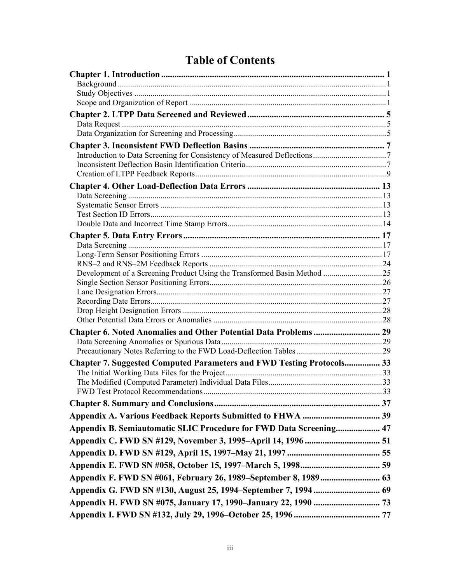# **Table of Contents**

| Chapter 6. Noted Anomalies and Other Potential Data Problems  29             |  |
|------------------------------------------------------------------------------|--|
|                                                                              |  |
|                                                                              |  |
| <b>Chapter 7. Suggested Computed Parameters and FWD Testing Protocols 33</b> |  |
|                                                                              |  |
|                                                                              |  |
|                                                                              |  |
|                                                                              |  |
|                                                                              |  |
| Appendix B. Semiautomatic SLIC Procedure for FWD Data Screening 47           |  |
|                                                                              |  |
|                                                                              |  |
|                                                                              |  |
|                                                                              |  |
|                                                                              |  |
|                                                                              |  |
|                                                                              |  |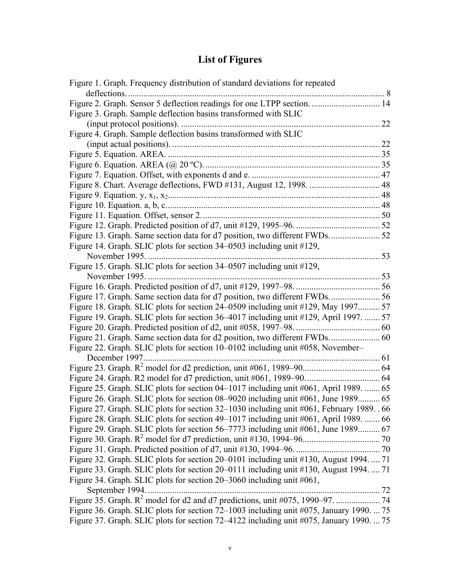## **List of Figures**

| Figure 1. Graph. Frequency distribution of standard deviations for repeated                                                  |     |
|------------------------------------------------------------------------------------------------------------------------------|-----|
| deflections                                                                                                                  |     |
| Figure 2. Graph. Sensor 5 deflection readings for one LTPP section 14                                                        |     |
| Figure 3. Graph. Sample deflection basins transformed with SLIC                                                              |     |
|                                                                                                                              | .22 |
| Figure 4. Graph. Sample deflection basins transformed with SLIC                                                              |     |
|                                                                                                                              |     |
|                                                                                                                              |     |
|                                                                                                                              |     |
|                                                                                                                              |     |
| Figure 8. Chart. Average deflections, FWD #131, August 12, 1998.  48                                                         |     |
| Figure 9. Equation. y, $x_1, x_2, \ldots, x_n, \ldots, x_n, \ldots, x_n, \ldots, x_n, \ldots, x_n, \ldots, x_1, \ldots, x_n$ |     |
|                                                                                                                              |     |
|                                                                                                                              |     |
|                                                                                                                              |     |
| Figure 13. Graph. Same section data for d7 position, two different FWDs.  52                                                 |     |
| Figure 14. Graph. SLIC plots for section 34–0503 including unit #129,                                                        |     |
|                                                                                                                              |     |
| Figure 15. Graph. SLIC plots for section 34-0507 including unit #129,                                                        |     |
| November 1995.                                                                                                               |     |
|                                                                                                                              |     |
|                                                                                                                              |     |
| Figure 18. Graph. SLIC plots for section 24–0509 including unit #129, May 1997 57                                            |     |
| Figure 19. Graph. SLIC plots for section 36–4017 including unit #129, April 1997.  57                                        |     |
|                                                                                                                              |     |
|                                                                                                                              |     |
| Figure 22. Graph. SLIC plots for section 10–0102 including unit #058, November–                                              |     |
|                                                                                                                              |     |
|                                                                                                                              |     |
|                                                                                                                              |     |
| Figure 25. Graph. SLIC plots for section 04–1017 including unit #061, April 1989.  65                                        |     |
| Figure 26. Graph. SLIC plots for section 08–9020 including unit #061, June 1989 65                                           |     |
| Figure 27. Graph. SLIC plots for section 32-1030 including unit #061, February 1989. . 66                                    |     |
| Figure 28. Graph. SLIC plots for section 49–1017 including unit #061, April 1989.  66                                        |     |
| Figure 29. Graph. SLIC plots for section 56–7773 including unit #061, June 1989 67                                           |     |
|                                                                                                                              |     |
|                                                                                                                              |     |
| Figure 32. Graph. SLIC plots for section 20–0101 including unit #130, August 1994.  71                                       |     |
| Figure 33. Graph. SLIC plots for section 20–0111 including unit #130, August 1994.  71                                       |     |
| Figure 34. Graph. SLIC plots for section 20–3060 including unit #061,                                                        |     |
| September 1994                                                                                                               |     |
|                                                                                                                              |     |
| Figure 36. Graph. SLIC plots for section 72–1003 including unit #075, January 1990.  75                                      |     |
| Figure 37. Graph. SLIC plots for section 72-4122 including unit #075, January 1990.  75                                      |     |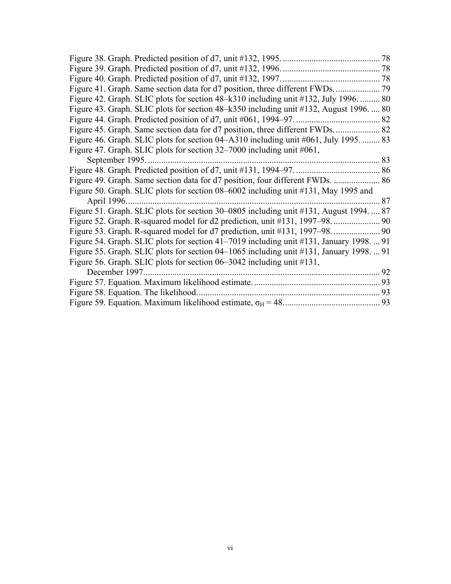| Figure 42. Graph. SLIC plots for section 48–k310 including unit #132, July 1996.  80    |    |
|-----------------------------------------------------------------------------------------|----|
| Figure 43. Graph. SLIC plots for section 48–k350 including unit #132, August 1996.  80  |    |
|                                                                                         |    |
|                                                                                         |    |
| Figure 46. Graph. SLIC plots for section 04–A310 including unit #061, July 1995.  83    |    |
| Figure 47. Graph. SLIC plots for section 32–7000 including unit #061,                   |    |
| September 1995                                                                          |    |
|                                                                                         |    |
|                                                                                         |    |
| Figure 50. Graph. SLIC plots for section 08–6002 including unit #131, May 1995 and      |    |
| April 1996                                                                              | 87 |
| Figure 51. Graph. SLIC plots for section 30–0805 including unit #131, August 1994.  87  |    |
|                                                                                         |    |
|                                                                                         |    |
| Figure 54. Graph. SLIC plots for section 41–7019 including unit #131, January 1998.  91 |    |
| Figure 55. Graph. SLIC plots for section 04–1065 including unit #131, January 1998.  91 |    |
| Figure 56. Graph. SLIC plots for section 06–3042 including unit #131,                   |    |
|                                                                                         |    |
|                                                                                         |    |
| Figure 58. Equation. The likelihood.                                                    |    |
|                                                                                         |    |
|                                                                                         |    |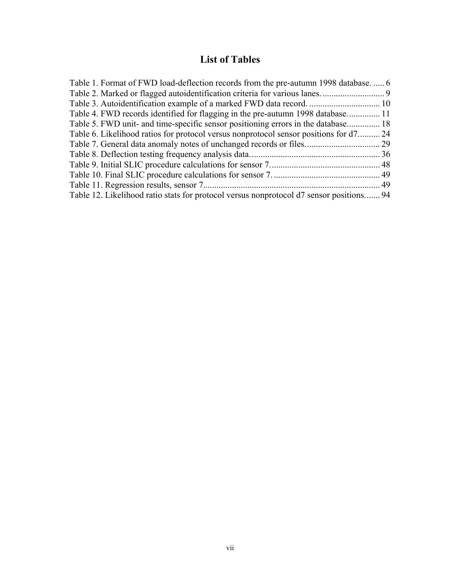## **List of Tables**

| Table 1. Format of FWD load-deflection records from the pre-autumn 1998 database 6      |  |
|-----------------------------------------------------------------------------------------|--|
|                                                                                         |  |
| Table 3. Autoidentification example of a marked FWD data record.  10                    |  |
| Table 4. FWD records identified for flagging in the pre-autumn 1998 database 11         |  |
| Table 5. FWD unit- and time-specific sensor positioning errors in the database 18       |  |
| Table 6. Likelihood ratios for protocol versus nonprotocol sensor positions for d7 24   |  |
|                                                                                         |  |
|                                                                                         |  |
|                                                                                         |  |
|                                                                                         |  |
|                                                                                         |  |
| Table 12. Likelihood ratio stats for protocol versus nonprotocol d7 sensor positions 94 |  |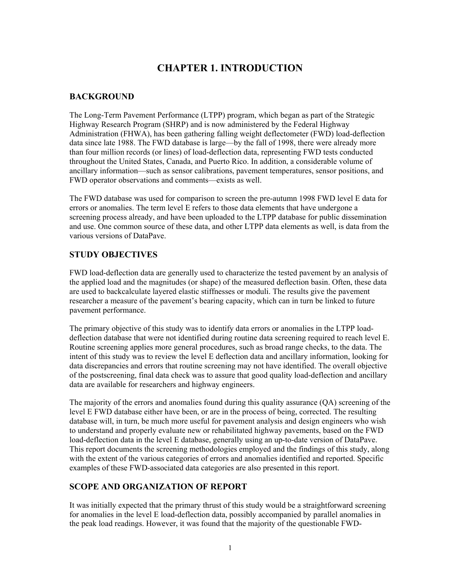## **CHAPTER 1. INTRODUCTION**

#### **BACKGROUND**

The Long-Term Pavement Performance (LTPP) program, which began as part of the Strategic Highway Research Program (SHRP) and is now administered by the Federal Highway Administration (FHWA), has been gathering falling weight deflectometer (FWD) load-deflection data since late 1988. The FWD database is large—by the fall of 1998, there were already more than four million records (or lines) of load-deflection data, representing FWD tests conducted throughout the United States, Canada, and Puerto Rico. In addition, a considerable volume of ancillary information—such as sensor calibrations, pavement temperatures, sensor positions, and FWD operator observations and comments—exists as well.

The FWD database was used for comparison to screen the pre-autumn 1998 FWD level E data for errors or anomalies. The term level E refers to those data elements that have undergone a screening process already, and have been uploaded to the LTPP database for public dissemination and use. One common source of these data, and other LTPP data elements as well, is data from the various versions of DataPave.

#### **STUDY OBJECTIVES**

FWD load-deflection data are generally used to characterize the tested pavement by an analysis of the applied load and the magnitudes (or shape) of the measured deflection basin. Often, these data are used to backcalculate layered elastic stiffnesses or moduli. The results give the pavement researcher a measure of the pavement's bearing capacity, which can in turn be linked to future pavement performance.

The primary objective of this study was to identify data errors or anomalies in the LTPP loaddeflection database that were not identified during routine data screening required to reach level E. Routine screening applies more general procedures, such as broad range checks, to the data. The intent of this study was to review the level E deflection data and ancillary information, looking for data discrepancies and errors that routine screening may not have identified. The overall objective of the postscreening, final data check was to assure that good quality load-deflection and ancillary data are available for researchers and highway engineers.

The majority of the errors and anomalies found during this quality assurance (QA) screening of the level E FWD database either have been, or are in the process of being, corrected. The resulting database will, in turn, be much more useful for pavement analysis and design engineers who wish to understand and properly evaluate new or rehabilitated highway pavements, based on the FWD load-deflection data in the level E database, generally using an up-to-date version of DataPave. This report documents the screening methodologies employed and the findings of this study, along with the extent of the various categories of errors and anomalies identified and reported. Specific examples of these FWD-associated data categories are also presented in this report.

#### **SCOPE AND ORGANIZATION OF REPORT**

It was initially expected that the primary thrust of this study would be a straightforward screening for anomalies in the level E load-deflection data, possibly accompanied by parallel anomalies in the peak load readings. However, it was found that the majority of the questionable FWD-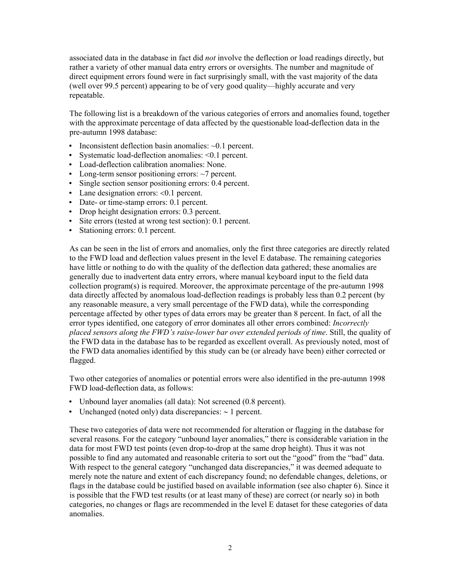associated data in the database in fact did *not* involve the deflection or load readings directly, but rather a variety of other manual data entry errors or oversights. The number and magnitude of direct equipment errors found were in fact surprisingly small, with the vast majority of the data (well over 99.5 percent) appearing to be of very good quality—highly accurate and very repeatable.

The following list is a breakdown of the various categories of errors and anomalies found, together with the approximate percentage of data affected by the questionable load-deflection data in the pre-autumn 1998 database:

- Inconsistent deflection basin anomalies:  $\sim 0.1$  percent.
- Systematic load-deflection anomalies:  $\leq 0.1$  percent.
- Load-deflection calibration anomalies: None.
- Long-term sensor positioning errors:  $\sim$ 7 percent.
- Single section sensor positioning errors: 0.4 percent.
- Lane designation errors:  $< 0.1$  percent.
- Date- or time-stamp errors: 0.1 percent.
- Drop height designation errors: 0.3 percent.
- y Site errors (tested at wrong test section): 0.1 percent.
- Stationing errors: 0.1 percent.

As can be seen in the list of errors and anomalies, only the first three categories are directly related to the FWD load and deflection values present in the level E database. The remaining categories have little or nothing to do with the quality of the deflection data gathered; these anomalies are generally due to inadvertent data entry errors, where manual keyboard input to the field data collection program(s) is required. Moreover, the approximate percentage of the pre-autumn 1998 data directly affected by anomalous load-deflection readings is probably less than 0.2 percent (by any reasonable measure, a very small percentage of the FWD data), while the corresponding percentage affected by other types of data errors may be greater than 8 percent. In fact, of all the error types identified, one category of error dominates all other errors combined: *Incorrectly placed sensors along the FWD's raise-lower bar over extended periods of time*. Still, the quality of the FWD data in the database has to be regarded as excellent overall. As previously noted, most of the FWD data anomalies identified by this study can be (or already have been) either corrected or flagged.

Two other categories of anomalies or potential errors were also identified in the pre-autumn 1998 FWD load-deflection data, as follows:

- Unbound layer anomalies (all data): Not screened (0.8 percent).
- y Unchanged (noted only) data discrepancies: ∼ 1 percent.

These two categories of data were not recommended for alteration or flagging in the database for several reasons. For the category "unbound layer anomalies," there is considerable variation in the data for most FWD test points (even drop-to-drop at the same drop height). Thus it was not possible to find any automated and reasonable criteria to sort out the "good" from the "bad" data. With respect to the general category "unchanged data discrepancies," it was deemed adequate to merely note the nature and extent of each discrepancy found; no defendable changes, deletions, or flags in the database could be justified based on available information (see also chapter 6). Since it is possible that the FWD test results (or at least many of these) are correct (or nearly so) in both categories, no changes or flags are recommended in the level E dataset for these categories of data anomalies.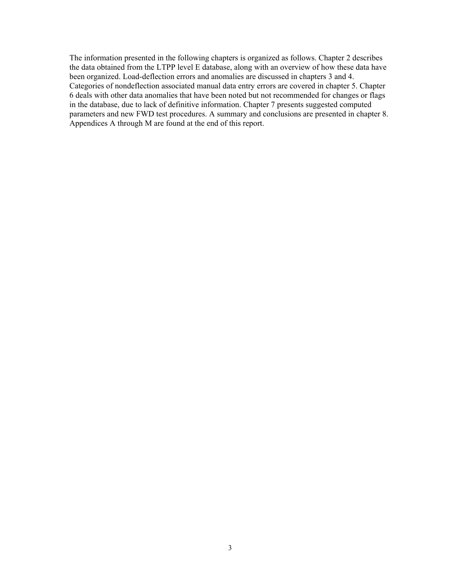The information presented in the following chapters is organized as follows. Chapter 2 describes the data obtained from the LTPP level E database, along with an overview of how these data have been organized. Load-deflection errors and anomalies are discussed in chapters 3 and 4. Categories of nondeflection associated manual data entry errors are covered in chapter 5. Chapter 6 deals with other data anomalies that have been noted but not recommended for changes or flags in the database, due to lack of definitive information. Chapter 7 presents suggested computed parameters and new FWD test procedures. A summary and conclusions are presented in chapter 8. Appendices A through M are found at the end of this report.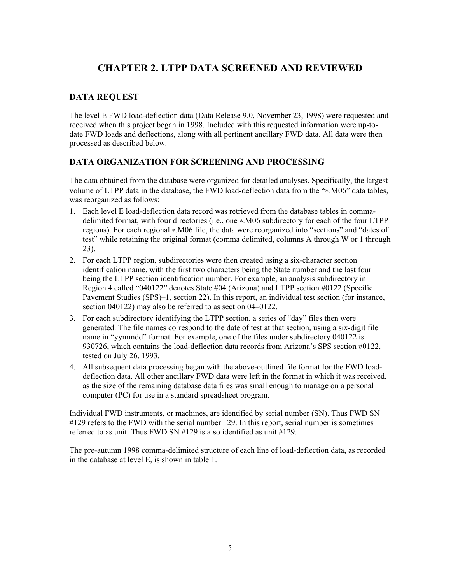## **CHAPTER 2. LTPP DATA SCREENED AND REVIEWED**

#### **DATA REQUEST**

The level E FWD load-deflection data (Data Release 9.0, November 23, 1998) were requested and received when this project began in 1998. Included with this requested information were up-todate FWD loads and deflections, along with all pertinent ancillary FWD data. All data were then processed as described below.

#### **DATA ORGANIZATION FOR SCREENING AND PROCESSING**

The data obtained from the database were organized for detailed analyses. Specifically, the largest volume of LTPP data in the database, the FWD load-deflection data from the "∗.M06" data tables, was reorganized as follows:

- 1. Each level E load-deflection data record was retrieved from the database tables in commadelimited format, with four directories (i.e., one ∗.M06 subdirectory for each of the four LTPP regions). For each regional ∗.M06 file, the data were reorganized into "sections" and "dates of test" while retaining the original format (comma delimited, columns A through W or 1 through 23).
- 2. For each LTPP region, subdirectories were then created using a six-character section identification name, with the first two characters being the State number and the last four being the LTPP section identification number. For example, an analysis subdirectory in Region 4 called "040122" denotes State #04 (Arizona) and LTPP section #0122 (Specific Pavement Studies (SPS)–1, section 22). In this report, an individual test section (for instance, section 040122) may also be referred to as section 04–0122.
- 3. For each subdirectory identifying the LTPP section, a series of "day" files then were generated. The file names correspond to the date of test at that section, using a six-digit file name in "yymmdd" format. For example, one of the files under subdirectory 040122 is 930726, which contains the load-deflection data records from Arizona's SPS section #0122, tested on July 26, 1993.
- 4. All subsequent data processing began with the above-outlined file format for the FWD loaddeflection data. All other ancillary FWD data were left in the format in which it was received, as the size of the remaining database data files was small enough to manage on a personal computer (PC) for use in a standard spreadsheet program.

Individual FWD instruments, or machines, are identified by serial number (SN). Thus FWD SN #129 refers to the FWD with the serial number 129. In this report, serial number is sometimes referred to as unit. Thus FWD SN #129 is also identified as unit #129.

The pre-autumn 1998 comma-delimited structure of each line of load-deflection data, as recorded in the database at level E, is shown in table 1.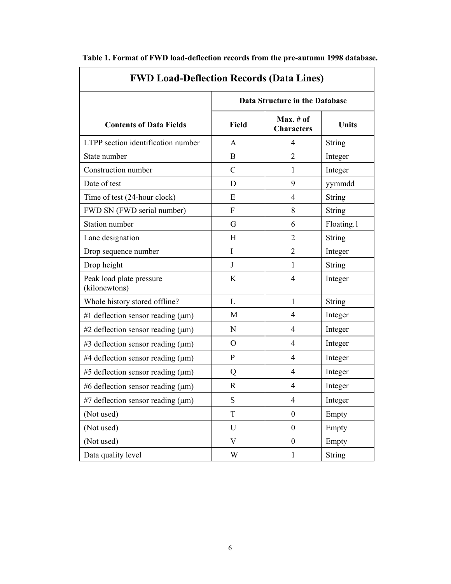| <b>FWD Load-Deflection Records (Data Lines)</b> |               |                                   |               |  |  |
|-------------------------------------------------|---------------|-----------------------------------|---------------|--|--|
|                                                 |               | Data Structure in the Database    |               |  |  |
| <b>Contents of Data Fields</b>                  | <b>Field</b>  | $Max. \# of$<br><b>Characters</b> | <b>Units</b>  |  |  |
| LTPP section identification number              | A             | 4                                 | String        |  |  |
| State number                                    | <sub>B</sub>  | $\overline{2}$                    | Integer       |  |  |
| Construction number                             | $\mathcal{C}$ | 1                                 | Integer       |  |  |
| Date of test                                    | D             | 9                                 | yymmdd        |  |  |
| Time of test (24-hour clock)                    | E             | 4                                 | <b>String</b> |  |  |
| FWD SN (FWD serial number)                      | F             | 8                                 | <b>String</b> |  |  |
| <b>Station number</b>                           | G             | 6                                 | Floating.1    |  |  |
| Lane designation                                | H             | $\overline{2}$                    | String        |  |  |
| Drop sequence number                            | I             | $\overline{2}$                    | Integer       |  |  |
| Drop height                                     | J             | 1                                 | <b>String</b> |  |  |
| Peak load plate pressure<br>(kilonewtons)       | K             | 4                                 | Integer       |  |  |
| Whole history stored offline?                   | L             | 1                                 | String        |  |  |
| #1 deflection sensor reading $(\mu m)$          | М             | 4                                 | Integer       |  |  |
| #2 deflection sensor reading $(\mu m)$          | N             | 4                                 | Integer       |  |  |
| $#3$ deflection sensor reading ( $\mu$ m)       | $\Omega$      | 4                                 | Integer       |  |  |
| #4 deflection sensor reading $(\mu m)$          | $\mathbf{P}$  | 4                                 | Integer       |  |  |
| #5 deflection sensor reading $(\mu m)$          | Q             | 4                                 | Integer       |  |  |
| #6 deflection sensor reading $(\mu m)$          | $\mathbf R$   | 4                                 | Integer       |  |  |
| #7 deflection sensor reading $(\mu m)$          | S             | $\overline{4}$                    | Integer       |  |  |
| (Not used)                                      | T             | $\boldsymbol{0}$                  | Empty         |  |  |
| (Not used)                                      | U             | $\boldsymbol{0}$                  | Empty         |  |  |
| (Not used)                                      | V             | $\boldsymbol{0}$                  | Empty         |  |  |
| Data quality level                              | W             | $\mathbf{1}$                      | <b>String</b> |  |  |

**Table 1. Format of FWD load-deflection records from the pre-autumn 1998 database.** 

 $\overline{\phantom{0}}$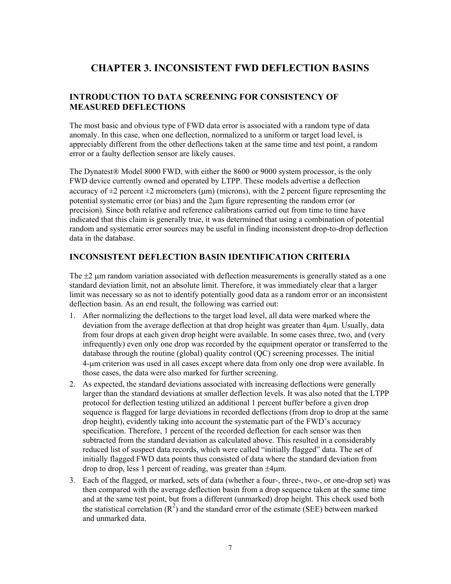### **CHAPTER 3. INCONSISTENT FWD DEFLECTION BASINS**

#### **INTRODUCTION TO DATA SCREENING FOR CONSISTENCY OF MEASURED DEFLECTIONS**

The most basic and obvious type of FWD data error is associated with a random type of data anomaly. In this case, when one deflection, normalized to a uniform or target load level, is appreciably different from the other deflections taken at the same time and test point, a random error or a faulty deflection sensor are likely causes.

The Dynatest® Model 8000 FWD, with either the 8600 or 9000 system processor, is the only FWD device currently owned and operated by LTPP. These models advertise a deflection accuracy of  $\pm 2$  percent  $\pm 2$  micrometers ( $\mu$ m) (microns), with the 2 percent figure representing the potential systematic error (or bias) and the 2μm figure representing the random error (or precision). Since both relative and reference calibrations carried out from time to time have indicated that this claim is generally true, it was determined that using a combination of potential random and systematic error sources may be useful in finding inconsistent drop-to-drop deflection data in the database.

#### **INCONSISTENT DEFLECTION BASIN IDENTIFICATION CRITERIA**

The  $\pm 2$  μm random variation associated with deflection measurements is generally stated as a one standard deviation limit, not an absolute limit. Therefore, it was immediately clear that a larger limit was necessary so as not to identify potentially good data as a random error or an inconsistent deflection basin. As an end result, the following was carried out:

- 1. After normalizing the deflections to the target load level, all data were marked where the deviation from the average deflection at that drop height was greater than 4μm. Usually, data from four drops at each given drop height were available. In some cases three, two, and (very infrequently) even only one drop was recorded by the equipment operator or transferred to the database through the routine (global) quality control (QC) screening processes. The initial 4-μm criterion was used in all cases except where data from only one drop were available. In those cases, the data were also marked for further screening.
- 2. As expected, the standard deviations associated with increasing deflections were generally larger than the standard deviations at smaller deflection levels. It was also noted that the LTPP protocol for deflection testing utilized an additional 1 percent buffer before a given drop sequence is flagged for large deviations in recorded deflections (from drop to drop at the same drop height), evidently taking into account the systematic part of the FWD's accuracy specification. Therefore, 1 percent of the recorded deflection for each sensor was then subtracted from the standard deviation as calculated above. This resulted in a considerably reduced list of suspect data records, which were called "initially flagged" data. The set of initially flagged FWD data points thus consisted of data where the standard deviation from drop to drop, less 1 percent of reading, was greater than ±4μm.
- 3. Each of the flagged, or marked, sets of data (whether a four-, three-, two-, or one-drop set) was then compared with the average deflection basin from a drop sequence taken at the same time and at the same test point, but from a different (unmarked) drop height. This check used both the statistical correlation  $(R^2)$  and the standard error of the estimate (SEE) between marked and unmarked data.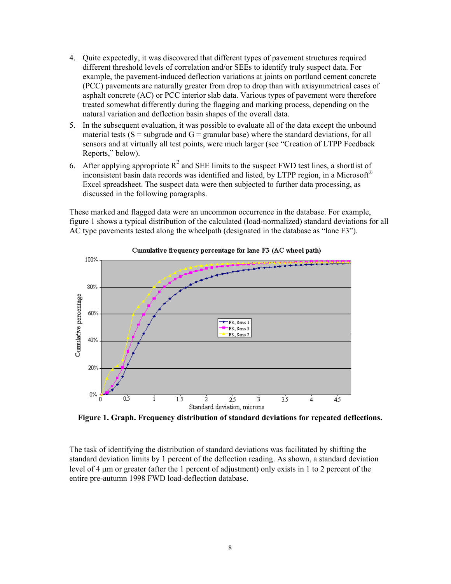- 4. Quite expectedly, it was discovered that different types of pavement structures required different threshold levels of correlation and/or SEEs to identify truly suspect data. For example, the pavement-induced deflection variations at joints on portland cement concrete (PCC) pavements are naturally greater from drop to drop than with axisymmetrical cases of asphalt concrete (AC) or PCC interior slab data. Various types of pavement were therefore treated somewhat differently during the flagging and marking process, depending on the natural variation and deflection basin shapes of the overall data.
- 5. In the subsequent evaluation, it was possible to evaluate all of the data except the unbound material tests  $(S = subgrade and G = granular base)$  where the standard deviations, for all sensors and at virtually all test points, were much larger (see "Creation of LTPP Feedback Reports," below).
- 6. After applying appropriate  $R^2$  and SEE limits to the suspect FWD test lines, a shortlist of inconsistent basin data records was identified and listed, by LTPP region, in a Microsoft® Excel spreadsheet. The suspect data were then subjected to further data processing, as discussed in the following paragraphs.

These marked and flagged data were an uncommon occurrence in the database. For example, figure 1 shows a typical distribution of the calculated (load-normalized) standard deviations for all AC type pavements tested along the wheelpath (designated in the database as "lane F3").



Cumulative frequency percentage for lane F3 (AC wheel path)

**Figure 1. Graph. Frequency distribution of standard deviations for repeated deflections.** 

The task of identifying the distribution of standard deviations was facilitated by shifting the standard deviation limits by 1 percent of the deflection reading. As shown, a standard deviation level of 4 μm or greater (after the 1 percent of adjustment) only exists in 1 to 2 percent of the entire pre-autumn 1998 FWD load-deflection database.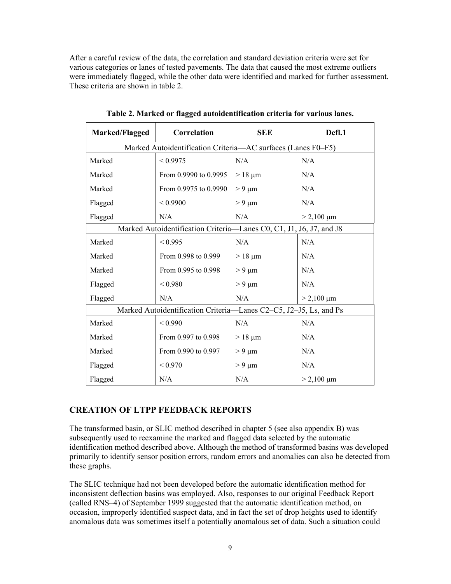After a careful review of the data, the correlation and standard deviation criteria were set for various categories or lanes of tested pavements. The data that caused the most extreme outliers were immediately flagged, while the other data were identified and marked for further assessment. These criteria are shown in table 2.

| Marked/Flagged | Correlation                                                         | <b>SEE</b>  | Defl.1          |
|----------------|---------------------------------------------------------------------|-------------|-----------------|
|                | Marked Autoidentification Criteria-AC surfaces (Lanes F0-F5)        |             |                 |
| Marked         | < 0.9975                                                            | N/A         | N/A             |
| Marked         | From 0.9990 to 0.9995                                               | $>18 \mu m$ | N/A             |
| Marked         | From 0.9975 to 0.9990                                               | $> 9 \mu m$ | N/A             |
| Flagged        | < 0.9900                                                            | $> 9 \mu m$ | N/A             |
| Flagged        | N/A                                                                 | N/A         | $> 2,100 \mu m$ |
|                | Marked Autoidentification Criteria-Lanes C0, C1, J1, J6, J7, and J8 |             |                 |
| Marked         | < 0.995                                                             | N/A         | N/A             |
| Marked         | From 0.998 to 0.999                                                 | $>18 \mu m$ | N/A             |
| Marked         | From 0.995 to 0.998                                                 | $> 9 \mu m$ | N/A             |
| Flagged        | ${}_{< 0.980}$                                                      | $> 9 \mu m$ | N/A             |
| Flagged        | N/A                                                                 | N/A         | $> 2,100 \mu m$ |
|                | Marked Autoidentification Criteria-Lanes C2-C5, J2-J5, Ls, and Ps   |             |                 |
| Marked         | < 0.990                                                             | N/A         | N/A             |
| Marked         | From 0.997 to 0.998                                                 | $>18 \mu m$ | N/A             |
| Marked         | From 0.990 to 0.997                                                 | $> 9 \mu m$ | N/A             |
| Flagged        | < 0.970                                                             | $> 9 \mu m$ | N/A             |
| Flagged        | N/A                                                                 | N/A         | $> 2,100 \mu m$ |

**Table 2. Marked or flagged autoidentification criteria for various lanes.** 

#### **CREATION OF LTPP FEEDBACK REPORTS**

The transformed basin, or SLIC method described in chapter 5 (see also appendix B) was subsequently used to reexamine the marked and flagged data selected by the automatic identification method described above. Although the method of transformed basins was developed primarily to identify sensor position errors, random errors and anomalies can also be detected from these graphs.

The SLIC technique had not been developed before the automatic identification method for inconsistent deflection basins was employed. Also, responses to our original Feedback Report (called RNS–4) of September 1999 suggested that the automatic identification method, on occasion, improperly identified suspect data, and in fact the set of drop heights used to identify anomalous data was sometimes itself a potentially anomalous set of data. Such a situation could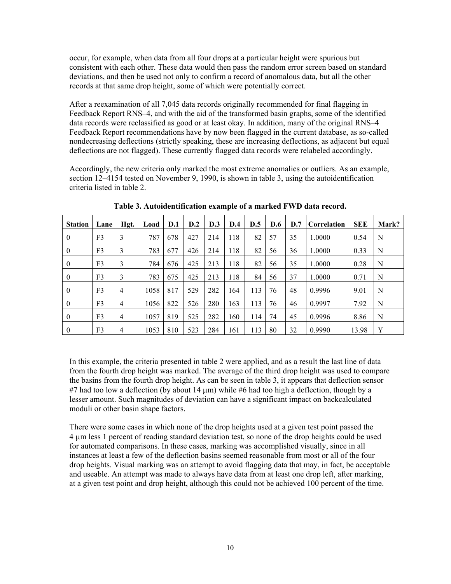occur, for example, when data from all four drops at a particular height were spurious but consistent with each other. These data would then pass the random error screen based on standard deviations, and then be used not only to confirm a record of anomalous data, but all the other records at that same drop height, some of which were potentially correct.

After a reexamination of all 7,045 data records originally recommended for final flagging in Feedback Report RNS–4, and with the aid of the transformed basin graphs, some of the identified data records were reclassified as good or at least okay. In addition, many of the original RNS–4 Feedback Report recommendations have by now been flagged in the current database, as so-called nondecreasing deflections (strictly speaking, these are increasing deflections, as adjacent but equal deflections are not flagged). These currently flagged data records were relabeled accordingly.

Accordingly, the new criteria only marked the most extreme anomalies or outliers. As an example, section 12–4154 tested on November 9, 1990, is shown in table 3, using the autoidentification criteria listed in table 2.

| <b>Station</b>   | Lane | Hgt.           | Load | D.1 | D.2 | D.3 | D.4 | D.5 | <b>D.6</b> | D.7 | Correlation | <b>SEE</b> | Mark? |
|------------------|------|----------------|------|-----|-----|-----|-----|-----|------------|-----|-------------|------------|-------|
| $\overline{0}$   | F3   | 3              | 787  | 678 | 427 | 214 | 118 | 82  | 57         | 35  | 1.0000      | 0.54       | N     |
| $\mathbf{0}$     | F3   | 3              | 783  | 677 | 426 | 214 | 118 | 82  | 56         | 36  | 1.0000      | 0.33       | N     |
| $\mathbf{0}$     | F3   | 3              | 784  | 676 | 425 | 213 | 118 | 82  | 56         | 35  | 1.0000      | 0.28       | N     |
| $\mathbf{0}$     | F3   | 3              | 783  | 675 | 425 | 213 | 118 | 84  | 56         | 37  | 1.0000      | 0.71       | N     |
| $\boldsymbol{0}$ | F3   | $\overline{4}$ | 1058 | 817 | 529 | 282 | 164 | 113 | 76         | 48  | 0.9996      | 9.01       | N     |
| $\boldsymbol{0}$ | F3   | $\overline{4}$ | 1056 | 822 | 526 | 280 | 163 | 113 | 76         | 46  | 0.9997      | 7.92       | N     |
| $\mathbf{0}$     | F3   | $\overline{4}$ | 1057 | 819 | 525 | 282 | 160 | 114 | 74         | 45  | 0.9996      | 8.86       | N     |
| $\boldsymbol{0}$ | F3   | $\overline{4}$ | 1053 | 810 | 523 | 284 | 161 | 113 | 80         | 32  | 0.9990      | 13.98      | Y     |

**Table 3. Autoidentification example of a marked FWD data record.** 

In this example, the criteria presented in table 2 were applied, and as a result the last line of data from the fourth drop height was marked. The average of the third drop height was used to compare the basins from the fourth drop height. As can be seen in table 3, it appears that deflection sensor #7 had too low a deflection (by about  $14 \mu m$ ) while #6 had too high a deflection, though by a lesser amount. Such magnitudes of deviation can have a significant impact on backcalculated moduli or other basin shape factors.

There were some cases in which none of the drop heights used at a given test point passed the 4 μm less 1 percent of reading standard deviation test, so none of the drop heights could be used for automated comparisons. In these cases, marking was accomplished visually, since in all instances at least a few of the deflection basins seemed reasonable from most or all of the four drop heights. Visual marking was an attempt to avoid flagging data that may, in fact, be acceptable and useable. An attempt was made to always have data from at least one drop left, after marking, at a given test point and drop height, although this could not be achieved 100 percent of the time.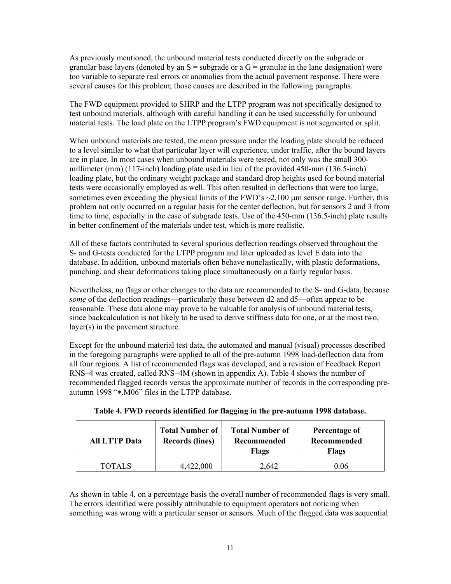As previously mentioned, the unbound material tests conducted directly on the subgrade or granular base layers (denoted by an  $S =$  subgrade or a  $G =$  granular in the lane designation) were too variable to separate real errors or anomalies from the actual pavement response. There were several causes for this problem; those causes are described in the following paragraphs.

The FWD equipment provided to SHRP and the LTPP program was not specifically designed to test unbound materials, although with careful handling it can be used successfully for unbound material tests. The load plate on the LTPP program's FWD equipment is not segmented or split.

When unbound materials are tested, the mean pressure under the loading plate should be reduced to a level similar to what that particular layer will experience, under traffic, after the bound layers are in place. In most cases when unbound materials were tested, not only was the small 300 millimeter (mm) (117-inch) loading plate used in lieu of the provided 450-mm (136.5-inch) loading plate, but the ordinary weight package and standard drop heights used for bound material tests were occasionally employed as well. This often resulted in deflections that were too large, sometimes even exceeding the physical limits of the FWD's  $\sim$ 2,100  $\mu$ m sensor range. Further, this problem not only occurred on a regular basis for the center deflection, but for sensors 2 and 3 from time to time, especially in the case of subgrade tests. Use of the 450-mm (136.5-inch) plate results in better confinement of the materials under test, which is more realistic.

All of these factors contributed to several spurious deflection readings observed throughout the S- and G-tests conducted for the LTPP program and later uploaded as level E data into the database. In addition, unbound materials often behave nonelastically, with plastic deformations, punching, and shear deformations taking place simultaneously on a fairly regular basis.

Nevertheless, no flags or other changes to the data are recommended to the S- and G-data, because *some* of the deflection readings—particularly those between d2 and d5—often appear to be reasonable. These data alone may prove to be valuable for analysis of unbound material tests, since backcalculation is not likely to be used to derive stiffness data for one, or at the most two, layer(s) in the pavement structure.

Except for the unbound material test data, the automated and manual (visual) processes described in the foregoing paragraphs were applied to all of the pre-autumn 1998 load-deflection data from all four regions. A list of recommended flags was developed, and a revision of Feedback Report RNS–4 was created, called RNS–4M (shown in appendix A). Table 4 shows the number of recommended flagged records versus the approximate number of records in the corresponding preautumn 1998 "∗.M06" files in the LTPP database.

| <b>All LTTP Data</b> | <b>Total Number of</b><br><b>Records (lines)</b> | <b>Total Number of</b><br>Recommended<br>Flags | Percentage of<br>Recommended<br><b>Flags</b> |  |  |
|----------------------|--------------------------------------------------|------------------------------------------------|----------------------------------------------|--|--|
| TOTALS               | 4.422,000                                        | 2.642                                          | 9.06                                         |  |  |

**Table 4. FWD records identified for flagging in the pre-autumn 1998 database.** 

As shown in table 4, on a percentage basis the overall number of recommended flags is very small. The errors identified were possibly attributable to equipment operators not noticing when something was wrong with a particular sensor or sensors. Much of the flagged data was sequential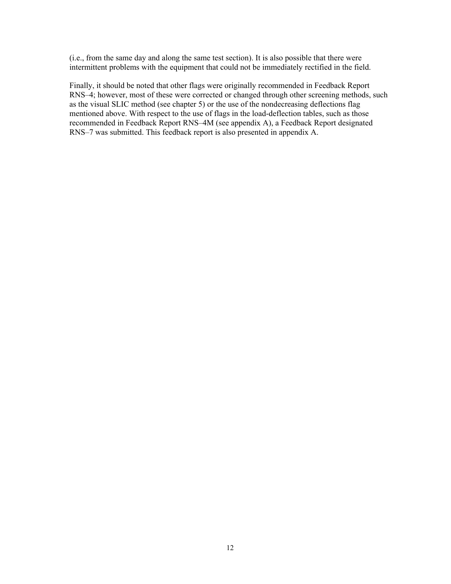(i.e., from the same day and along the same test section). It is also possible that there were intermittent problems with the equipment that could not be immediately rectified in the field.

Finally, it should be noted that other flags were originally recommended in Feedback Report RNS–4; however, most of these were corrected or changed through other screening methods, such as the visual SLIC method (see chapter 5) or the use of the nondecreasing deflections flag mentioned above. With respect to the use of flags in the load-deflection tables, such as those recommended in Feedback Report RNS–4M (see appendix A), a Feedback Report designated RNS–7 was submitted. This feedback report is also presented in appendix A.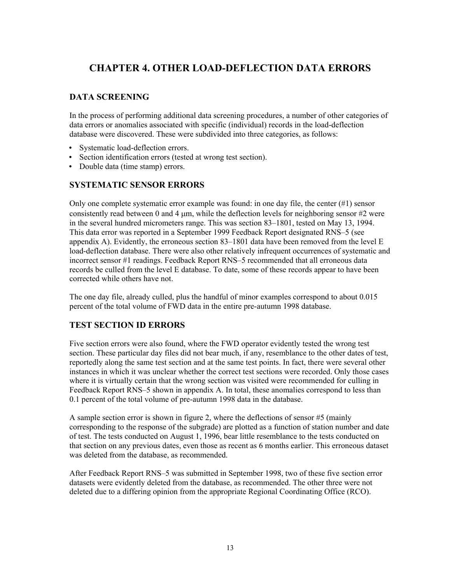## **CHAPTER 4. OTHER LOAD-DEFLECTION DATA ERRORS**

#### **DATA SCREENING**

In the process of performing additional data screening procedures, a number of other categories of data errors or anomalies associated with specific (individual) records in the load-deflection database were discovered. These were subdivided into three categories, as follows:

- Systematic load-deflection errors.
- Section identification errors (tested at wrong test section).
- Double data (time stamp) errors.

#### **SYSTEMATIC SENSOR ERRORS**

Only one complete systematic error example was found: in one day file, the center (#1) sensor consistently read between 0 and 4  $\mu$ m, while the deflection levels for neighboring sensor #2 were in the several hundred micrometers range. This was section 83–1801, tested on May 13, 1994. This data error was reported in a September 1999 Feedback Report designated RNS–5 (see appendix A). Evidently, the erroneous section 83–1801 data have been removed from the level E load-deflection database. There were also other relatively infrequent occurrences of systematic and incorrect sensor #1 readings. Feedback Report RNS–5 recommended that all erroneous data records be culled from the level E database. To date, some of these records appear to have been corrected while others have not.

The one day file, already culled, plus the handful of minor examples correspond to about 0.015 percent of the total volume of FWD data in the entire pre-autumn 1998 database.

#### **TEST SECTION ID ERRORS**

Five section errors were also found, where the FWD operator evidently tested the wrong test section. These particular day files did not bear much, if any, resemblance to the other dates of test, reportedly along the same test section and at the same test points. In fact, there were several other instances in which it was unclear whether the correct test sections were recorded. Only those cases where it is virtually certain that the wrong section was visited were recommended for culling in Feedback Report RNS–5 shown in appendix A. In total, these anomalies correspond to less than 0.1 percent of the total volume of pre-autumn 1998 data in the database.

A sample section error is shown in figure 2, where the deflections of sensor #5 (mainly corresponding to the response of the subgrade) are plotted as a function of station number and date of test. The tests conducted on August 1, 1996, bear little resemblance to the tests conducted on that section on any previous dates, even those as recent as 6 months earlier. This erroneous dataset was deleted from the database, as recommended.

After Feedback Report RNS–5 was submitted in September 1998, two of these five section error datasets were evidently deleted from the database, as recommended. The other three were not deleted due to a differing opinion from the appropriate Regional Coordinating Office (RCO).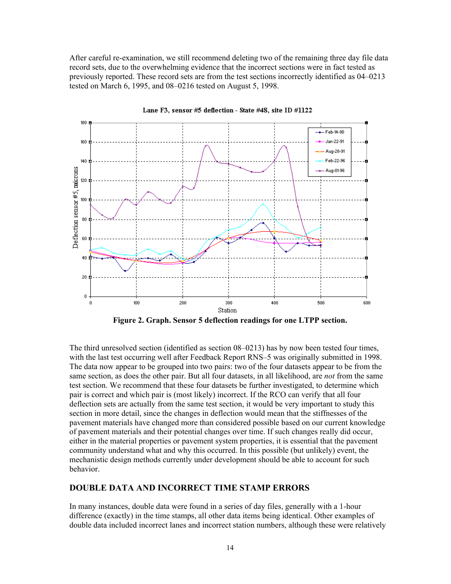After careful re-examination, we still recommend deleting two of the remaining three day file data record sets, due to the overwhelming evidence that the incorrect sections were in fact tested as previously reported. These record sets are from the test sections incorrectly identified as 04–0213 tested on March 6, 1995, and 08–0216 tested on August 5, 1998.



Lane F3, sensor #5 deflection - State #48, site ID #1122

**Figure 2. Graph. Sensor 5 deflection readings for one LTPP section.** 

The third unresolved section (identified as section 08–0213) has by now been tested four times, with the last test occurring well after Feedback Report RNS–5 was originally submitted in 1998. The data now appear to be grouped into two pairs: two of the four datasets appear to be from the same section, as does the other pair. But all four datasets, in all likelihood, are *not* from the same test section. We recommend that these four datasets be further investigated, to determine which pair is correct and which pair is (most likely) incorrect. If the RCO can verify that all four deflection sets are actually from the same test section, it would be very important to study this section in more detail, since the changes in deflection would mean that the stiffnesses of the pavement materials have changed more than considered possible based on our current knowledge of pavement materials and their potential changes over time. If such changes really did occur, either in the material properties or pavement system properties, it is essential that the pavement community understand what and why this occurred. In this possible (but unlikely) event, the mechanistic design methods currently under development should be able to account for such behavior.

#### **DOUBLE DATA AND INCORRECT TIME STAMP ERRORS**

In many instances, double data were found in a series of day files, generally with a 1-hour difference (exactly) in the time stamps, all other data items being identical. Other examples of double data included incorrect lanes and incorrect station numbers, although these were relatively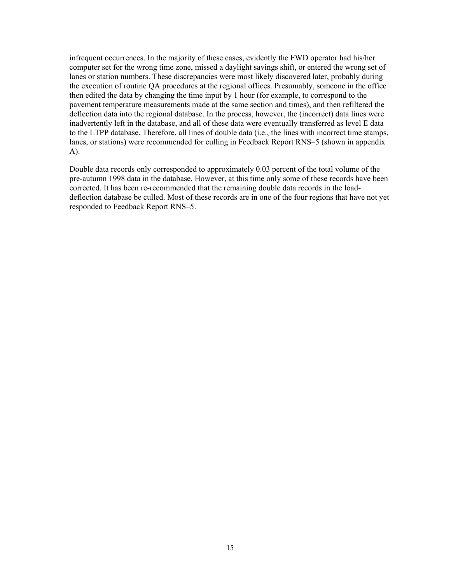infrequent occurrences. In the majority of these cases, evidently the FWD operator had his/her computer set for the wrong time zone, missed a daylight savings shift, or entered the wrong set of lanes or station numbers. These discrepancies were most likely discovered later, probably during the execution of routine QA procedures at the regional offices. Presumably, someone in the office then edited the data by changing the time input by 1 hour (for example, to correspond to the pavement temperature measurements made at the same section and times), and then refiltered the deflection data into the regional database. In the process, however, the (incorrect) data lines were inadvertently left in the database, and all of these data were eventually transferred as level E data to the LTPP database. Therefore, all lines of double data (i.e., the lines with incorrect time stamps, lanes, or stations) were recommended for culling in Feedback Report RNS–5 (shown in appendix A).

Double data records only corresponded to approximately 0.03 percent of the total volume of the pre-autumn 1998 data in the database. However, at this time only some of these records have been corrected. It has been re-recommended that the remaining double data records in the loaddeflection database be culled. Most of these records are in one of the four regions that have not yet responded to Feedback Report RNS–5.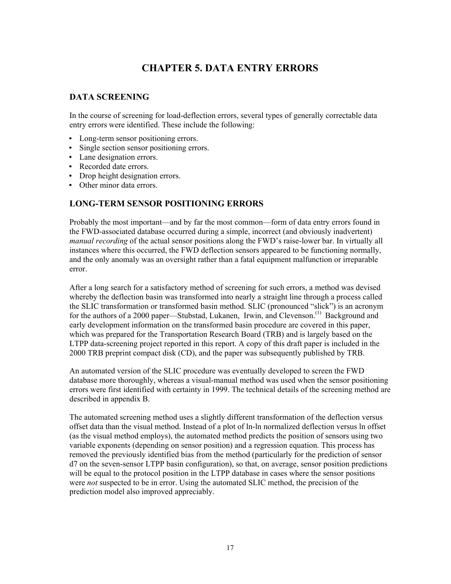## **CHAPTER 5. DATA ENTRY ERRORS**

#### **DATA SCREENING**

In the course of screening for load-deflection errors, several types of generally correctable data entry errors were identified. These include the following:

- Long-term sensor positioning errors.
- Single section sensor positioning errors.
- Lane designation errors.
- Recorded date errors.
- Drop height designation errors.
- Other minor data errors.

#### **LONG-TERM SENSOR POSITIONING ERRORS**

Probably the most important—and by far the most common—form of data entry errors found in the FWD-associated database occurred during a simple, incorrect (and obviously inadvertent) *manual recording* of the actual sensor positions along the FWD's raise-lower bar. In virtually all instances where this occurred, the FWD deflection sensors appeared to be functioning normally, and the only anomaly was an oversight rather than a fatal equipment malfunction or irreparable error.

After a long search for a satisfactory method of screening for such errors, a method was devised whereby the deflection basin was transformed into nearly a straight line through a process called the SLIC transformation or transformed basin method. SLIC (pronounced "slick") is an acronym for the authors of a 2000 paper—Stubstad, Lukanen, Irwin, and Clevenson.<sup>(1)</sup> Background and early development information on the transformed basin procedure are covered in this paper, which was prepared for the Transportation Research Board (TRB) and is largely based on the LTPP data-screening project reported in this report. A copy of this draft paper is included in the 2000 TRB preprint compact disk (CD), and the paper was subsequently published by TRB.

An automated version of the SLIC procedure was eventually developed to screen the FWD database more thoroughly, whereas a visual-manual method was used when the sensor positioning errors were first identified with certainty in 1999. The technical details of the screening method are described in appendix B.

The automated screening method uses a slightly different transformation of the deflection versus offset data than the visual method. Instead of a plot of ln-ln normalized deflection versus ln offset (as the visual method employs), the automated method predicts the position of sensors using two variable exponents (depending on sensor position) and a regression equation. This process has removed the previously identified bias from the method (particularly for the prediction of sensor d7 on the seven-sensor LTPP basin configuration), so that, on average, sensor position predictions will be equal to the protocol position in the LTPP database in cases where the sensor positions were *not* suspected to be in error. Using the automated SLIC method, the precision of the prediction model also improved appreciably.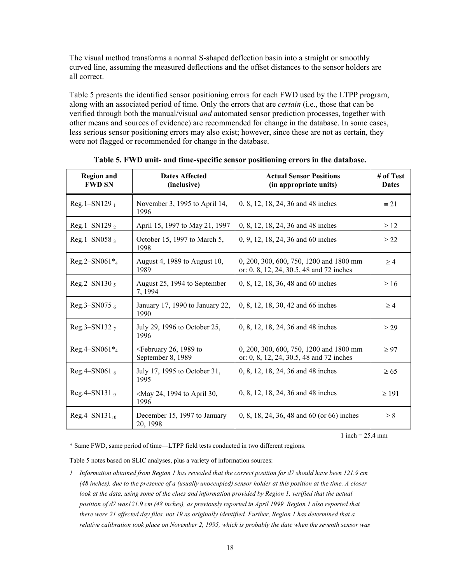The visual method transforms a normal S-shaped deflection basin into a straight or smoothly curved line, assuming the measured deflections and the offset distances to the sensor holders are all correct.

Table 5 presents the identified sensor positioning errors for each FWD used by the LTPP program, along with an associated period of time. Only the errors that are *certain* (i.e., those that can be verified through both the manual/visual *and* automated sensor prediction processes, together with other means and sources of evidence) are recommended for change in the database. In some cases, less serious sensor positioning errors may also exist; however, since these are not as certain, they were not flagged or recommended for change in the database.

| <b>Region and</b><br><b>FWD SN</b> | <b>Dates Affected</b><br>(inclusive)                           | <b>Actual Sensor Positions</b><br>(in appropriate units)                            | # of Test<br><b>Dates</b> |
|------------------------------------|----------------------------------------------------------------|-------------------------------------------------------------------------------------|---------------------------|
| $Reg.1 - SN129_1$                  | November 3, 1995 to April 14,<br>1996                          | 0, 8, 12, 18, 24, 36 and 48 inches                                                  | $\equiv 21$               |
| Reg. $1 - SN129_2$                 | April 15, 1997 to May 21, 1997                                 | 0, 8, 12, 18, 24, 36 and 48 inches                                                  | $\geq$ 12                 |
| $Reg.1 - SN058$ ,                  | October 15, 1997 to March 5,<br>1998                           | 0, 9, 12, 18, 24, 36 and 60 inches                                                  | $\geq$ 22                 |
| $Reg.2 - SN061*_{4}$               | August 4, 1989 to August 10,<br>1989                           | 0, 200, 300, 600, 750, 1200 and 1800 mm<br>or: 0, 8, 12, 24, 30.5, 48 and 72 inches | $\geq 4$                  |
| Reg.2-SN130 5                      | August 25, 1994 to September<br>7, 1994                        | 0, 8, 12, 18, 36, 48 and 60 inches                                                  | $\geq 16$                 |
| Reg.3-SN075 $_6$                   | January 17, 1990 to January 22,<br>1990                        | 0, 8, 12, 18, 30, 42 and 66 inches                                                  | $\geq 4$                  |
| Reg.3-SN132 $_7$                   | July 29, 1996 to October 25,<br>1996                           | 0, 8, 12, 18, 24, 36 and 48 inches                                                  | $\geq$ 29                 |
| $Reg.4 - SN061*_{4}$               | <february 1989="" 26,="" to<br="">September 8, 1989</february> | 0, 200, 300, 600, 750, 1200 and 1800 mm<br>or: 0, 8, 12, 24, 30.5, 48 and 72 inches | $\geq 97$                 |
| $Reg.4-SN0618$                     | July 17, 1995 to October 31,<br>1995                           | 0, 8, 12, 18, 24, 36 and 48 inches                                                  | $\geq 65$                 |
| Reg.4-SN131 $_9$                   | <may 1994="" 24,="" 30,<br="" april="" to="">1996</may>        | 0, 8, 12, 18, 24, 36 and 48 inches                                                  | $\geq 191$                |
| $Reg.4 - SN131_{10}$               | December 15, 1997 to January<br>20, 1998                       | 0, 8, 18, 24, 36, 48 and 60 (or 66) inches                                          | $\geq 8$                  |

**Table 5. FWD unit- and time-specific sensor positioning errors in the database.** 

1 inch =  $25.4 \text{ mm}$ 

\* Same FWD, same period of time—LTPP field tests conducted in two different regions.

Table 5 notes based on SLIC analyses, plus a variety of information sources:

*1 Information obtained from Region 1 has revealed that the correct position for d7 should have been 121.9 cm (48 inches), due to the presence of a (usually unoccupied) sensor holder at this position at the time. A closer look at the data, using some of the clues and information provided by Region 1, verified that the actual position of d7 was121.9 cm (48 inches), as previously reported in April 1999. Region 1 also reported that there were 21 affected day files, not 19 as originally identified. Further, Region 1 has determined that a relative calibration took place on November 2, 1995, which is probably the date when the seventh sensor was*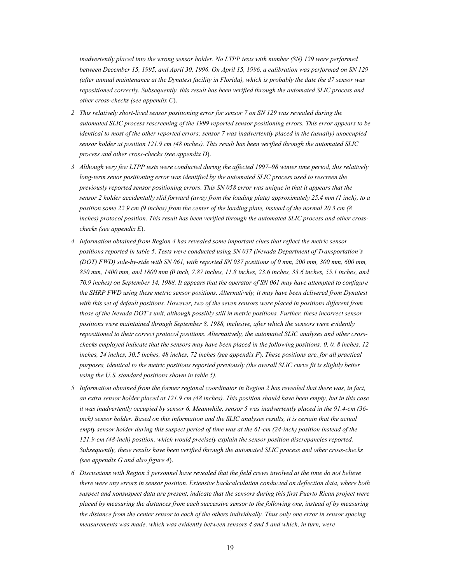*inadvertently placed into the wrong sensor holder. No LTPP tests with number (SN) 129 were performed between December 15, 1995, and April 30, 1996. On April 15, 1996, a calibration was performed on SN 129 (after annual maintenance at the Dynatest facility in Florida), which is probably the date the d7 sensor was repositioned correctly. Subsequently, this result has been verified through the automated SLIC process and other cross-checks (see appendix C*).

- *2 This relatively short-lived sensor positioning error for sensor 7 on SN 129 was revealed during the automated SLIC process rescreening of the 1999 reported sensor positioning errors. This error appears to be identical to most of the other reported errors; sensor 7 was inadvertently placed in the (usually) unoccupied sensor holder at position 121.9 cm (48 inches). This result has been verified through the automated SLIC process and other cross-checks (see appendix D*).
- *3 Although very few LTPP tests were conducted during the affected 1997–98 winter time period, this relatively long-term senor positioning error was identified by the automated SLIC process used to rescreen the previously reported sensor positioning errors. This SN 058 error was unique in that it appears that the sensor 2 holder accidentally slid forward (away from the loading plate) approximately 25.4 mm (1 inch), to a position some 22.9 cm (9 inches) from the center of the loading plate, instead of the normal 20.3 cm (8 inches) protocol position. This result has been verified through the automated SLIC process and other crosschecks (see appendix E*).
- *4 Information obtained from Region 4 has revealed some important clues that reflect the metric sensor positions reported in table 5*. *Tests were conducted using SN 037 (Nevada Department of Transportation's (DOT) FWD) side-by-side with SN 061, with reported SN 037 positions of 0 mm, 200 mm, 300 mm, 600 mm, 850 mm, 1400 mm, and 1800 mm (0 inch, 7.87 inches, 11.8 inches, 23.6 inches, 33.6 inches, 55.1 inches, and 70.9 inches) on September 14, 1988. It appears that the operator of SN 061 may have attempted to configure the SHRP FWD using these metric sensor positions. Alternatively, it may have been delivered from Dynatest with this set of default positions. However, two of the seven sensors were placed in positions different from those of the Nevada DOT's unit, although possibly still in metric positions. Further, these incorrect sensor positions were maintained through September 8, 1988, inclusive, after which the sensors were evidently repositioned to their correct protocol positions. Alternatively, the automated SLIC analyses and other crosschecks employed indicate that the sensors may have been placed in the following positions: 0, 0, 8 inches, 12 inches, 24 inches, 30.5 inches, 48 inches, 72 inches (see appendix F*). *These positions are, for all practical purposes, identical to the metric positions reported previously (the overall SLIC curve fit is slightly better using the U.S. standard positions shown in table 5).*
- *5 Information obtained from the former regional coordinator in Region 2 has revealed that there was, in fact, an extra sensor holder placed at 121.9 cm (48 inches). This position should have been empty, but in this case it was inadvertently occupied by sensor 6. Meanwhile, sensor 5 was inadvertently placed in the 91.4-cm (36* inch) sensor holder. Based on this information and the SLIC analyses results, it is certain that the actual *empty sensor holder during this suspect period of time was at the 61-cm (24-inch) position instead of the 121.9-cm (48-inch) position, which would precisely explain the sensor position discrepancies reported. Subsequently, these results have been verified through the automated SLIC process and other cross-checks (see appendix G and also figure 4*).
- *6 Discussions with Region 3 personnel have revealed that the field crews involved at the time do not believe there were any errors in sensor position. Extensive backcalculation conducted on deflection data, where both suspect and nonsuspect data are present, indicate that the sensors during this first Puerto Rican project were placed by measuring the distances from each successive sensor to the following one, instead of by measuring the distance from the center sensor to each of the others individually. Thus only one error in sensor spacing measurements was made, which was evidently between sensors 4 and 5 and which, in turn, were*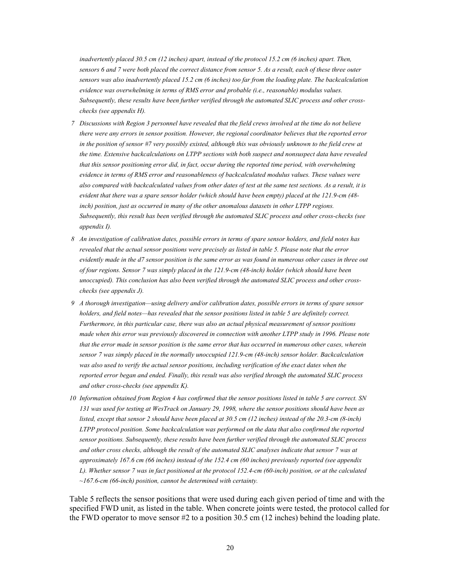*inadvertently placed 30.5 cm (12 inches) apart, instead of the protocol 15.2 cm (6 inches) apart. Then, sensors 6 and 7 were both placed the correct distance from sensor 5. As a result, each of these three outer sensors was also inadvertently placed 15.2 cm (6 inches) too far from the loading plate. The backcalculation evidence was overwhelming in terms of RMS error and probable (i.e., reasonable) modulus values. Subsequently, these results have been further verified through the automated SLIC process and other crosschecks (see appendix H).* 

- *7 Discussions with Region 3 personnel have revealed that the field crews involved at the time do not believe there were any errors in sensor position. However, the regional coordinator believes that the reported error*  in the position of sensor #7 very possibly existed, although this was obviously unknown to the field crew at *the time. Extensive backcalculations on LTPP sections with both suspect and nonsuspect data have revealed that this sensor positioning error did, in fact, occur during the reported time period, with overwhelming evidence in terms of RMS error and reasonableness of backcalculated modulus values. These values were also compared with backcalculated values from other dates of test at the same test sections. As a result, it is evident that there was a spare sensor holder (which should have been empty) placed at the 121.9-cm (48 inch) position, just as occurred in many of the other anomalous datasets in other LTPP regions. Subsequently, this result has been verified through the automated SLIC process and other cross-checks (see appendix I).*
- *8 An investigation of calibration dates, possible errors in terms of spare sensor holders, and field notes has revealed that the actual sensor positions were precisely as listed in table 5. Please note that the error evidently made in the d7 sensor position is the same error as was found in numerous other cases in three out of four regions. Sensor 7 was simply placed in the 121.9-cm (48-inch) holder (which should have been unoccupied). This conclusion has also been verified through the automated SLIC process and other crosschecks (see appendix J).*
- *9 A thorough investigation—using delivery and/or calibration dates, possible errors in terms of spare sensor holders, and field notes—has revealed that the sensor positions listed in table 5 are definitely correct. Furthermore, in this particular case, there was also an actual physical measurement of sensor positions made when this error was previously discovered in connection with another LTPP study in 1996. Please note that the error made in sensor position is the same error that has occurred in numerous other cases, wherein sensor 7 was simply placed in the normally unoccupied 121.9-cm (48-inch) sensor holder. Backcalculation*  was also used to verify the actual sensor positions, including verification of the exact dates when the *reported error began and ended. Finally, this result was also verified through the automated SLIC process and other cross-checks (see appendix K).*
- *10 Information obtained from Region 4 has confirmed that the sensor positions listed in table 5 are correct. SN 131 was used for testing at WesTrack on January 29, 1998, where the sensor positions should have been as listed, except that sensor 2 should have been placed at 30.5 cm (12 inches) instead of the 20.3-cm (8-inch) LTPP protocol position. Some backcalculation was performed on the data that also confirmed the reported sensor positions. Subsequently, these results have been further verified through the automated SLIC process and other cross checks, although the result of the automated SLIC analyses indicate that sensor 7 was at approximately 167.6 cm (66 inches) instead of the 152.4 cm (60 inches) previously reported (see appendix L). Whether sensor 7 was in fact positioned at the protocol 152.4-cm (60-inch) position, or at the calculated ~167.6-cm (66-inch) position, cannot be determined with certainty.*

Table 5 reflects the sensor positions that were used during each given period of time and with the specified FWD unit, as listed in the table. When concrete joints were tested, the protocol called for the FWD operator to move sensor  $#2$  to a position 30.5 cm (12 inches) behind the loading plate.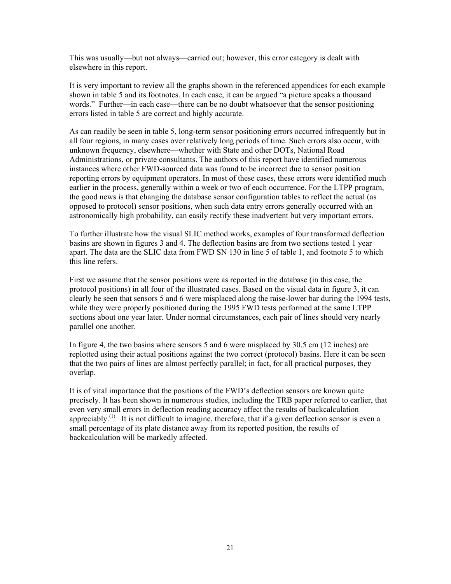This was usually—but not always—carried out; however, this error category is dealt with elsewhere in this report.

It is very important to review all the graphs shown in the referenced appendices for each example shown in table 5 and its footnotes. In each case, it can be argued "a picture speaks a thousand words." Further—in each case—there can be no doubt whatsoever that the sensor positioning errors listed in table 5 are correct and highly accurate.

As can readily be seen in table 5, long-term sensor positioning errors occurred infrequently but in all four regions, in many cases over relatively long periods of time. Such errors also occur, with unknown frequency, elsewhere—whether with State and other DOTs, National Road Administrations, or private consultants. The authors of this report have identified numerous instances where other FWD-sourced data was found to be incorrect due to sensor position reporting errors by equipment operators. In most of these cases, these errors were identified much earlier in the process, generally within a week or two of each occurrence. For the LTPP program, the good news is that changing the database sensor configuration tables to reflect the actual (as opposed to protocol) sensor positions, when such data entry errors generally occurred with an astronomically high probability, can easily rectify these inadvertent but very important errors.

To further illustrate how the visual SLIC method works, examples of four transformed deflection basins are shown in figures 3 and 4. The deflection basins are from two sections tested 1 year apart. The data are the SLIC data from FWD SN 130 in line 5 of table 1, and footnote 5 to which this line refers.

First we assume that the sensor positions were as reported in the database (in this case, the protocol positions) in all four of the illustrated cases. Based on the visual data in figure 3, it can clearly be seen that sensors 5 and 6 were misplaced along the raise-lower bar during the 1994 tests, while they were properly positioned during the 1995 FWD tests performed at the same LTPP sections about one year later. Under normal circumstances, each pair of lines should very nearly parallel one another.

In figure 4*,* the two basins where sensors 5 and 6 were misplaced by 30.5 cm (12 inches) are replotted using their actual positions against the two correct (protocol) basins. Here it can be seen that the two pairs of lines are almost perfectly parallel; in fact, for all practical purposes, they overlap.

It is of vital importance that the positions of the FWD's deflection sensors are known quite precisely. It has been shown in numerous studies, including the TRB paper referred to earlier, that even very small errors in deflection reading accuracy affect the results of backcalculation appreciably.<sup>(1)</sup> It is not difficult to imagine, therefore, that if a given deflection sensor is even a small percentage of its plate distance away from its reported position, the results of backcalculation will be markedly affected.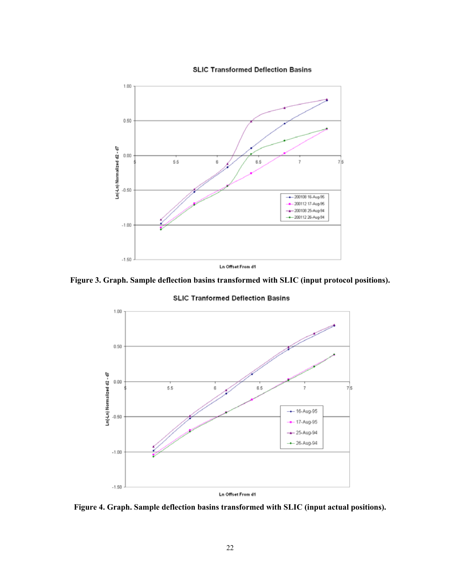



**Figure 3. Graph. Sample deflection basins transformed with SLIC (input protocol positions).** 



**SLIC Tranformed Deflection Basins** 

**Figure 4. Graph. Sample deflection basins transformed with SLIC (input actual positions).**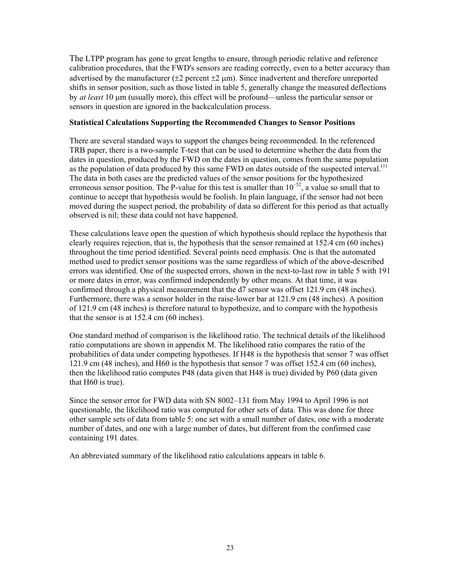The LTPP program has gone to great lengths to ensure, through periodic relative and reference calibration procedures, that the FWD's sensors are reading correctly, even to a better accuracy than advertised by the manufacturer  $(\pm 2$  percent  $\pm 2$  µm). Since inadvertent and therefore unreported shifts in sensor position, such as those listed in table 5, generally change the measured deflections by *at least* 10 μm (usually more), this effect will be profound—unless the particular sensor or sensors in question are ignored in the backcalculation process.

#### **Statistical Calculations Supporting the Recommended Changes to Sensor Positions**

There are several standard ways to support the changes being recommended. In the referenced TRB paper, there is a two-sample T-test that can be used to determine whether the data from the dates in question, produced by the FWD on the dates in question, comes from the same population as the population of data produced by this same FWD on dates outside of the suspected interval.<sup>(1)</sup> The data in both cases are the predicted values of the sensor positions for the hypothesized erroneous sensor position. The P-value for this test is smaller than  $10^{-52}$ , a value so small that to continue to accept that hypothesis would be foolish. In plain language, if the sensor had not been moved during the suspect period, the probability of data so different for this period as that actually observed is nil; these data could not have happened.

These calculations leave open the question of which hypothesis should replace the hypothesis that clearly requires rejection, that is, the hypothesis that the sensor remained at 152.4 cm (60 inches) throughout the time period identified. Several points need emphasis. One is that the automated method used to predict sensor positions was the same regardless of which of the above-described errors was identified. One of the suspected errors, shown in the next-to-last row in table 5 with 191 or more dates in error, was confirmed independently by other means. At that time, it was confirmed through a physical measurement that the d7 sensor was offset 121.9 cm (48 inches). Furthermore, there was a sensor holder in the raise-lower bar at 121.9 cm (48 inches). A position of 121.9 cm (48 inches) is therefore natural to hypothesize, and to compare with the hypothesis that the sensor is at 152.4 cm (60 inches).

One standard method of comparison is the likelihood ratio. The technical details of the likelihood ratio computations are shown in appendix M. The likelihood ratio compares the ratio of the probabilities of data under competing hypotheses. If H48 is the hypothesis that sensor 7 was offset 121.9 cm (48 inches), and H60 is the hypothesis that sensor 7 was offset 152.4 cm (60 inches), then the likelihood ratio computes P48 (data given that H48 is true) divided by P60 (data given that H60 is true).

Since the sensor error for FWD data with SN 8002–131 from May 1994 to April 1996 is not questionable, the likelihood ratio was computed for other sets of data. This was done for three other sample sets of data from table 5: one set with a small number of dates, one with a moderate number of dates, and one with a large number of dates, but different from the confirmed case containing 191 dates.

An abbreviated summary of the likelihood ratio calculations appears in table 6.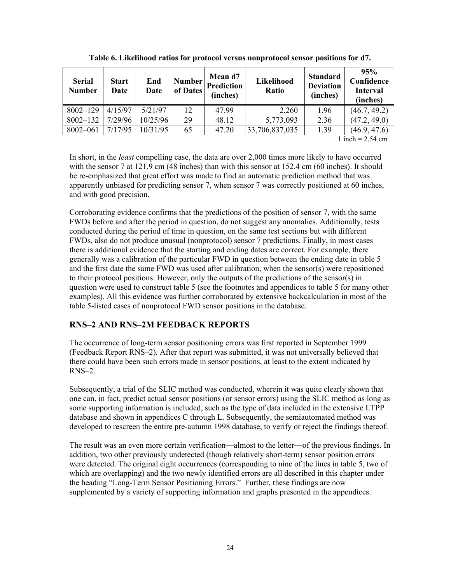| <b>Serial</b><br><b>Number</b> | <b>Start</b><br>Date | End<br><b>Date</b> | Number<br>of Dates | Mean d7<br>Prediction<br>(inches) | Likelihood<br>Ratio | <b>Standard</b><br><b>Deviation</b><br>(inches) | 95%<br>Confidence<br><b>Interval</b><br>(inches) |
|--------------------------------|----------------------|--------------------|--------------------|-----------------------------------|---------------------|-------------------------------------------------|--------------------------------------------------|
| $8002 - 129$                   | 4/15/97              | 5/21/97            | 12                 | 47.99                             | 2,260               | 1.96                                            | (46.7, 49.2)                                     |
| $8002 - 132$                   | 7/29/96              | 10/25/96           | 29                 | 48.12                             | 5,773,093           | 2.36                                            | (47.2, 49.0)                                     |
| 8002-061                       | 7/17/95              | 10/31/95           | 65                 | 47.20                             | 33,706,837,035      | 1.39                                            | (46.9, 47.6)                                     |

**Table 6. Likelihood ratios for protocol versus nonprotocol sensor positions for d7.** 

1 inch  $= 2.54$  cm

In short, in the *least* compelling case, the data are over 2,000 times more likely to have occurred with the sensor 7 at 121.9 cm (48 inches) than with this sensor at 152.4 cm (60 inches). It should be re-emphasized that great effort was made to find an automatic prediction method that was apparently unbiased for predicting sensor 7, when sensor 7 was correctly positioned at 60 inches, and with good precision.

Corroborating evidence confirms that the predictions of the position of sensor 7, with the same FWDs before and after the period in question, do not suggest any anomalies. Additionally, tests conducted during the period of time in question, on the same test sections but with different FWDs, also do not produce unusual (nonprotocol) sensor 7 predictions. Finally, in most cases there is additional evidence that the starting and ending dates are correct. For example, there generally was a calibration of the particular FWD in question between the ending date in table 5 and the first date the same FWD was used after calibration, when the sensor(s) were repositioned to their protocol positions. However, only the outputs of the predictions of the sensor(s) in question were used to construct table 5 (see the footnotes and appendices to table 5 for many other examples). All this evidence was further corroborated by extensive backcalculation in most of the table 5-listed cases of nonprotocol FWD sensor positions in the database.

#### **RNS–2 AND RNS–2M FEEDBACK REPORTS**

The occurrence of long-term sensor positioning errors was first reported in September 1999 (Feedback Report RNS–2). After that report was submitted, it was not universally believed that there could have been such errors made in sensor positions, at least to the extent indicated by RNS–2.

Subsequently, a trial of the SLIC method was conducted, wherein it was quite clearly shown that one can, in fact, predict actual sensor positions (or sensor errors) using the SLIC method as long as some supporting information is included, such as the type of data included in the extensive LTPP database and shown in appendices C through L. Subsequently, the semiautomated method was developed to rescreen the entire pre-autumn 1998 database, to verify or reject the findings thereof.

The result was an even more certain verification—almost to the letter—of the previous findings. In addition, two other previously undetected (though relatively short-term) sensor position errors were detected. The original eight occurrences (corresponding to nine of the lines in table 5, two of which are overlapping) and the two newly identified errors are all described in this chapter under the heading "Long-Term Sensor Positioning Errors." Further, these findings are now supplemented by a variety of supporting information and graphs presented in the appendices.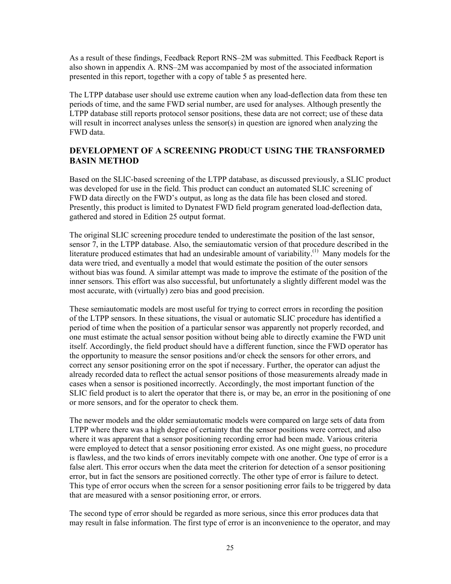As a result of these findings, Feedback Report RNS–2M was submitted. This Feedback Report is also shown in appendix A. RNS–2M was accompanied by most of the associated information presented in this report, together with a copy of table 5 as presented here.

The LTPP database user should use extreme caution when any load-deflection data from these ten periods of time, and the same FWD serial number, are used for analyses. Although presently the LTPP database still reports protocol sensor positions, these data are not correct; use of these data will result in incorrect analyses unless the sensor(s) in question are ignored when analyzing the FWD data.

#### **DEVELOPMENT OF A SCREENING PRODUCT USING THE TRANSFORMED BASIN METHOD**

Based on the SLIC-based screening of the LTPP database, as discussed previously, a SLIC product was developed for use in the field. This product can conduct an automated SLIC screening of FWD data directly on the FWD's output, as long as the data file has been closed and stored. Presently, this product is limited to Dynatest FWD field program generated load-deflection data, gathered and stored in Edition 25 output format.

The original SLIC screening procedure tended to underestimate the position of the last sensor, sensor 7, in the LTPP database. Also, the semiautomatic version of that procedure described in the literature produced estimates that had an undesirable amount of variability.<sup>(1)</sup> Many models for the data were tried, and eventually a model that would estimate the position of the outer sensors without bias was found. A similar attempt was made to improve the estimate of the position of the inner sensors. This effort was also successful, but unfortunately a slightly different model was the most accurate, with (virtually) zero bias and good precision.

These semiautomatic models are most useful for trying to correct errors in recording the position of the LTPP sensors. In these situations, the visual or automatic SLIC procedure has identified a period of time when the position of a particular sensor was apparently not properly recorded, and one must estimate the actual sensor position without being able to directly examine the FWD unit itself. Accordingly, the field product should have a different function, since the FWD operator has the opportunity to measure the sensor positions and/or check the sensors for other errors, and correct any sensor positioning error on the spot if necessary. Further, the operator can adjust the already recorded data to reflect the actual sensor positions of those measurements already made in cases when a sensor is positioned incorrectly. Accordingly, the most important function of the SLIC field product is to alert the operator that there is, or may be, an error in the positioning of one or more sensors, and for the operator to check them.

The newer models and the older semiautomatic models were compared on large sets of data from LTPP where there was a high degree of certainty that the sensor positions were correct, and also where it was apparent that a sensor positioning recording error had been made. Various criteria were employed to detect that a sensor positioning error existed. As one might guess, no procedure is flawless, and the two kinds of errors inevitably compete with one another. One type of error is a false alert. This error occurs when the data meet the criterion for detection of a sensor positioning error, but in fact the sensors are positioned correctly. The other type of error is failure to detect. This type of error occurs when the screen for a sensor positioning error fails to be triggered by data that are measured with a sensor positioning error, or errors.

The second type of error should be regarded as more serious, since this error produces data that may result in false information. The first type of error is an inconvenience to the operator, and may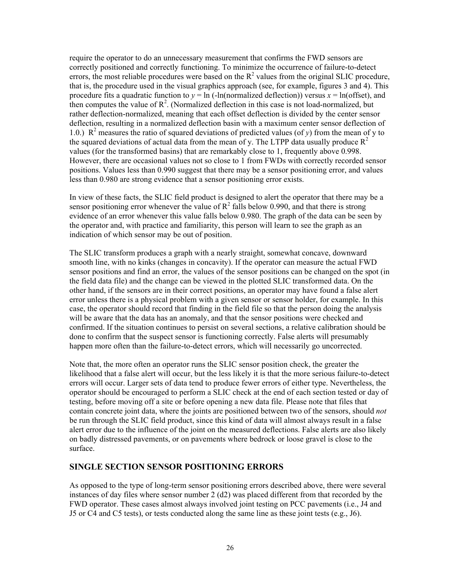require the operator to do an unnecessary measurement that confirms the FWD sensors are correctly positioned and correctly functioning. To minimize the occurrence of failure-to-detect errors, the most reliable procedures were based on the  $R^2$  values from the original SLIC procedure, that is, the procedure used in the visual graphics approach (see, for example, figures 3 and 4). This procedure fits a quadratic function to  $y = \ln$  (-ln(normalized deflection)) versus  $x = \ln(\text{offset})$ , and then computes the value of  $R^2$ . (Normalized deflection in this case is not load-normalized, but rather deflection-normalized, meaning that each offset deflection is divided by the center sensor deflection, resulting in a normalized deflection basin with a maximum center sensor deflection of 1.0.)  $\mathbb{R}^2$  measures the ratio of squared deviations of predicted values (of *y*) from the mean of y to the squared deviations of actual data from the mean of y. The LTPP data usually produce  $R^2$ values (for the transformed basins) that are remarkably close to 1, frequently above 0.998. However, there are occasional values not so close to 1 from FWDs with correctly recorded sensor positions. Values less than 0.990 suggest that there may be a sensor positioning error, and values less than 0.980 are strong evidence that a sensor positioning error exists.

In view of these facts, the SLIC field product is designed to alert the operator that there may be a sensor positioning error whenever the value of  $R^2$  falls below 0.990, and that there is strong evidence of an error whenever this value falls below 0.980. The graph of the data can be seen by the operator and, with practice and familiarity, this person will learn to see the graph as an indication of which sensor may be out of position.

The SLIC transform produces a graph with a nearly straight, somewhat concave, downward smooth line, with no kinks (changes in concavity). If the operator can measure the actual FWD sensor positions and find an error, the values of the sensor positions can be changed on the spot (in the field data file) and the change can be viewed in the plotted SLIC transformed data. On the other hand, if the sensors are in their correct positions, an operator may have found a false alert error unless there is a physical problem with a given sensor or sensor holder, for example. In this case, the operator should record that finding in the field file so that the person doing the analysis will be aware that the data has an anomaly, and that the sensor positions were checked and confirmed. If the situation continues to persist on several sections, a relative calibration should be done to confirm that the suspect sensor is functioning correctly. False alerts will presumably happen more often than the failure-to-detect errors, which will necessarily go uncorrected.

Note that, the more often an operator runs the SLIC sensor position check, the greater the likelihood that a false alert will occur, but the less likely it is that the more serious failure-to-detect errors will occur. Larger sets of data tend to produce fewer errors of either type. Nevertheless, the operator should be encouraged to perform a SLIC check at the end of each section tested or day of testing, before moving off a site or before opening a new data file. Please note that files that contain concrete joint data, where the joints are positioned between two of the sensors, should *not* be run through the SLIC field product, since this kind of data will almost always result in a false alert error due to the influence of the joint on the measured deflections. False alerts are also likely on badly distressed pavements, or on pavements where bedrock or loose gravel is close to the surface.

#### **SINGLE SECTION SENSOR POSITIONING ERRORS**

As opposed to the type of long-term sensor positioning errors described above, there were several instances of day files where sensor number 2 (d2) was placed different from that recorded by the FWD operator. These cases almost always involved joint testing on PCC pavements (i.e., J4 and J5 or C4 and C5 tests), or tests conducted along the same line as these joint tests (e.g., J6).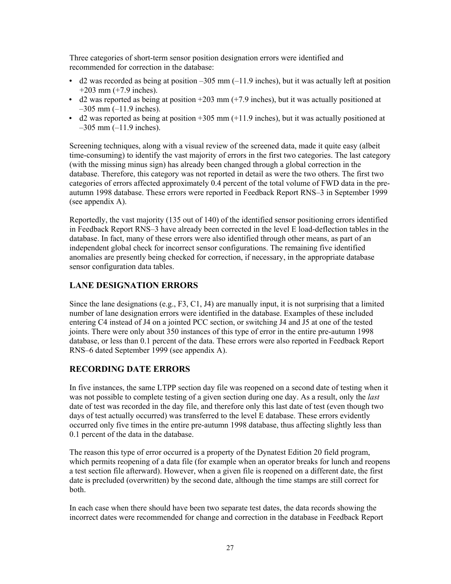Three categories of short-term sensor position designation errors were identified and recommended for correction in the database:

- $\bullet$  d2 was recorded as being at position –305 mm (–11.9 inches), but it was actually left at position +203 mm (+7.9 inches).
- $\bullet$  d2 was reported as being at position  $+203$  mm ( $+7.9$  inches), but it was actually positioned at  $-305$  mm  $(-11.9$  inches).
- $\bullet$  d2 was reported as being at position +305 mm (+11.9 inches), but it was actually positioned at –305 mm (–11.9 inches).

Screening techniques, along with a visual review of the screened data, made it quite easy (albeit time-consuming) to identify the vast majority of errors in the first two categories. The last category (with the missing minus sign) has already been changed through a global correction in the database. Therefore, this category was not reported in detail as were the two others. The first two categories of errors affected approximately 0.4 percent of the total volume of FWD data in the preautumn 1998 database. These errors were reported in Feedback Report RNS–3 in September 1999 (see appendix A).

Reportedly, the vast majority (135 out of 140) of the identified sensor positioning errors identified in Feedback Report RNS–3 have already been corrected in the level E load-deflection tables in the database. In fact, many of these errors were also identified through other means, as part of an independent global check for incorrect sensor configurations. The remaining five identified anomalies are presently being checked for correction, if necessary, in the appropriate database sensor configuration data tables.

#### **LANE DESIGNATION ERRORS**

Since the lane designations (e.g., F3, C1, J4) are manually input, it is not surprising that a limited number of lane designation errors were identified in the database. Examples of these included entering C4 instead of J4 on a jointed PCC section, or switching J4 and J5 at one of the tested joints. There were only about 350 instances of this type of error in the entire pre-autumn 1998 database, or less than 0.1 percent of the data. These errors were also reported in Feedback Report RNS–6 dated September 1999 (see appendix A).

#### **RECORDING DATE ERRORS**

In five instances, the same LTPP section day file was reopened on a second date of testing when it was not possible to complete testing of a given section during one day. As a result, only the *last* date of test was recorded in the day file, and therefore only this last date of test (even though two days of test actually occurred) was transferred to the level E database. These errors evidently occurred only five times in the entire pre-autumn 1998 database, thus affecting slightly less than 0.1 percent of the data in the database.

The reason this type of error occurred is a property of the Dynatest Edition 20 field program, which permits reopening of a data file (for example when an operator breaks for lunch and reopens a test section file afterward). However, when a given file is reopened on a different date, the first date is precluded (overwritten) by the second date, although the time stamps are still correct for both.

In each case when there should have been two separate test dates, the data records showing the incorrect dates were recommended for change and correction in the database in Feedback Report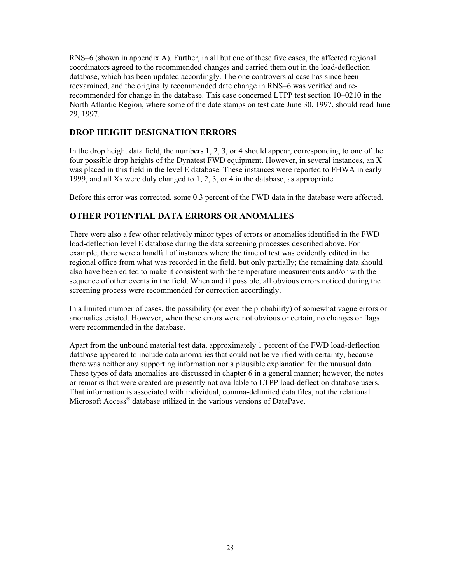RNS–6 (shown in appendix A). Further, in all but one of these five cases, the affected regional coordinators agreed to the recommended changes and carried them out in the load-deflection database, which has been updated accordingly. The one controversial case has since been reexamined, and the originally recommended date change in RNS–6 was verified and rerecommended for change in the database. This case concerned LTPP test section 10–0210 in the North Atlantic Region, where some of the date stamps on test date June 30, 1997, should read June 29, 1997.

#### **DROP HEIGHT DESIGNATION ERRORS**

In the drop height data field, the numbers 1, 2, 3, or 4 should appear, corresponding to one of the four possible drop heights of the Dynatest FWD equipment. However, in several instances, an X was placed in this field in the level E database. These instances were reported to FHWA in early 1999, and all Xs were duly changed to 1, 2, 3, or 4 in the database, as appropriate.

Before this error was corrected, some 0.3 percent of the FWD data in the database were affected.

#### **OTHER POTENTIAL DATA ERRORS OR ANOMALIES**

There were also a few other relatively minor types of errors or anomalies identified in the FWD load-deflection level E database during the data screening processes described above. For example, there were a handful of instances where the time of test was evidently edited in the regional office from what was recorded in the field, but only partially; the remaining data should also have been edited to make it consistent with the temperature measurements and/or with the sequence of other events in the field. When and if possible, all obvious errors noticed during the screening process were recommended for correction accordingly.

In a limited number of cases, the possibility (or even the probability) of somewhat vague errors or anomalies existed. However, when these errors were not obvious or certain, no changes or flags were recommended in the database.

Apart from the unbound material test data, approximately 1 percent of the FWD load-deflection database appeared to include data anomalies that could not be verified with certainty, because there was neither any supporting information nor a plausible explanation for the unusual data. These types of data anomalies are discussed in chapter 6 in a general manner; however, the notes or remarks that were created are presently not available to LTPP load-deflection database users. That information is associated with individual, comma-delimited data files, not the relational Microsoft Access® database utilized in the various versions of DataPave.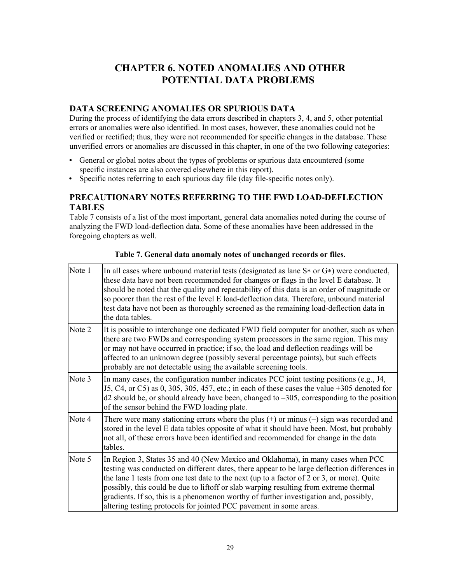# **CHAPTER 6. NOTED ANOMALIES AND OTHER POTENTIAL DATA PROBLEMS**

#### **DATA SCREENING ANOMALIES OR SPURIOUS DATA**

During the process of identifying the data errors described in chapters 3, 4, and 5, other potential errors or anomalies were also identified. In most cases, however, these anomalies could not be verified or rectified; thus, they were not recommended for specific changes in the database. These unverified errors or anomalies are discussed in this chapter, in one of the two following categories:

- General or global notes about the types of problems or spurious data encountered (some specific instances are also covered elsewhere in this report).
- Specific notes referring to each spurious day file (day file-specific notes only).

#### **PRECAUTIONARY NOTES REFERRING TO THE FWD LOAD-DEFLECTION TABLES**

Table 7 consists of a list of the most important, general data anomalies noted during the course of analyzing the FWD load-deflection data. Some of these anomalies have been addressed in the foregoing chapters as well.

| Note 1 | In all cases where unbound material tests (designated as lane $S^*$ or $G^*$ ) were conducted,<br>these data have not been recommended for changes or flags in the level E database. It<br>should be noted that the quality and repeatability of this data is an order of magnitude or<br>so poorer than the rest of the level E load-deflection data. Therefore, unbound material<br>test data have not been as thoroughly screened as the remaining load-deflection data in<br>the data tables.                                     |
|--------|---------------------------------------------------------------------------------------------------------------------------------------------------------------------------------------------------------------------------------------------------------------------------------------------------------------------------------------------------------------------------------------------------------------------------------------------------------------------------------------------------------------------------------------|
| Note 2 | It is possible to interchange one dedicated FWD field computer for another, such as when<br>there are two FWDs and corresponding system processors in the same region. This may<br>or may not have occurred in practice; if so, the load and deflection readings will be<br>affected to an unknown degree (possibly several percentage points), but such effects<br>probably are not detectable using the available screening tools.                                                                                                  |
| Note 3 | In many cases, the configuration number indicates PCC joint testing positions (e.g., J4,<br>$J5, C4$ , or C5) as 0, 305, 305, 457, etc.; in each of these cases the value +305 denoted for<br>$d2$ should be, or should already have been, changed to $-305$ , corresponding to the position<br>of the sensor behind the FWD loading plate.                                                                                                                                                                                           |
| Note 4 | There were many stationing errors where the plus $(+)$ or minus $(-)$ sign was recorded and<br>stored in the level E data tables opposite of what it should have been. Most, but probably<br>not all, of these errors have been identified and recommended for change in the data<br>tables.                                                                                                                                                                                                                                          |
| Note 5 | In Region 3, States 35 and 40 (New Mexico and Oklahoma), in many cases when PCC<br>testing was conducted on different dates, there appear to be large deflection differences in<br>the lane 1 tests from one test date to the next (up to a factor of 2 or 3, or more). Quite<br>possibly, this could be due to liftoff or slab warping resulting from extreme thermal<br>gradients. If so, this is a phenomenon worthy of further investigation and, possibly,<br>altering testing protocols for jointed PCC pavement in some areas. |

**Table 7. General data anomaly notes of unchanged records or files.**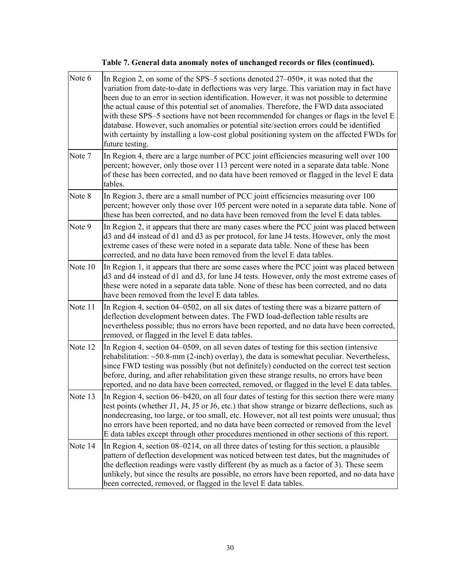| Note 6  | In Region 2, on some of the SPS–5 sections denoted 27–050*, it was noted that the<br>variation from date-to-date in deflections was very large. This variation may in fact have<br>been due to an error in section identification. However, it was not possible to determine<br>the actual cause of this potential set of anomalies. Therefore, the FWD data associated<br>with these SPS-5 sections have not been recommended for changes or flags in the level E<br>database. However, such anomalies or potential site/section errors could be identified<br>with certainty by installing a low-cost global positioning system on the affected FWDs for<br>future testing. |
|---------|-------------------------------------------------------------------------------------------------------------------------------------------------------------------------------------------------------------------------------------------------------------------------------------------------------------------------------------------------------------------------------------------------------------------------------------------------------------------------------------------------------------------------------------------------------------------------------------------------------------------------------------------------------------------------------|
| Note 7  | In Region 4, there are a large number of PCC joint efficiencies measuring well over 100<br>percent; however, only those over 113 percent were noted in a separate data table. None<br>of these has been corrected, and no data have been removed or flagged in the level E data<br>tables.                                                                                                                                                                                                                                                                                                                                                                                    |
| Note 8  | In Region 3, there are a small number of PCC joint efficiencies measuring over 100<br>percent; however only those over 105 percent were noted in a separate data table. None of<br>these has been corrected, and no data have been removed from the level E data tables.                                                                                                                                                                                                                                                                                                                                                                                                      |
| Note 9  | In Region 2, it appears that there are many cases where the PCC joint was placed between<br>d3 and d4 instead of d1 and d3 as per protocol, for lane J4 tests. However, only the most<br>extreme cases of these were noted in a separate data table. None of these has been<br>corrected, and no data have been removed from the level E data tables.                                                                                                                                                                                                                                                                                                                         |
| Note 10 | In Region 1, it appears that there are some cases where the PCC joint was placed between<br>d3 and d4 instead of d1 and d3, for lane J4 tests. However, only the most extreme cases of<br>these were noted in a separate data table. None of these has been corrected, and no data<br>have been removed from the level E data tables.                                                                                                                                                                                                                                                                                                                                         |
| Note 11 | In Region 4, section 04–0502, on all six dates of testing there was a bizarre pattern of<br>deflection development between dates. The FWD load-deflection table results are<br>nevertheless possible; thus no errors have been reported, and no data have been corrected,<br>removed, or flagged in the level E data tables.                                                                                                                                                                                                                                                                                                                                                  |
| Note 12 | In Region 4, section 04–0509, on all seven dates of testing for this section (intensive<br>rehabilitation: $\sim$ 50.8-mm (2-inch) overlay), the data is somewhat peculiar. Nevertheless,<br>since FWD testing was possibly (but not definitely) conducted on the correct test section<br>before, during, and after rehabilitation given these strange results, no errors have been<br>reported, and no data have been corrected, removed, or flagged in the level E data tables.                                                                                                                                                                                             |
| Note 13 | In Region 4, section 06–b420, on all four dates of testing for this section there were many<br>test points (whether J1, J4, J5 or J6, etc.) that show strange or bizarre deflections, such as<br>nondecreasing, too large, or too small, etc. However, not all test points were unusual; thus<br>no errors have been reported, and no data have been corrected or removed from the level<br>E data tables except through other procedures mentioned in other sections of this report.                                                                                                                                                                                         |
| Note 14 | In Region 4, section 08–0214, on all three dates of testing for this section, a plausible<br>pattern of deflection development was noticed between test dates, but the magnitudes of<br>the deflection readings were vastly different (by as much as a factor of 3). These seem<br>unlikely, but since the results are possible, no errors have been reported, and no data have<br>been corrected, removed, or flagged in the level E data tables.                                                                                                                                                                                                                            |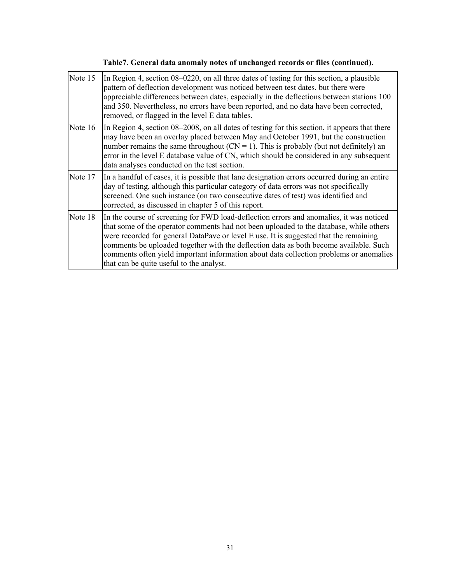# **Table7. General data anomaly notes of unchanged records or files (continued).**

| Note 15 | In Region 4, section 08–0220, on all three dates of testing for this section, a plausible<br>pattern of deflection development was noticed between test dates, but there were<br>appreciable differences between dates, especially in the deflections between stations 100<br>and 350. Nevertheless, no errors have been reported, and no data have been corrected,<br>removed, or flagged in the level E data tables.                                                                                    |
|---------|-----------------------------------------------------------------------------------------------------------------------------------------------------------------------------------------------------------------------------------------------------------------------------------------------------------------------------------------------------------------------------------------------------------------------------------------------------------------------------------------------------------|
| Note 16 | In Region 4, section 08–2008, on all dates of testing for this section, it appears that there<br>may have been an overlay placed between May and October 1991, but the construction<br>number remains the same throughout $(CN = 1)$ . This is probably (but not definitely) an<br>error in the level E database value of CN, which should be considered in any subsequent<br>data analyses conducted on the test section.                                                                                |
| Note 17 | In a handful of cases, it is possible that lane designation errors occurred during an entire<br>day of testing, although this particular category of data errors was not specifically<br>screened. One such instance (on two consecutive dates of test) was identified and<br>corrected, as discussed in chapter 5 of this report.                                                                                                                                                                        |
| Note 18 | In the course of screening for FWD load-deflection errors and anomalies, it was noticed<br>that some of the operator comments had not been uploaded to the database, while others<br>were recorded for general DataPave or level E use. It is suggested that the remaining<br>comments be uploaded together with the deflection data as both become available. Such<br>comments often yield important information about data collection problems or anomalies<br>that can be quite useful to the analyst. |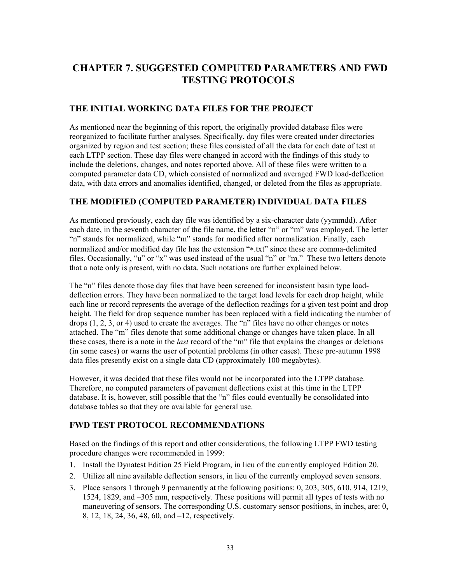# **CHAPTER 7. SUGGESTED COMPUTED PARAMETERS AND FWD TESTING PROTOCOLS**

#### **THE INITIAL WORKING DATA FILES FOR THE PROJECT**

As mentioned near the beginning of this report, the originally provided database files were reorganized to facilitate further analyses. Specifically, day files were created under directories organized by region and test section; these files consisted of all the data for each date of test at each LTPP section. These day files were changed in accord with the findings of this study to include the deletions, changes, and notes reported above. All of these files were written to a computed parameter data CD, which consisted of normalized and averaged FWD load-deflection data, with data errors and anomalies identified, changed, or deleted from the files as appropriate.

#### **THE MODIFIED (COMPUTED PARAMETER) INDIVIDUAL DATA FILES**

As mentioned previously, each day file was identified by a six-character date (yymmdd). After each date, in the seventh character of the file name, the letter "n" or "m" was employed. The letter "n" stands for normalized, while "m" stands for modified after normalization. Finally, each normalized and/or modified day file has the extension "∗.txt" since these are comma-delimited files. Occasionally, "u" or "x" was used instead of the usual "n" or "m." These two letters denote that a note only is present, with no data. Such notations are further explained below.

The "n" files denote those day files that have been screened for inconsistent basin type loaddeflection errors. They have been normalized to the target load levels for each drop height, while each line or record represents the average of the deflection readings for a given test point and drop height. The field for drop sequence number has been replaced with a field indicating the number of drops  $(1, 2, 3, \text{ or } 4)$  used to create the averages. The "n" files have no other changes or notes attached. The "m" files denote that some additional change or changes have taken place. In all these cases, there is a note in the *last* record of the "m" file that explains the changes or deletions (in some cases) or warns the user of potential problems (in other cases). These pre-autumn 1998 data files presently exist on a single data CD (approximately 100 megabytes).

However, it was decided that these files would not be incorporated into the LTPP database. Therefore, no computed parameters of pavement deflections exist at this time in the LTPP database. It is, however, still possible that the "n" files could eventually be consolidated into database tables so that they are available for general use.

#### **FWD TEST PROTOCOL RECOMMENDATIONS**

Based on the findings of this report and other considerations, the following LTPP FWD testing procedure changes were recommended in 1999:

- 1. Install the Dynatest Edition 25 Field Program, in lieu of the currently employed Edition 20.
- 2. Utilize all nine available deflection sensors, in lieu of the currently employed seven sensors.
- 3. Place sensors 1 through 9 permanently at the following positions: 0, 203, 305, 610, 914, 1219, 1524, 1829, and –305 mm, respectively. These positions will permit all types of tests with no maneuvering of sensors. The corresponding U.S. customary sensor positions, in inches, are: 0, 8, 12, 18, 24, 36, 48, 60, and –12, respectively.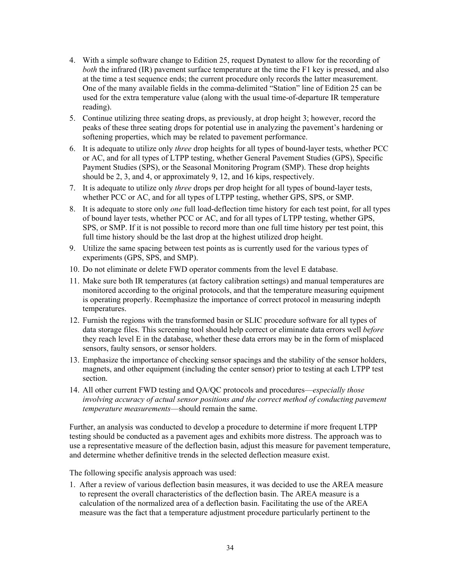- 4. With a simple software change to Edition 25, request Dynatest to allow for the recording of *both* the infrared (IR) pavement surface temperature at the time the F1 key is pressed, and also at the time a test sequence ends; the current procedure only records the latter measurement. One of the many available fields in the comma-delimited "Station" line of Edition 25 can be used for the extra temperature value (along with the usual time-of-departure IR temperature reading).
- 5. Continue utilizing three seating drops, as previously, at drop height 3; however, record the peaks of these three seating drops for potential use in analyzing the pavement's hardening or softening properties, which may be related to pavement performance.
- 6. It is adequate to utilize only *three* drop heights for all types of bound-layer tests, whether PCC or AC, and for all types of LTPP testing, whether General Pavement Studies (GPS), Specific Payment Studies (SPS), or the Seasonal Monitoring Program (SMP). These drop heights should be 2, 3, and 4, or approximately 9, 12, and 16 kips, respectively.
- 7. It is adequate to utilize only *three* drops per drop height for all types of bound-layer tests, whether PCC or AC, and for all types of LTPP testing, whether GPS, SPS, or SMP.
- 8. It is adequate to store only *one* full load-deflection time history for each test point, for all types of bound layer tests, whether PCC or AC, and for all types of LTPP testing, whether GPS, SPS, or SMP. If it is not possible to record more than one full time history per test point, this full time history should be the last drop at the highest utilized drop height.
- 9. Utilize the same spacing between test points as is currently used for the various types of experiments (GPS, SPS, and SMP).
- 10. Do not eliminate or delete FWD operator comments from the level E database.
- 11. Make sure both IR temperatures (at factory calibration settings) and manual temperatures are monitored according to the original protocols, and that the temperature measuring equipment is operating properly. Reemphasize the importance of correct protocol in measuring indepth temperatures.
- 12. Furnish the regions with the transformed basin or SLIC procedure software for all types of data storage files. This screening tool should help correct or eliminate data errors well *before* they reach level E in the database, whether these data errors may be in the form of misplaced sensors, faulty sensors, or sensor holders.
- 13. Emphasize the importance of checking sensor spacings and the stability of the sensor holders, magnets, and other equipment (including the center sensor) prior to testing at each LTPP test section.
- 14. All other current FWD testing and QA/QC protocols and procedures—*especially those involving accuracy of actual sensor positions and the correct method of conducting pavement temperature measurements*—should remain the same.

Further, an analysis was conducted to develop a procedure to determine if more frequent LTPP testing should be conducted as a pavement ages and exhibits more distress. The approach was to use a representative measure of the deflection basin, adjust this measure for pavement temperature, and determine whether definitive trends in the selected deflection measure exist.

The following specific analysis approach was used:

1. After a review of various deflection basin measures, it was decided to use the AREA measure to represent the overall characteristics of the deflection basin. The AREA measure is a calculation of the normalized area of a deflection basin. Facilitating the use of the AREA measure was the fact that a temperature adjustment procedure particularly pertinent to the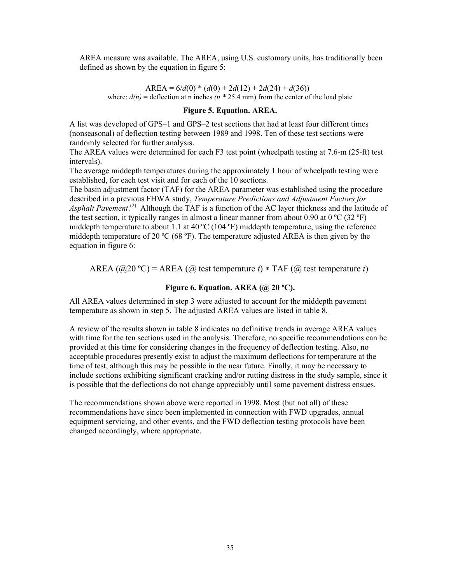AREA measure was available. The AREA, using U.S. customary units, has traditionally been defined as shown by the equation in figure 5:

AREA =  $6/d(0) * (d(0) + 2d(12) + 2d(24) + d(36))$ where:  $d(n)$  = deflection at n inches  $(n * 25.4 \text{ mm})$  from the center of the load plate

#### **Figure 5. Equation. AREA.**

A list was developed of GPS–1 and GPS–2 test sections that had at least four different times (nonseasonal) of deflection testing between 1989 and 1998. Ten of these test sections were randomly selected for further analysis.

The AREA values were determined for each F3 test point (wheelpath testing at 7.6-m (25-ft) test intervals).

The average middepth temperatures during the approximately 1 hour of wheelpath testing were established, for each test visit and for each of the 10 sections.

The basin adjustment factor (TAF) for the AREA parameter was established using the procedure described in a previous FHWA study, *Temperature Predictions and Adjustment Factors for*  Asphalt Pavement.<sup>(2)</sup> Although the TAF is a function of the AC layer thickness and the latitude of the test section, it typically ranges in almost a linear manner from about 0.90 at 0 °C (32 °F) middepth temperature to about 1.1 at 40 ºC (104 ºF) middepth temperature, using the reference middepth temperature of 20 °C (68 °F). The temperature adjusted AREA is then given by the equation in figure 6:

AREA  $(Q20 \text{°C}) = AREA (Qi)$  test temperature *t*) \* TAF  $(Qi)$  test temperature *t*)

#### **Figure 6. Equation. AREA (@ 20 ºC).**

All AREA values determined in step 3 were adjusted to account for the middepth pavement temperature as shown in step 5. The adjusted AREA values are listed in table 8.

A review of the results shown in table 8 indicates no definitive trends in average AREA values with time for the ten sections used in the analysis. Therefore, no specific recommendations can be provided at this time for considering changes in the frequency of deflection testing. Also, no acceptable procedures presently exist to adjust the maximum deflections for temperature at the time of test, although this may be possible in the near future. Finally, it may be necessary to include sections exhibiting significant cracking and/or rutting distress in the study sample, since it is possible that the deflections do not change appreciably until some pavement distress ensues.

The recommendations shown above were reported in 1998. Most (but not all) of these recommendations have since been implemented in connection with FWD upgrades, annual equipment servicing, and other events, and the FWD deflection testing protocols have been changed accordingly, where appropriate.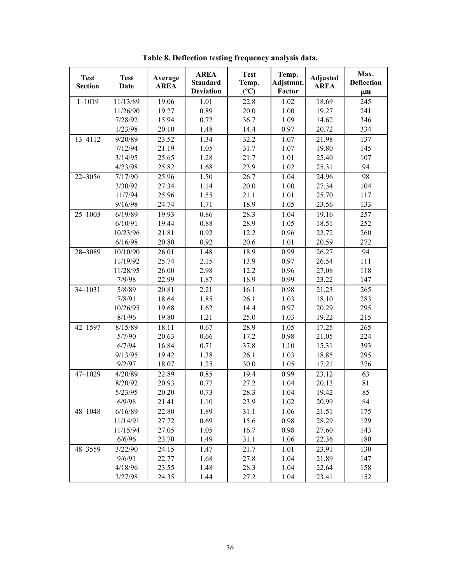| <b>Test</b><br><b>Section</b> | <b>Test</b><br><b>Date</b> | Average<br><b>AREA</b> | <b>AREA</b><br><b>Standard</b><br><b>Deviation</b> | <b>Test</b><br>Temp.<br>$({}^{\circ}C)$ | Temp.<br>Adjstmnt.<br>Factor | <b>Adjusted</b><br><b>AREA</b> | Max.<br><b>Deflection</b><br>$\mu$ m |
|-------------------------------|----------------------------|------------------------|----------------------------------------------------|-----------------------------------------|------------------------------|--------------------------------|--------------------------------------|
| $1 - 1019$                    | 11/13/89                   | 19.06                  | 1.01                                               | 22.8                                    | 1.02                         | 18.69                          | 245                                  |
|                               | 11/26/90                   | 19.27                  | 0.89                                               | 20.0                                    | 1.00                         | 19.27                          | 241                                  |
|                               | 7/28/92                    | 15.94                  | 0.72                                               | 36.7                                    | 1.09                         | 14.62                          | 346                                  |
|                               | 1/23/98                    | 20.10                  | 1.48                                               | 14.4                                    | 0.97                         | 20.72                          | 334                                  |
| 13-4112                       | 9/20/89                    | 23.52                  | 1.34                                               | 32.2                                    | 1.07                         | 21.98                          | 137                                  |
|                               | 7/12/94                    | 21.19                  | 1.05                                               | 31.7                                    | 1.07                         | 19.80                          | 145                                  |
|                               | 3/14/95                    | 25.65                  | 1.28                                               | 21.7                                    | 1.01                         | 25.40                          | 107                                  |
|                               | 4/23/98                    | 25.82                  | 1.68                                               | 23.9                                    | 1.02                         | 25.31                          | 94                                   |
| 22-3056                       | 7/17/90                    | 25.96                  | 1.50                                               | 26.7                                    | 1.04                         | 24.96                          | 98                                   |
|                               | 3/30/92                    | 27.34                  | 1.14                                               | 20.0                                    | 1.00                         | 27.34                          | 104                                  |
|                               | 11/7/94                    | 25.96                  | 1.55                                               | 21.1                                    | 1.01                         | 25.70                          | 117                                  |
|                               | 9/16/98                    | 24.74                  | 1.71                                               | 18.9                                    | 1.05                         | 23.56                          | 133                                  |
| $25 - 1003$                   | 6/19/89                    | 19.93                  | 0.86                                               | 28.3                                    | 1.04                         | 19.16                          | 257                                  |
|                               | 6/10/91                    | 19.44                  | 0.88                                               | 28.9                                    | 1.05                         | 18.51                          | 252                                  |
|                               | 10/23/96                   | 21.81                  | 0.92                                               | 12.2                                    | 0.96                         | 22.72                          | 260                                  |
|                               | 6/16/98                    | 20.80                  | 0.92                                               | 20.6                                    | 1.01                         | 20.59                          | 272                                  |
| 28-3089                       | 10/10/90                   | 26.01                  | 1.48                                               | 18.9                                    | 0.99                         | 26.27                          | 94                                   |
|                               | 11/19/92                   | 25.74                  | 2.15                                               | 13.9                                    | 0.97                         | 26.54                          | 111                                  |
|                               | 11/28/95                   | 26.00                  | 2.98                                               | 12.2                                    | 0.96                         | 27.08                          | 118                                  |
|                               | 7/9/98                     | 22.99                  | 1.87                                               | 18.9                                    | 0.99                         | 23.22                          | 147                                  |
| 34-1031                       | 5/8/89                     | 20.81                  | 2.21                                               | 16.1                                    | 0.98                         | 21.23                          | 265                                  |
|                               | 7/8/91                     | 18.64                  | 1.85                                               | 26.1                                    | 1.03                         | 18.10                          | 283                                  |
|                               | 10/26/95                   | 19.68                  | 1.62                                               | 14.4                                    | 0.97                         | 20.29                          | 295                                  |
|                               | 8/1/96                     | 19.80                  | 1.21                                               | 25.0                                    | 1.03                         | 19.22                          | 215                                  |
| $42 - 1597$                   | 8/15/89                    | 18.11                  | 0.67                                               | 28.9                                    | 1.05                         | 17.25                          | 265                                  |
|                               | 5/7/90                     | 20.63                  | 0.66                                               | 17.2                                    | 0.98                         | 21.05                          | 224                                  |
|                               | 6/7/94                     | 16.84                  | 0.71                                               | 37.8                                    | 1.10                         | 15.31                          | 393                                  |
|                               | 9/13/95                    | 19.42                  | 1.38                                               | 26.1                                    | 1.03                         | 18.85                          | 295                                  |
|                               | 9/2/97                     | 18.07                  | 1.25                                               | 30.0                                    | 1.05                         | 17.21                          | 376                                  |
| $47 - 1029$                   | 4/20/89                    | 22.89                  | 0.85                                               | 19.4                                    | 0.99                         | 23.12                          | 63                                   |
|                               | 8/20/92                    | 20.93                  | 0.77                                               | 27.2                                    | 1.04                         | 20.13                          | 81                                   |
|                               | 5/23/95                    | 20.20                  | 0.73                                               | 28.3                                    | 1.04                         | 19.42                          | 85                                   |
|                               | 6/9/98                     | 21.41                  | 1.10                                               | 23.9                                    | 1.02                         | 20.99                          | 84                                   |
| 48-1048                       | 6/16/89                    | 22.80                  | 1.89                                               | 31.1                                    | 1.06                         | 21.51                          | 175                                  |
|                               | 11/14/91                   | 27.72                  | 0.69                                               | 15.6                                    | 0.98                         | 28.29                          | 129                                  |
|                               | 11/15/94                   | 27.05                  | 1.05                                               | 16.7                                    | 0.98                         | 27.60                          | 143                                  |
|                               | 6/6/96                     | 23.70                  | 1.49                                               | 31.1                                    | 1.06                         | 22.36                          | 180                                  |
| 48-3559                       | 3/22/90                    | 24.15                  | 1.47                                               | 21.7                                    | 1.01                         | 23.91                          | 130                                  |
|                               | 9/6/91                     | 22.77                  | 1.68                                               | 27.8                                    | 1.04                         | 21.89                          | 147                                  |
|                               | 4/18/96                    | 23.55                  | 1.48                                               | 28.3                                    | 1.04                         | 22.64                          | 158                                  |
|                               | 3/27/98                    | 24.35                  | 1.44                                               | 27.2                                    | 1.04                         | 23.41                          | 152                                  |

**Table 8. Deflection testing frequency analysis data.**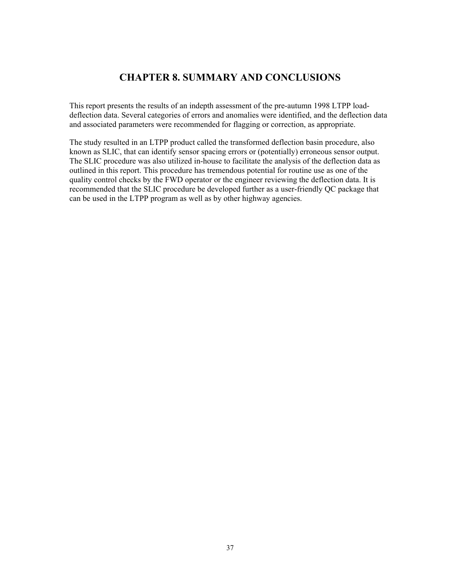### **CHAPTER 8. SUMMARY AND CONCLUSIONS**

This report presents the results of an indepth assessment of the pre-autumn 1998 LTPP loaddeflection data. Several categories of errors and anomalies were identified, and the deflection data and associated parameters were recommended for flagging or correction, as appropriate.

The study resulted in an LTPP product called the transformed deflection basin procedure, also known as SLIC, that can identify sensor spacing errors or (potentially) erroneous sensor output. The SLIC procedure was also utilized in-house to facilitate the analysis of the deflection data as outlined in this report. This procedure has tremendous potential for routine use as one of the quality control checks by the FWD operator or the engineer reviewing the deflection data. It is recommended that the SLIC procedure be developed further as a user-friendly QC package that can be used in the LTPP program as well as by other highway agencies.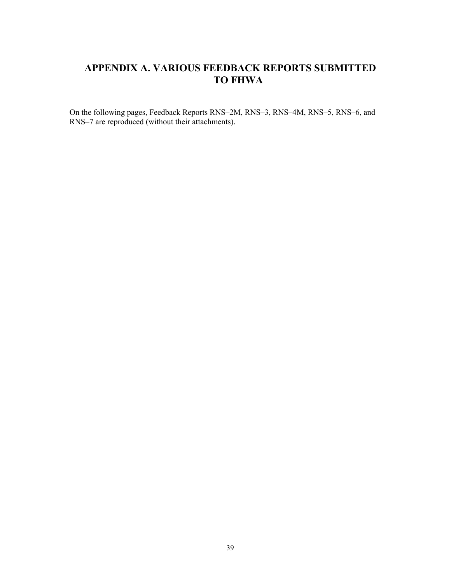# **APPENDIX A. VARIOUS FEEDBACK REPORTS SUBMITTED TO FHWA**

On the following pages, Feedback Reports RNS–2M, RNS–3, RNS–4M, RNS–5, RNS–6, and RNS–7 are reproduced (without their attachments).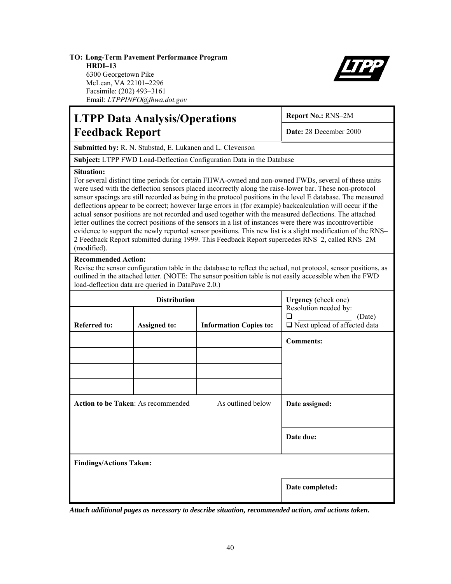#### **TO: Long-Term Pavement Performance Program HRDI–13** 6300 Georgetown Pike McLean, VA 22101–2296

Facsimile: (202) 493–3161 Email: *LTPPINFO@fhwa.dot.gov*



|                                                                                                                                                                                                                                                                                                                                                                                                                                                                                                                                                                                                                                                                                                                                                                                                                                                                                                                        | <b>LTPP Data Analysis/Operations</b>               | Report No.: RNS-2M<br>Date: 28 December 2000                         |                                                                                                                                                                                                                            |  |  |
|------------------------------------------------------------------------------------------------------------------------------------------------------------------------------------------------------------------------------------------------------------------------------------------------------------------------------------------------------------------------------------------------------------------------------------------------------------------------------------------------------------------------------------------------------------------------------------------------------------------------------------------------------------------------------------------------------------------------------------------------------------------------------------------------------------------------------------------------------------------------------------------------------------------------|----------------------------------------------------|----------------------------------------------------------------------|----------------------------------------------------------------------------------------------------------------------------------------------------------------------------------------------------------------------------|--|--|
| <b>Feedback Report</b>                                                                                                                                                                                                                                                                                                                                                                                                                                                                                                                                                                                                                                                                                                                                                                                                                                                                                                 |                                                    |                                                                      |                                                                                                                                                                                                                            |  |  |
|                                                                                                                                                                                                                                                                                                                                                                                                                                                                                                                                                                                                                                                                                                                                                                                                                                                                                                                        |                                                    | Submitted by: R. N. Stubstad, E. Lukanen and L. Clevenson            |                                                                                                                                                                                                                            |  |  |
|                                                                                                                                                                                                                                                                                                                                                                                                                                                                                                                                                                                                                                                                                                                                                                                                                                                                                                                        |                                                    | Subject: LTPP FWD Load-Deflection Configuration Data in the Database |                                                                                                                                                                                                                            |  |  |
| <b>Situation:</b><br>For several distinct time periods for certain FHWA-owned and non-owned FWDs, several of these units<br>were used with the deflection sensors placed incorrectly along the raise-lower bar. These non-protocol<br>sensor spacings are still recorded as being in the protocol positions in the level E database. The measured<br>deflections appear to be correct; however large errors in (for example) backcalculation will occur if the<br>actual sensor positions are not recorded and used together with the measured deflections. The attached<br>letter outlines the correct positions of the sensors in a list of instances were there was incontrovertible<br>evidence to support the newly reported sensor positions. This new list is a slight modification of the RNS-<br>2 Feedback Report submitted during 1999. This Feedback Report supercedes RNS-2, called RNS-2M<br>(modified). |                                                    |                                                                      |                                                                                                                                                                                                                            |  |  |
| <b>Recommended Action:</b>                                                                                                                                                                                                                                                                                                                                                                                                                                                                                                                                                                                                                                                                                                                                                                                                                                                                                             | load-deflection data are queried in DataPave 2.0.) |                                                                      | Revise the sensor configuration table in the database to reflect the actual, not protocol, sensor positions, as<br>outlined in the attached letter. (NOTE: The sensor position table is not easily accessible when the FWD |  |  |
|                                                                                                                                                                                                                                                                                                                                                                                                                                                                                                                                                                                                                                                                                                                                                                                                                                                                                                                        | <b>Distribution</b>                                |                                                                      | Urgency (check one)                                                                                                                                                                                                        |  |  |
| <b>Referred to:</b>                                                                                                                                                                                                                                                                                                                                                                                                                                                                                                                                                                                                                                                                                                                                                                                                                                                                                                    | <b>Assigned to:</b>                                | <b>Information Copies to:</b>                                        | Resolution needed by:<br>□<br>(Date)<br>□ Next upload of affected data                                                                                                                                                     |  |  |
|                                                                                                                                                                                                                                                                                                                                                                                                                                                                                                                                                                                                                                                                                                                                                                                                                                                                                                                        |                                                    |                                                                      | <b>Comments:</b>                                                                                                                                                                                                           |  |  |
|                                                                                                                                                                                                                                                                                                                                                                                                                                                                                                                                                                                                                                                                                                                                                                                                                                                                                                                        |                                                    |                                                                      |                                                                                                                                                                                                                            |  |  |
|                                                                                                                                                                                                                                                                                                                                                                                                                                                                                                                                                                                                                                                                                                                                                                                                                                                                                                                        |                                                    |                                                                      |                                                                                                                                                                                                                            |  |  |
|                                                                                                                                                                                                                                                                                                                                                                                                                                                                                                                                                                                                                                                                                                                                                                                                                                                                                                                        | Action to be Taken: As recommended                 | Date assigned:                                                       |                                                                                                                                                                                                                            |  |  |
|                                                                                                                                                                                                                                                                                                                                                                                                                                                                                                                                                                                                                                                                                                                                                                                                                                                                                                                        |                                                    | Date due:                                                            |                                                                                                                                                                                                                            |  |  |
| <b>Findings/Actions Taken:</b>                                                                                                                                                                                                                                                                                                                                                                                                                                                                                                                                                                                                                                                                                                                                                                                                                                                                                         |                                                    |                                                                      |                                                                                                                                                                                                                            |  |  |
|                                                                                                                                                                                                                                                                                                                                                                                                                                                                                                                                                                                                                                                                                                                                                                                                                                                                                                                        |                                                    |                                                                      | Date completed:                                                                                                                                                                                                            |  |  |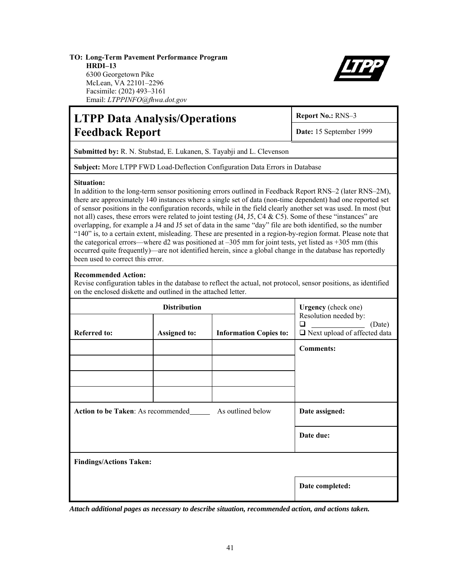#### **TO: Long-Term Pavement Performance Program HRDI–13** 6300 Georgetown Pike McLean, VA 22101–2296 Facsimile: (202) 493–3161



# **LTPP Data Analysis/Operations Report No.: RNS-3** Feedback Report **Date: 15 September 1999**

**Submitted by:** R. N. Stubstad, E. Lukanen, S. Tayabji and L. Clevenson

**Subject:** More LTPP FWD Load-Deflection Configuration Data Errors in Database

#### **Situation:**

In addition to the long-term sensor positioning errors outlined in Feedback Report RNS–2 (later RNS–2M), there are approximately 140 instances where a single set of data (non-time dependent) had one reported set of sensor positions in the configuration records, while in the field clearly another set was used. In most (but not all) cases, these errors were related to joint testing (J4, J5, C4 & C5). Some of these "instances" are overlapping, for example a J4 and J5 set of data in the same "day" file are both identified, so the number "140" is, to a certain extent, misleading. These are presented in a region-by-region format. Please note that the categorical errors—where d2 was positioned at –305 mm for joint tests, yet listed as +305 mm (this occurred quite frequently)—are not identified herein, since a global change in the database has reportedly been used to correct this error.

#### **Recommended Action:**

Revise configuration tables in the database to reflect the actual, not protocol, sensor positions, as identified on the enclosed diskette and outlined in the attached letter.

|                                           | Urgency (check one) |                               |                                                                             |  |  |  |  |
|-------------------------------------------|---------------------|-------------------------------|-----------------------------------------------------------------------------|--|--|--|--|
| <b>Referred to:</b>                       | <b>Assigned to:</b> | <b>Information Copies to:</b> | Resolution needed by:<br>(Date)<br>⊔<br>$\Box$ Next upload of affected data |  |  |  |  |
|                                           |                     |                               | <b>Comments:</b>                                                            |  |  |  |  |
|                                           |                     |                               |                                                                             |  |  |  |  |
|                                           |                     |                               |                                                                             |  |  |  |  |
|                                           |                     |                               |                                                                             |  |  |  |  |
| <b>Action to be Taken:</b> As recommended | Date assigned:      |                               |                                                                             |  |  |  |  |
|                                           |                     |                               | Date due:                                                                   |  |  |  |  |
| <b>Findings/Actions Taken:</b>            |                     |                               |                                                                             |  |  |  |  |
|                                           |                     |                               | Date completed:                                                             |  |  |  |  |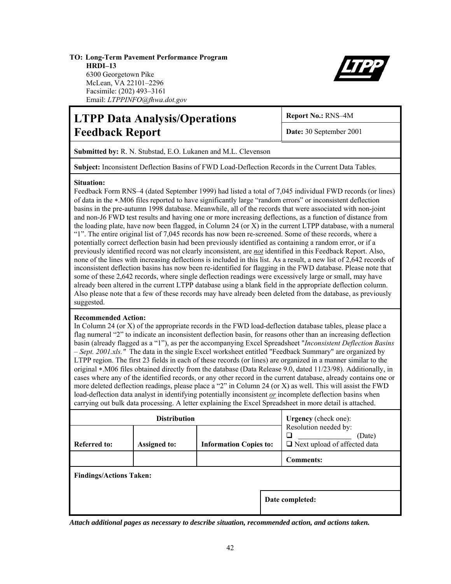#### **TO: Long-Term Pavement Performance Program HRDI–13** 6300 Georgetown Pike McLean, VA 22101–2296 Facsimile: (202) 493–3161



# Email: *LTPPINFO@fhwa.dot.gov*

# **LTPP Data Analysis/Operations** Report No.: RNS-4M **Feedback Report Date:** 30 September 2001

**Submitted by:** R. N. Stubstad, E.O. Lukanen and M.L. Clevenson

**Subject:** Inconsistent Deflection Basins of FWD Load-Deflection Records in the Current Data Tables.

#### **Situation:**

Feedback Form RNS–4 (dated September 1999) had listed a total of 7,045 individual FWD records (or lines) of data in the ∗.M06 files reported to have significantly large "random errors" or inconsistent deflection basins in the pre-autumn 1998 database. Meanwhile, all of the records that were associated with non-joint and non-J6 FWD test results and having one or more increasing deflections, as a function of distance from the loading plate, have now been flagged, in Column 24 (or X) in the current LTPP database, with a numeral "1". The entire original list of 7,045 records has now been re-screened. Some of these records, where a potentially correct deflection basin had been previously identified as containing a random error, or if a previously identified record was not clearly inconsistent, are *not* identified in this Feedback Report. Also, none of the lines with increasing deflections is included in this list. As a result, a new list of 2,642 records of inconsistent deflection basins has now been re-identified for flagging in the FWD database. Please note that some of these 2,642 records, where single deflection readings were excessively large or small, may have already been altered in the current LTPP database using a blank field in the appropriate deflection column. Also please note that a few of these records may have already been deleted from the database, as previously suggested.

#### **Recommended Action:**

In Column 24 (or X) of the appropriate records in the FWD load-deflection database tables, please place a flag numeral "2" to indicate an inconsistent deflection basin, for reasons other than an increasing deflection basin (already flagged as a "1"), as per the accompanying Excel Spreadsheet "*Inconsistent Deflection Basins – Sept. 2001.xls."* The data in the single Excel worksheet entitled "Feedback Summary" are organized by LTPP region. The first 23 fields in each of these records (or lines) are organized in a manner similar to the original ∗.M06 files obtained directly from the database (Data Release 9.0, dated 11/23/98). Additionally, in cases where any of the identified records, or any other record in the current database, already contains one or more deleted deflection readings, please place a "2" in Column 24 (or X) as well. This will assist the FWD load-deflection data analyst in identifying potentially inconsistent *or* incomplete deflection basins when carrying out bulk data processing. A letter explaining the Excel Spreadsheet in more detail is attached.

|                                | <b>Distribution</b> | <b>Urgency</b> (check one):   |                                                                        |  |  |  |  |
|--------------------------------|---------------------|-------------------------------|------------------------------------------------------------------------|--|--|--|--|
| <b>Referred to:</b>            | <b>Assigned to:</b> | <b>Information Copies to:</b> | Resolution needed by:<br>(Date)<br>$\Box$ Next upload of affected data |  |  |  |  |
|                                |                     |                               | <b>Comments:</b>                                                       |  |  |  |  |
| <b>Findings/Actions Taken:</b> |                     |                               |                                                                        |  |  |  |  |
|                                |                     | Date completed:               |                                                                        |  |  |  |  |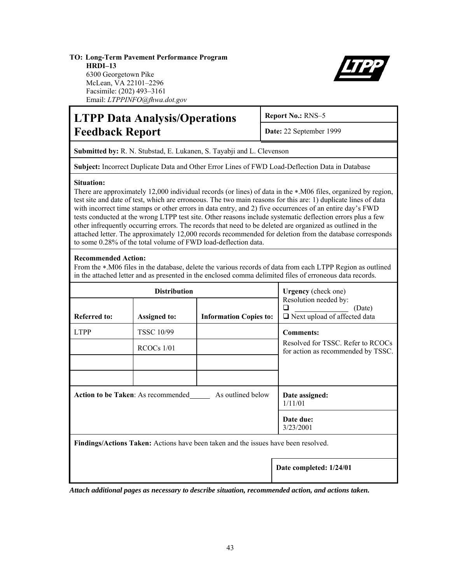#### **TO: Long-Term Pavement Performance Program HRDI–13** 6300 Georgetown Pike McLean, VA 22101–2296

Facsimile: (202) 493–3161 Email: *LTPPINFO@fhwa.dot.gov*



# **LTPP Data Analysis/Operations** Report No.: RNS-5 **Feedback Report Date:** 22 September 1999

**Submitted by:** R. N. Stubstad, E. Lukanen, S. Tayabji and L. Clevenson

**Subject:** Incorrect Duplicate Data and Other Error Lines of FWD Load-Deflection Data in Database

#### **Situation:**

There are approximately 12,000 individual records (or lines) of data in the ∗.M06 files, organized by region, test site and date of test, which are erroneous. The two main reasons for this are: 1) duplicate lines of data with incorrect time stamps or other errors in data entry, and 2) five occurrences of an entire day's FWD tests conducted at the wrong LTPP test site. Other reasons include systematic deflection errors plus a few other infrequently occurring errors. The records that need to be deleted are organized as outlined in the attached letter. The approximately 12,000 records recommended for deletion from the database corresponds to some 0.28% of the total volume of FWD load-deflection data.

#### **Recommended Action:**

From the ∗.M06 files in the database, delete the various records of data from each LTPP Region as outlined in the attached letter and as presented in the enclosed comma delimited files of erroneous data records.

|                     | <b>Distribution</b>                       | <b>Urgency</b> (check one)                                                                |                                                                               |
|---------------------|-------------------------------------------|-------------------------------------------------------------------------------------------|-------------------------------------------------------------------------------|
| <b>Referred to:</b> | <b>Assigned to:</b>                       | <b>Information Copies to:</b>                                                             | Resolution needed by:<br>(Date)<br>l I<br>$\Box$ Next upload of affected data |
| <b>LTPP</b>         | <b>TSSC 10/99</b>                         |                                                                                           | <b>Comments:</b>                                                              |
|                     | $RCOCs$ 1/01                              |                                                                                           | Resolved for TSSC. Refer to RCOCs<br>for action as recommended by TSSC.       |
|                     |                                           |                                                                                           |                                                                               |
|                     |                                           |                                                                                           |                                                                               |
|                     | <b>Action to be Taken: As recommended</b> | Date assigned:<br>1/11/01                                                                 |                                                                               |
|                     |                                           |                                                                                           | Date due:<br>3/23/2001                                                        |
|                     |                                           | <b>Findings/Actions Taken:</b> Actions have been taken and the issues have been resolved. |                                                                               |

**Date completed: 1/24/01**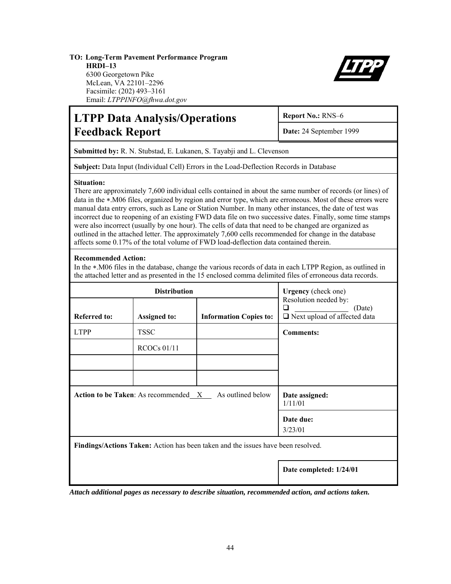#### **TO: Long-Term Pavement Performance Program HRDI–13** 6300 Georgetown Pike McLean, VA 22101–2296 Facsimile: (202) 493–3161

Email: *LTPPINFO@fhwa.dot.gov*



# **LTPP Data Analysis/Operations Report No.: RNS-6** Feedback Report **Date: 24 September 1999**

**Submitted by:** R. N. Stubstad, E. Lukanen, S. Tayabji and L. Clevenson

**Subject:** Data Input (Individual Cell) Errors in the Load-Deflection Records in Database

#### **Situation:**

There are approximately 7,600 individual cells contained in about the same number of records (or lines) of data in the ∗.M06 files, organized by region and error type, which are erroneous. Most of these errors were manual data entry errors, such as Lane or Station Number. In many other instances, the date of test was incorrect due to reopening of an existing FWD data file on two successive dates. Finally, some time stamps were also incorrect (usually by one hour). The cells of data that need to be changed are organized as outlined in the attached letter. The approximately 7,600 cells recommended for change in the database affects some 0.17% of the total volume of FWD load-deflection data contained therein.

#### **Recommended Action:**

In the ∗.M06 files in the database, change the various records of data in each LTPP Region, as outlined in the attached letter and as presented in the 15 enclosed comma delimited files of erroneous data records.

|                                                                  | <b>Distribution</b> | <b>Urgency</b> (check one)<br>Resolution needed by:<br>❏<br>(Date)               |                                     |
|------------------------------------------------------------------|---------------------|----------------------------------------------------------------------------------|-------------------------------------|
| <b>Referred to:</b>                                              | <b>Assigned to:</b> | <b>Information Copies to:</b>                                                    | $\Box$ Next upload of affected data |
| <b>LTPP</b>                                                      | <b>TSSC</b>         |                                                                                  | <b>Comments:</b>                    |
|                                                                  | $RCOCs$ 01/11       |                                                                                  |                                     |
|                                                                  |                     |                                                                                  |                                     |
|                                                                  |                     |                                                                                  |                                     |
| As outlined below<br><b>Action to be Taken:</b> As recommended X |                     |                                                                                  | Date assigned:<br>1/11/01           |
|                                                                  |                     |                                                                                  | Date due:<br>3/23/01                |
|                                                                  |                     | Findings/Actions Taken: Action has been taken and the issues have been resolved. |                                     |
|                                                                  |                     |                                                                                  | Date completed: 1/24/01             |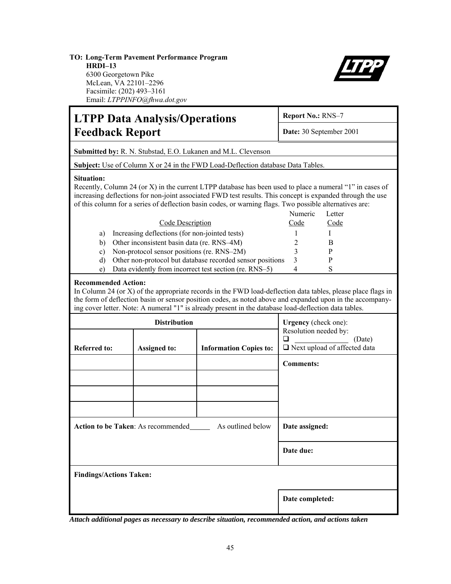#### **TO: Long-Term Pavement Performance Program HRDI–13** 6300 Georgetown Pike McLean, VA 22101–2296 Facsimile: (202) 493–3161

Email: *LTPPINFO@fhwa.dot.gov*



# **LTPP Data Analysis/Operations** Report No.: RNS-7 Feedback Report Date: 30 September 2001 **Submitted by:** R. N. Stubstad, E.O. Lukanen and M.L. Clevenson **Subject:** Use of Column X or 24 in the FWD Load-Deflection database Data Tables. **Situation:**  Recently, Column 24 (or X) in the current LTPP database has been used to place a numeral "1" in cases of increasing deflections for non-joint associated FWD test results. This concept is expanded through the use of this column for a series of deflection basin codes, or warning flags. Two possible alternatives are: Numeric Letter Code Description Code Code a) Increasing deflections (for non-jointed tests) 1 I b) Other inconsistent basin data (re. RNS–4M) 2 B c) Non-protocol sensor positions (re. RNS–2M) 3 P d) Other non-protocol but database recorded sensor positions 3 P e) Data evidently from incorrect test section (re. RNS–5) 4 S **Recommended Action:** In Column 24 (or X) of the appropriate records in the FWD load-deflection data tables, please place flags in the form of deflection basin or sensor position codes, as noted above and expanded upon in the accompanying cover letter. Note: A numeral "1" is already present in the database load-deflection data tables. **Distribution** Referred to: **Assigned to: Information Copies to: Urgency** (check one): Resolution needed by:  $\Box$  (Date) □ Next upload of affected data **Comments: Action to be Taken:** As recommended As outlined below **Date assigned:** Date due: **Findings/Actions Taken: Date completed:**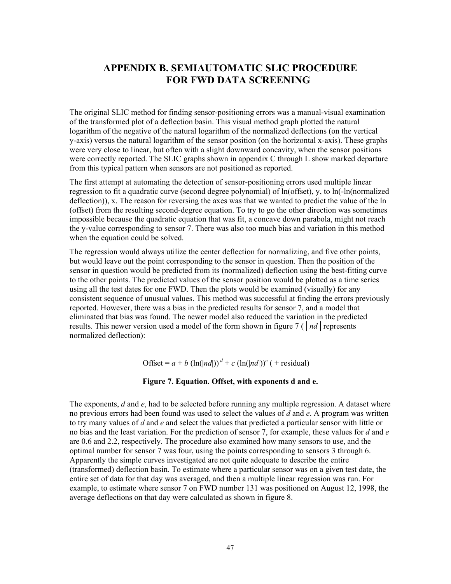## **APPENDIX B. SEMIAUTOMATIC SLIC PROCEDURE FOR FWD DATA SCREENING**

The original SLIC method for finding sensor-positioning errors was a manual-visual examination of the transformed plot of a deflection basin. This visual method graph plotted the natural logarithm of the negative of the natural logarithm of the normalized deflections (on the vertical y-axis) versus the natural logarithm of the sensor position (on the horizontal x-axis). These graphs were very close to linear, but often with a slight downward concavity, when the sensor positions were correctly reported. The SLIC graphs shown in appendix C through L show marked departure from this typical pattern when sensors are not positioned as reported.

The first attempt at automating the detection of sensor-positioning errors used multiple linear regression to fit a quadratic curve (second degree polynomial) of ln(offset), y, to ln(-ln(normalized deflection)), x. The reason for reversing the axes was that we wanted to predict the value of the ln (offset) from the resulting second-degree equation. To try to go the other direction was sometimes impossible because the quadratic equation that was fit, a concave down parabola, might not reach the y-value corresponding to sensor 7. There was also too much bias and variation in this method when the equation could be solved.

The regression would always utilize the center deflection for normalizing, and five other points, but would leave out the point corresponding to the sensor in question. Then the position of the sensor in question would be predicted from its (normalized) deflection using the best-fitting curve to the other points. The predicted values of the sensor position would be plotted as a time series using all the test dates for one FWD. Then the plots would be examined (visually) for any consistent sequence of unusual values. This method was successful at finding the errors previously reported. However, there was a bias in the predicted results for sensor 7, and a model that eliminated that bias was found. The newer model also reduced the variation in the predicted results. This newer version used a model of the form shown in figure 7 (│*nd*│represents normalized deflection):

Offset =  $a + b$  (ln(|nd|))<sup>d</sup> + c (ln(|nd|))<sup>e</sup> (+ residual)

#### **Figure 7. Equation. Offset, with exponents d and e.**

The exponents, *d* and *e*, had to be selected before running any multiple regression. A dataset where no previous errors had been found was used to select the values of *d* and *e*. A program was written to try many values of *d* and *e* and select the values that predicted a particular sensor with little or no bias and the least variation. For the prediction of sensor 7, for example, these values for *d* and *e* are 0.6 and 2.2, respectively. The procedure also examined how many sensors to use, and the optimal number for sensor 7 was four, using the points corresponding to sensors 3 through 6. Apparently the simple curves investigated are not quite adequate to describe the entire (transformed) deflection basin. To estimate where a particular sensor was on a given test date, the entire set of data for that day was averaged, and then a multiple linear regression was run. For example, to estimate where sensor 7 on FWD number 131 was positioned on August 12, 1998, the average deflections on that day were calculated as shown in figure 8.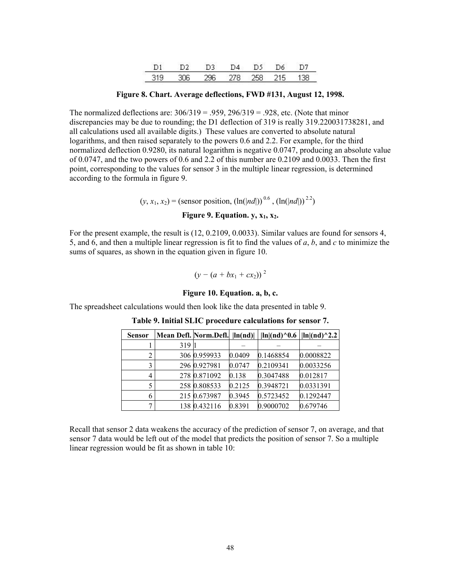**Figure 8. Chart. Average deflections, FWD #131, August 12, 1998.** 

The normalized deflections are:  $306/319 = .959$ ,  $296/319 = .928$ , etc. (Note that minor discrepancies may be due to rounding; the D1 deflection of 319 is really 319.220031738281, and all calculations used all available digits.) These values are converted to absolute natural logarithms, and then raised separately to the powers 0.6 and 2.2. For example, for the third normalized deflection 0.9280, its natural logarithm is negative 0.0747, producing an absolute value of 0.0747, and the two powers of 0.6 and 2.2 of this number are 0.2109 and 0.0033. Then the first point, corresponding to the values for sensor 3 in the multiple linear regression, is determined according to the formula in figure 9.

 $(y, x_1, x_2)$  = (sensor position,  $(\ln(|nd|))^{0.6}$ ,  $(\ln(|nd|))^{2.2}$ )

#### **Figure 9. Equation. y,**  $x_1$ **,**  $x_2$ **.**

For the present example, the result is (12, 0.2109, 0.0033). Similar values are found for sensors 4, 5, and 6, and then a multiple linear regression is fit to find the values of *a*, *b*, and *c* to minimize the sums of squares, as shown in the equation given in figure 10.

$$
(y - (a + bx_1 + cx_2))^2
$$

#### **Figure 10. Equation. a, b, c.**

The spreadsheet calculations would then look like the data presented in table 9.

| <b>Sensor</b> |      |              |        | Mean Defl. Norm.Defl. $\ln(nd)$ $\ln\ln(dd)^0.6$ $\ln\ln(dd)^2.2$ |           |
|---------------|------|--------------|--------|-------------------------------------------------------------------|-----------|
|               | 3191 |              |        |                                                                   |           |
| 2             |      | 306 0.959933 | 0.0409 | 0.1468854                                                         | 0.0008822 |
| 3             |      | 296 0.927981 | 0.0747 | 0.2109341                                                         | 0.0033256 |
| 4             |      | 278 0.871092 | 0.138  | 0.3047488                                                         | 0.012817  |
| 5             |      | 258 0.808533 | 0.2125 | 0.3948721                                                         | 0.0331391 |
| 6             |      | 215 0.673987 | 0.3945 | 0.5723452                                                         | 0.1292447 |
| 7             |      | 138 0.432116 | 0.8391 | 0.9000702                                                         | 0.679746  |

**Table 9. Initial SLIC procedure calculations for sensor 7.** 

Recall that sensor 2 data weakens the accuracy of the prediction of sensor 7, on average, and that sensor 7 data would be left out of the model that predicts the position of sensor 7. So a multiple linear regression would be fit as shown in table 10: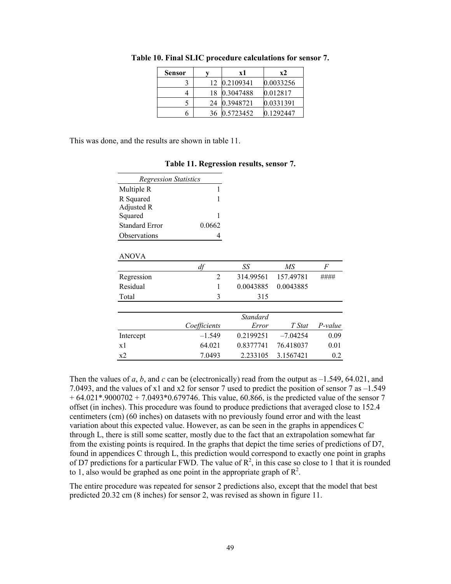| <b>Sensor</b> |    | x2<br>хl  |           |
|---------------|----|-----------|-----------|
|               | 12 | 0.2109341 | 0.0033256 |
|               | 18 | 0.3047488 | 0.012817  |
|               | 24 | 0.3948721 | 0.0331391 |
|               | 36 | 0.5723452 | 0.1292447 |

**Table 10. Final SLIC procedure calculations for sensor 7.** 

This was done, and the results are shown in table 11.

| <b>Regression Statistics</b>                                   |                |                 |            |         |
|----------------------------------------------------------------|----------------|-----------------|------------|---------|
| Multiple R                                                     | 1              |                 |            |         |
| R Squared                                                      | 1              |                 |            |         |
| Adjusted R<br>Squared<br><b>Standard Error</b><br>Observations |                |                 |            |         |
|                                                                | 1              |                 |            |         |
|                                                                | 0.0662         |                 |            |         |
|                                                                | 4              |                 |            |         |
|                                                                |                |                 |            |         |
| <b>ANOVA</b>                                                   |                |                 |            |         |
|                                                                | df             | SS              | ΜS         | F       |
| Regression                                                     | $\overline{2}$ | 314.99561       | 157.49781  | ####    |
| Residual                                                       |                | 0.0043885       | 0.0043885  |         |
| Total                                                          | 3              | 315             |            |         |
|                                                                |                |                 |            |         |
|                                                                |                | <b>Standard</b> |            |         |
|                                                                | Coefficients   | Error           | T Stat     | P-value |
| Intercept                                                      | $-1.549$       | 0.2199251       | $-7.04254$ | 0.09    |
| x1                                                             | 64.021         | 0.8377741       | 76.418037  | 0.01    |
| x2                                                             | 7.0493         | 2.233105        | 3.1567421  | 0.2     |

#### **Table 11. Regression results, sensor 7.**

Then the values of *a*, *b*, and *c* can be (electronically) read from the output as  $-1.549$ , 64.021, and 7.0493, and the values of x1 and x2 for sensor 7 used to predict the position of sensor 7 as –1.549  $+ 64.021$ \*.9000702 + 7.0493\*0.679746. This value, 60.866, is the predicted value of the sensor 7 offset (in inches). This procedure was found to produce predictions that averaged close to 152.4 centimeters (cm) (60 inches) on datasets with no previously found error and with the least variation about this expected value. However, as can be seen in the graphs in appendices C through L, there is still some scatter, mostly due to the fact that an extrapolation somewhat far from the existing points is required. In the graphs that depict the time series of predictions of D7, found in appendices C through L, this prediction would correspond to exactly one point in graphs of D7 predictions for a particular FWD. The value of  $R^2$ , in this case so close to 1 that it is rounded to 1, also would be graphed as one point in the appropriate graph of  $\mathbb{R}^2$ .

The entire procedure was repeated for sensor 2 predictions also, except that the model that best predicted 20.32 cm (8 inches) for sensor 2, was revised as shown in figure 11.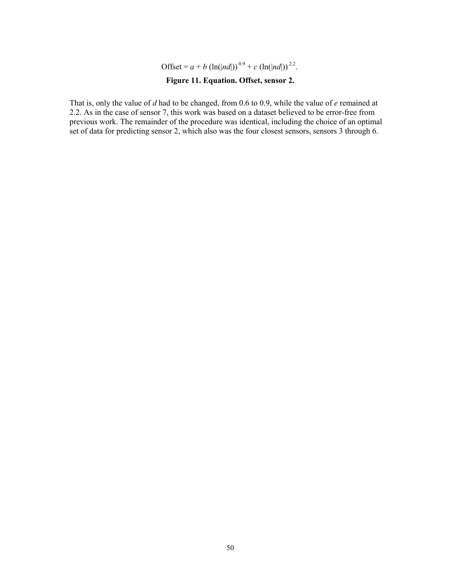Offset =  $a + b$  (ln(|*nd*|))<sup>0.9</sup> +  $c$  (ln(|*nd*|))<sup>2.2</sup>.

#### **Figure 11. Equation. Offset, sensor 2.**

That is, only the value of *d* had to be changed, from 0.6 to 0.9, while the value of *e* remained at 2.2. As in the case of sensor 7, this work was based on a dataset believed to be error-free from previous work. The remainder of the procedure was identical, including the choice of an optimal set of data for predicting sensor 2, which also was the four closest sensors, sensors 3 through 6.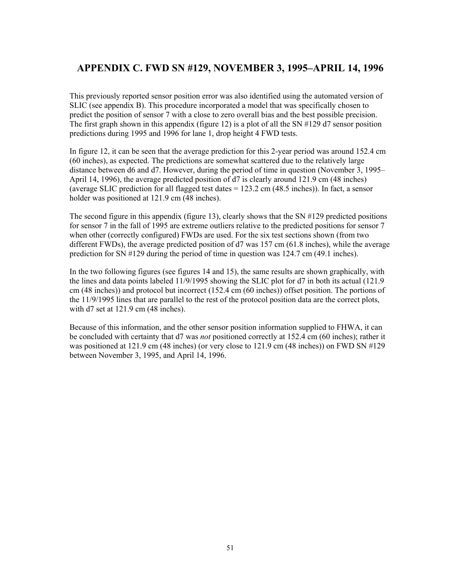## **APPENDIX C. FWD SN #129, NOVEMBER 3, 1995–APRIL 14, 1996**

This previously reported sensor position error was also identified using the automated version of SLIC (see appendix B). This procedure incorporated a model that was specifically chosen to predict the position of sensor 7 with a close to zero overall bias and the best possible precision. The first graph shown in this appendix (figure 12) is a plot of all the SN #129 d7 sensor position predictions during 1995 and 1996 for lane 1, drop height 4 FWD tests.

In figure 12, it can be seen that the average prediction for this 2-year period was around 152.4 cm (60 inches), as expected. The predictions are somewhat scattered due to the relatively large distance between d6 and d7. However, during the period of time in question (November 3, 1995– April 14, 1996), the average predicted position of d7 is clearly around 121.9 cm (48 inches) (average SLIC prediction for all flagged test dates = 123.2 cm (48.5 inches)). In fact, a sensor holder was positioned at 121.9 cm (48 inches).

The second figure in this appendix (figure 13), clearly shows that the SN #129 predicted positions for sensor 7 in the fall of 1995 are extreme outliers relative to the predicted positions for sensor 7 when other (correctly configured) FWDs are used. For the six test sections shown (from two different FWDs), the average predicted position of d7 was 157 cm (61.8 inches), while the average prediction for SN #129 during the period of time in question was 124.7 cm (49.1 inches).

In the two following figures (see figures 14 and 15), the same results are shown graphically, with the lines and data points labeled 11/9/1995 showing the SLIC plot for d7 in both its actual (121.9 cm (48 inches)) and protocol but incorrect (152.4 cm (60 inches)) offset position. The portions of the 11/9/1995 lines that are parallel to the rest of the protocol position data are the correct plots, with d7 set at 121.9 cm (48 inches).

Because of this information, and the other sensor position information supplied to FHWA, it can be concluded with certainty that d7 was *not* positioned correctly at 152.4 cm (60 inches); rather it was positioned at 121.9 cm (48 inches) (or very close to 121.9 cm (48 inches)) on FWD SN #129 between November 3, 1995, and April 14, 1996.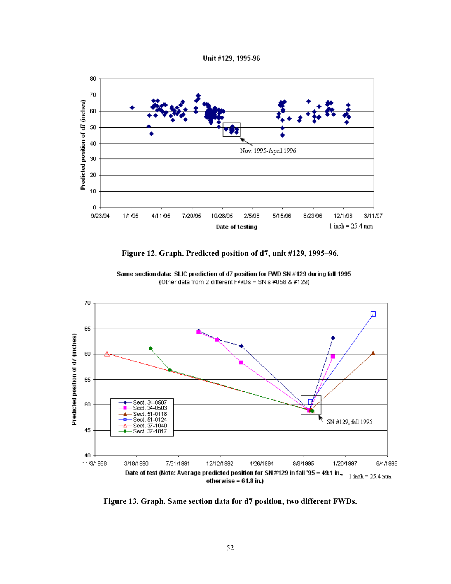Unit #129, 1995-96



**Figure 12. Graph. Predicted position of d7, unit #129, 1995–96.** 



Same section data: SLIC prediction of d7 position for FWD SN #129 during fall 1995 (Other data from 2 different FWDs = SN's #058 & #129)

**Figure 13. Graph. Same section data for d7 position, two different FWDs.**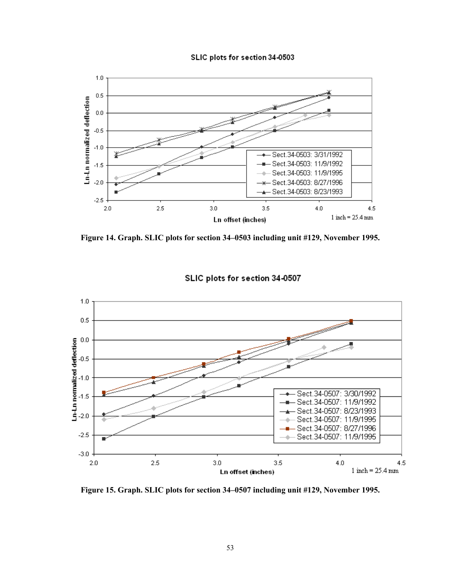



**Figure 14. Graph. SLIC plots for section 34–0503 including unit #129, November 1995.** 



#### SLIC plots for section 34-0507

**Figure 15. Graph. SLIC plots for section 34–0507 including unit #129, November 1995.**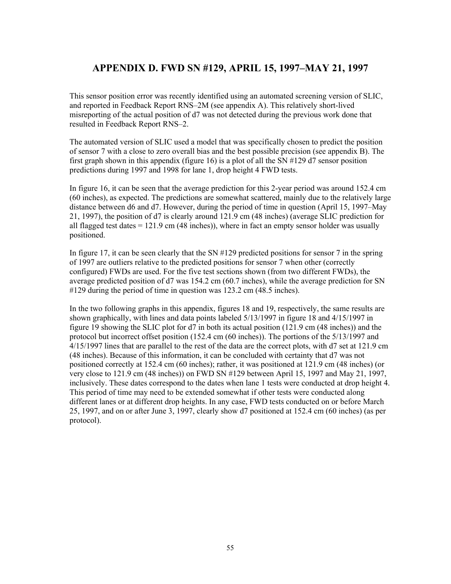## **APPENDIX D. FWD SN #129, APRIL 15, 1997–MAY 21, 1997**

This sensor position error was recently identified using an automated screening version of SLIC, and reported in Feedback Report RNS–2M (see appendix A). This relatively short-lived misreporting of the actual position of d7 was not detected during the previous work done that resulted in Feedback Report RNS–2.

The automated version of SLIC used a model that was specifically chosen to predict the position of sensor 7 with a close to zero overall bias and the best possible precision (see appendix B). The first graph shown in this appendix (figure 16) is a plot of all the SN #129 d7 sensor position predictions during 1997 and 1998 for lane 1, drop height 4 FWD tests.

In figure 16, it can be seen that the average prediction for this 2-year period was around 152.4 cm (60 inches), as expected. The predictions are somewhat scattered, mainly due to the relatively large distance between d6 and d7. However, during the period of time in question (April 15, 1997–May 21, 1997), the position of d7 is clearly around 121.9 cm (48 inches) (average SLIC prediction for all flagged test dates  $= 121.9$  cm (48 inches)), where in fact an empty sensor holder was usually positioned.

In figure 17, it can be seen clearly that the SN  $\#129$  predicted positions for sensor 7 in the spring of 1997 are outliers relative to the predicted positions for sensor 7 when other (correctly configured) FWDs are used. For the five test sections shown (from two different FWDs), the average predicted position of d7 was 154.2 cm (60.7 inches), while the average prediction for SN #129 during the period of time in question was 123.2 cm (48.5 inches).

In the two following graphs in this appendix, figures 18 and 19, respectively, the same results are shown graphically, with lines and data points labeled 5/13/1997 in figure 18 and 4/15/1997 in figure 19 showing the SLIC plot for d7 in both its actual position (121.9 cm (48 inches)) and the protocol but incorrect offset position (152.4 cm (60 inches)). The portions of the 5/13/1997 and 4/15/1997 lines that are parallel to the rest of the data are the correct plots, with d7 set at 121.9 cm (48 inches). Because of this information, it can be concluded with certainty that d7 was not positioned correctly at 152.4 cm (60 inches); rather, it was positioned at 121.9 cm (48 inches) (or very close to 121.9 cm (48 inches)) on FWD SN #129 between April 15, 1997 and May 21, 1997, inclusively. These dates correspond to the dates when lane 1 tests were conducted at drop height 4. This period of time may need to be extended somewhat if other tests were conducted along different lanes or at different drop heights. In any case, FWD tests conducted on or before March 25, 1997, and on or after June 3, 1997, clearly show d7 positioned at 152.4 cm (60 inches) (as per protocol).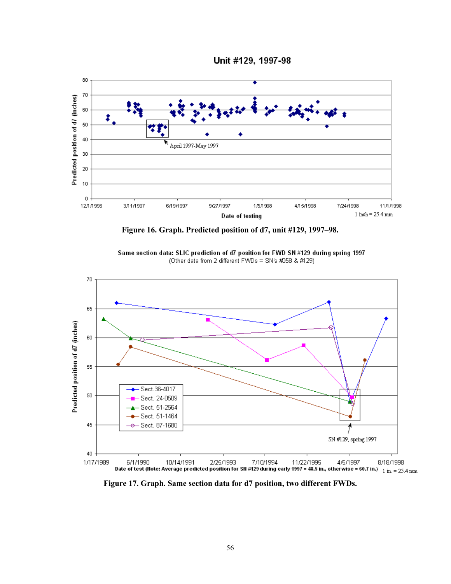



**Figure 16. Graph. Predicted position of d7, unit #129, 1997–98.** 





**Figure 17. Graph. Same section data for d7 position, two different FWDs.**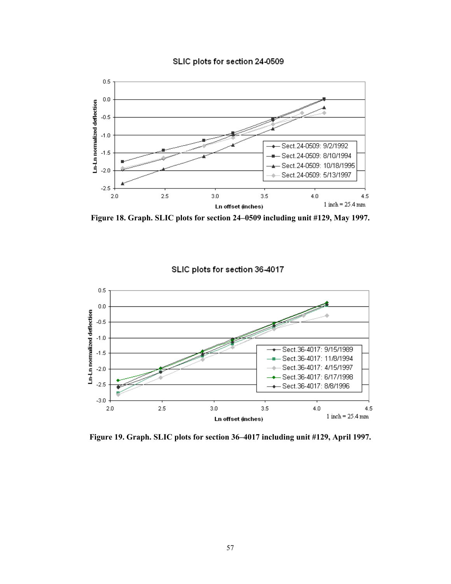



**Figure 18. Graph. SLIC plots for section 24–0509 including unit #129, May 1997.** 



SLIC plots for section 36-4017

**Figure 19. Graph. SLIC plots for section 36–4017 including unit #129, April 1997.**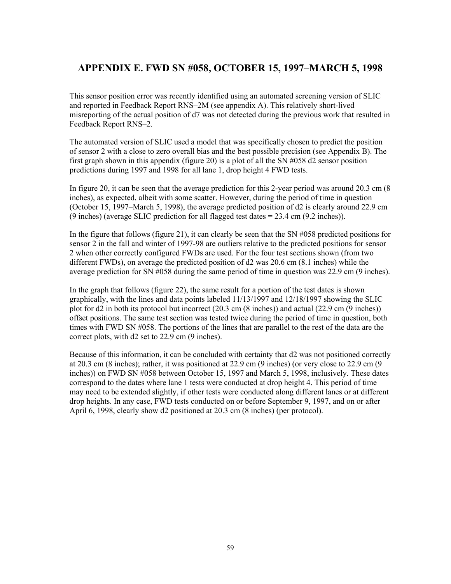## **APPENDIX E. FWD SN #058, OCTOBER 15, 1997–MARCH 5, 1998**

This sensor position error was recently identified using an automated screening version of SLIC and reported in Feedback Report RNS–2M (see appendix A). This relatively short-lived misreporting of the actual position of d7 was not detected during the previous work that resulted in Feedback Report RNS–2.

The automated version of SLIC used a model that was specifically chosen to predict the position of sensor 2 with a close to zero overall bias and the best possible precision (see Appendix B). The first graph shown in this appendix (figure 20) is a plot of all the SN #058 d2 sensor position predictions during 1997 and 1998 for all lane 1, drop height 4 FWD tests.

In figure 20, it can be seen that the average prediction for this 2-year period was around 20.3 cm (8 inches), as expected, albeit with some scatter. However, during the period of time in question (October 15, 1997–March 5, 1998), the average predicted position of d2 is clearly around 22.9 cm (9 inches) (average SLIC prediction for all flagged test dates = 23.4 cm (9.2 inches)).

In the figure that follows (figure 21), it can clearly be seen that the SN #058 predicted positions for sensor 2 in the fall and winter of 1997-98 are outliers relative to the predicted positions for sensor 2 when other correctly configured FWDs are used. For the four test sections shown (from two different FWDs), on average the predicted position of d2 was 20.6 cm (8.1 inches) while the average prediction for SN #058 during the same period of time in question was 22.9 cm (9 inches).

In the graph that follows (figure 22), the same result for a portion of the test dates is shown graphically, with the lines and data points labeled 11/13/1997 and 12/18/1997 showing the SLIC plot for d2 in both its protocol but incorrect (20.3 cm (8 inches)) and actual (22.9 cm (9 inches)) offset positions. The same test section was tested twice during the period of time in question, both times with FWD SN #058. The portions of the lines that are parallel to the rest of the data are the correct plots, with d2 set to 22.9 cm (9 inches).

Because of this information, it can be concluded with certainty that d2 was not positioned correctly at 20.3 cm (8 inches); rather, it was positioned at 22.9 cm (9 inches) (or very close to 22.9 cm (9 inches)) on FWD SN #058 between October 15, 1997 and March 5, 1998, inclusively. These dates correspond to the dates where lane 1 tests were conducted at drop height 4. This period of time may need to be extended slightly, if other tests were conducted along different lanes or at different drop heights. In any case, FWD tests conducted on or before September 9, 1997, and on or after April 6, 1998, clearly show d2 positioned at 20.3 cm (8 inches) (per protocol).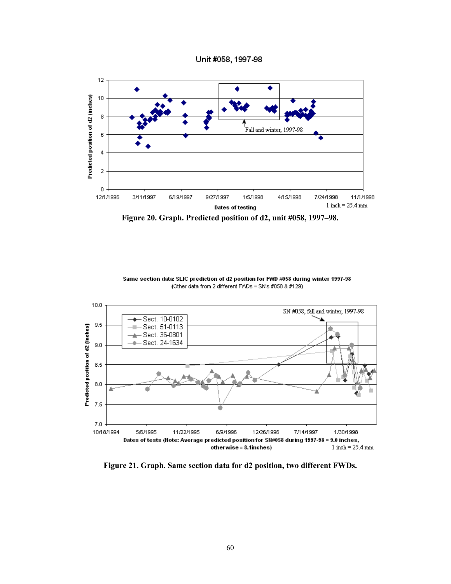Unit #058, 1997-98



Same section data: SLIC prediction of d2 position for FWD #058 during winter 1997-98 (Other data from 2 different FV\Ds = SN's #058 & #129)



**Figure 21. Graph. Same section data for d2 position, two different FWDs.**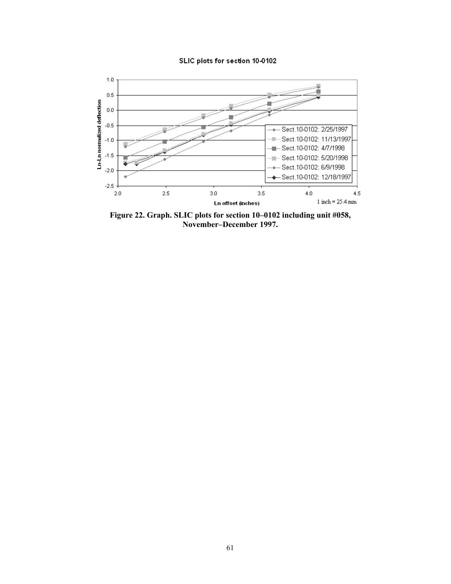#### SLIC plots for section 10-0102



**Figure 22. Graph. SLIC plots for section 10–0102 including unit #058, November–December 1997.**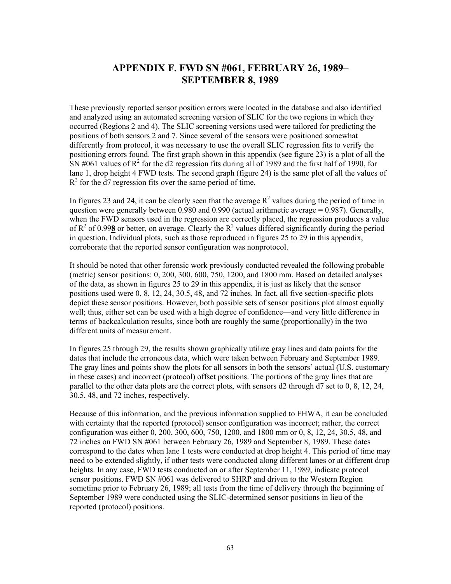## **APPENDIX F. FWD SN #061, FEBRUARY 26, 1989– SEPTEMBER 8, 1989**

These previously reported sensor position errors were located in the database and also identified and analyzed using an automated screening version of SLIC for the two regions in which they occurred (Regions 2 and 4). The SLIC screening versions used were tailored for predicting the positions of both sensors 2 and 7. Since several of the sensors were positioned somewhat differently from protocol, it was necessary to use the overall SLIC regression fits to verify the positioning errors found. The first graph shown in this appendix (see figure 23) is a plot of all the SN #061 values of  $R^2$  for the d2 regression fits during all of 1989 and the first half of 1990, for lane 1, drop height 4 FWD tests. The second graph (figure 24) is the same plot of all the values of  $R<sup>2</sup>$  for the  $d7$  regression fits over the same period of time.

In figures 23 and 24, it can be clearly seen that the average  $R^2$  values during the period of time in question were generally between 0.980 and 0.990 (actual arithmetic average  $= 0.987$ ). Generally, when the FWD sensors used in the regression are correctly placed, the regression produces a value of  $R^2$  of 0.998 or better, on average. Clearly the  $R^2$  values differed significantly during the period in question. Individual plots, such as those reproduced in figures 25 to 29 in this appendix, corroborate that the reported sensor configuration was nonprotocol.

It should be noted that other forensic work previously conducted revealed the following probable (metric) sensor positions: 0, 200, 300, 600, 750, 1200, and 1800 mm. Based on detailed analyses of the data, as shown in figures 25 to 29 in this appendix, it is just as likely that the sensor positions used were 0, 8, 12, 24, 30.5, 48, and 72 inches. In fact, all five section-specific plots depict these sensor positions. However, both possible sets of sensor positions plot almost equally well; thus, either set can be used with a high degree of confidence—and very little difference in terms of backcalculation results, since both are roughly the same (proportionally) in the two different units of measurement.

In figures 25 through 29, the results shown graphically utilize gray lines and data points for the dates that include the erroneous data, which were taken between February and September 1989. The gray lines and points show the plots for all sensors in both the sensors' actual (U.S. customary in these cases) and incorrect (protocol) offset positions. The portions of the gray lines that are parallel to the other data plots are the correct plots, with sensors d2 through d7 set to 0, 8, 12, 24, 30.5, 48, and 72 inches, respectively.

Because of this information, and the previous information supplied to FHWA, it can be concluded with certainty that the reported (protocol) sensor configuration was incorrect; rather, the correct configuration was either 0, 200, 300, 600, 750, 1200, and 1800 mm or 0, 8, 12, 24, 30.5, 48, and 72 inches on FWD SN #061 between February 26, 1989 and September 8, 1989. These dates correspond to the dates when lane 1 tests were conducted at drop height 4. This period of time may need to be extended slightly, if other tests were conducted along different lanes or at different drop heights. In any case, FWD tests conducted on or after September 11, 1989, indicate protocol sensor positions. FWD SN #061 was delivered to SHRP and driven to the Western Region sometime prior to February 26, 1989; all tests from the time of delivery through the beginning of September 1989 were conducted using the SLIC-determined sensor positions in lieu of the reported (protocol) positions.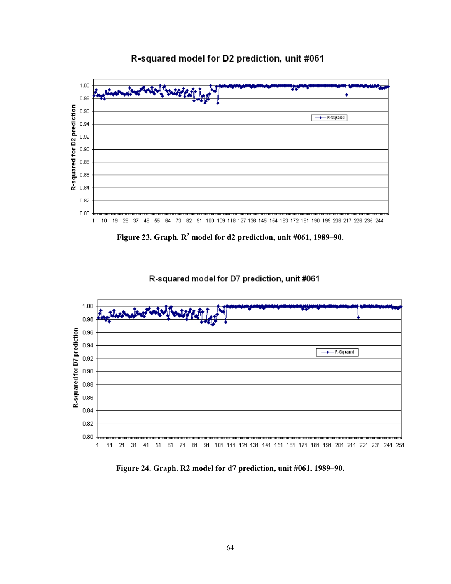## R-squared model for D2 prediction, unit #061



Figure 23. Graph.  $R^2$  model for d2 prediction, unit  $\#061$ , 1989–90.



R-squared model for D7 prediction, unit #061

**Figure 24. Graph. R2 model for d7 prediction, unit #061, 1989–90.**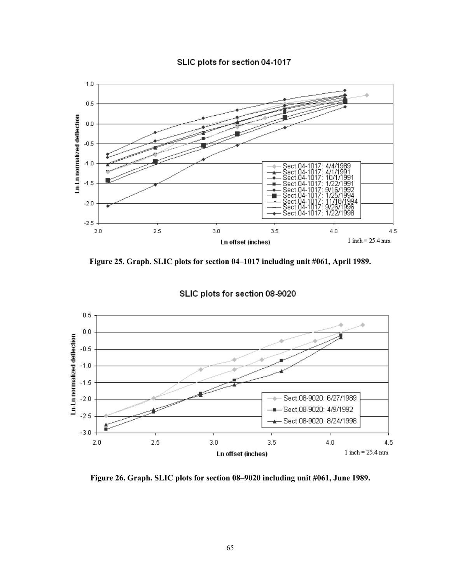



**Figure 25. Graph. SLIC plots for section 04–1017 including unit #061, April 1989.** 



SLIC plots for section 08-9020

**Figure 26. Graph. SLIC plots for section 08–9020 including unit #061, June 1989.**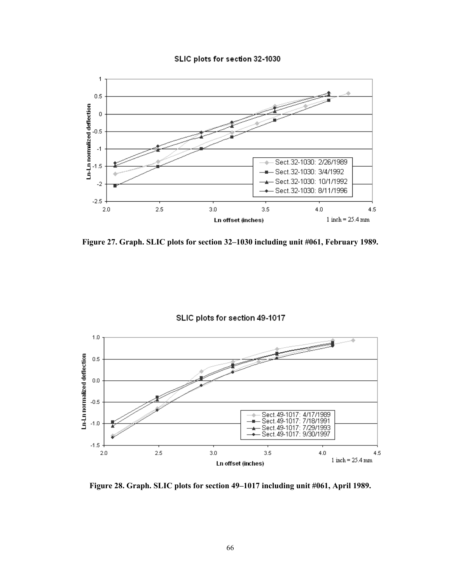



**Figure 27. Graph. SLIC plots for section 32–1030 including unit #061, February 1989.** 



**Figure 28. Graph. SLIC plots for section 49–1017 including unit #061, April 1989.**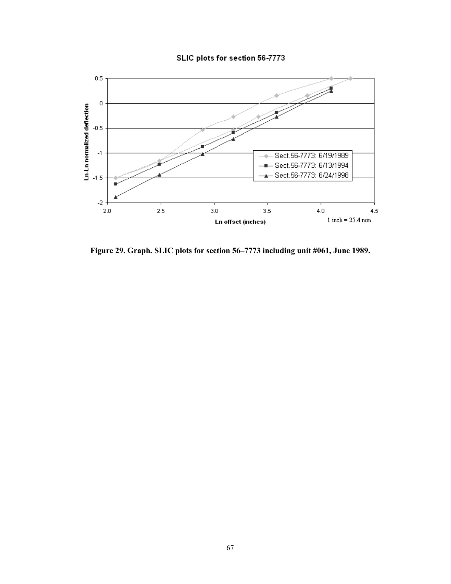### SLIC plots for section 56-7773



**Figure 29. Graph. SLIC plots for section 56–7773 including unit #061, June 1989.**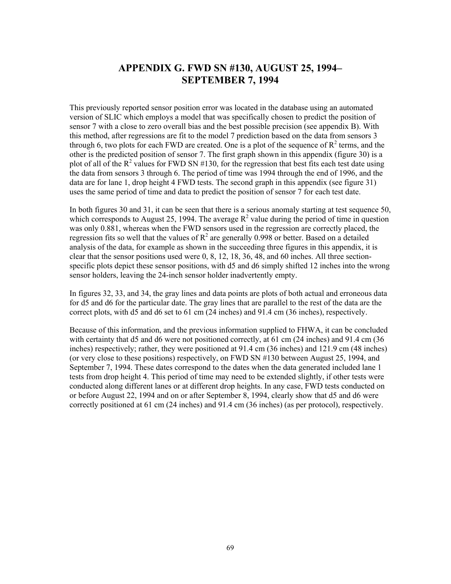# **APPENDIX G. FWD SN #130, AUGUST 25, 1994– SEPTEMBER 7, 1994**

This previously reported sensor position error was located in the database using an automated version of SLIC which employs a model that was specifically chosen to predict the position of sensor 7 with a close to zero overall bias and the best possible precision (see appendix B). With this method, after regressions are fit to the model 7 prediction based on the data from sensors 3 through 6, two plots for each FWD are created. One is a plot of the sequence of  $R^2$  terms, and the other is the predicted position of sensor 7. The first graph shown in this appendix (figure 30) is a plot of all of the  $R^2$  values for FWD SN #130, for the regression that best fits each test date using the data from sensors 3 through 6. The period of time was 1994 through the end of 1996, and the data are for lane 1, drop height 4 FWD tests. The second graph in this appendix (see figure 31) uses the same period of time and data to predict the position of sensor 7 for each test date.

In both figures 30 and 31, it can be seen that there is a serious anomaly starting at test sequence 50, which corresponds to August 25, 1994. The average  $R^2$  value during the period of time in question was only 0.881, whereas when the FWD sensors used in the regression are correctly placed, the regression fits so well that the values of  $R^2$  are generally 0.998 or better. Based on a detailed analysis of the data, for example as shown in the succeeding three figures in this appendix, it is clear that the sensor positions used were 0, 8, 12, 18, 36, 48, and 60 inches. All three sectionspecific plots depict these sensor positions, with d5 and d6 simply shifted 12 inches into the wrong sensor holders, leaving the 24-inch sensor holder inadvertently empty.

In figures 32, 33, and 34, the gray lines and data points are plots of both actual and erroneous data for d5 and d6 for the particular date. The gray lines that are parallel to the rest of the data are the correct plots, with d5 and d6 set to 61 cm (24 inches) and 91.4 cm (36 inches), respectively.

Because of this information, and the previous information supplied to FHWA, it can be concluded with certainty that d5 and d6 were not positioned correctly, at 61 cm (24 inches) and 91.4 cm (36 inches) respectively; rather, they were positioned at 91.4 cm (36 inches) and 121.9 cm (48 inches) (or very close to these positions) respectively, on FWD SN #130 between August 25, 1994, and September 7, 1994. These dates correspond to the dates when the data generated included lane 1 tests from drop height 4. This period of time may need to be extended slightly, if other tests were conducted along different lanes or at different drop heights. In any case, FWD tests conducted on or before August 22, 1994 and on or after September 8, 1994, clearly show that d5 and d6 were correctly positioned at 61 cm (24 inches) and 91.4 cm (36 inches) (as per protocol), respectively.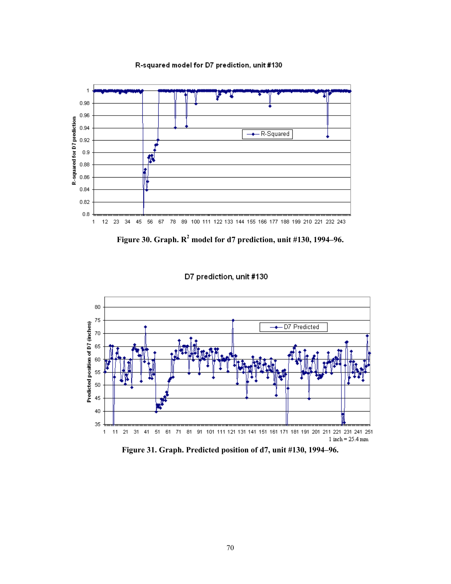R-squared model for D7 prediction, unit #130



Figure 30. Graph. R<sup>2</sup> model for d7 prediction, unit #130, 1994–96.





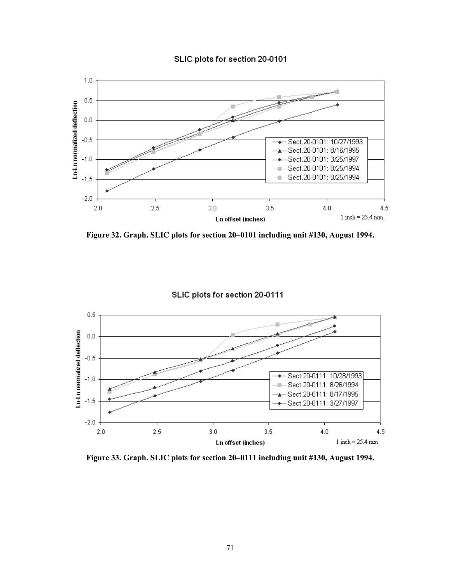



**Figure 32. Graph. SLIC plots for section 20–0101 including unit #130, August 1994.** 



SLIC plots for section 20-0111

**Figure 33. Graph. SLIC plots for section 20–0111 including unit #130, August 1994.**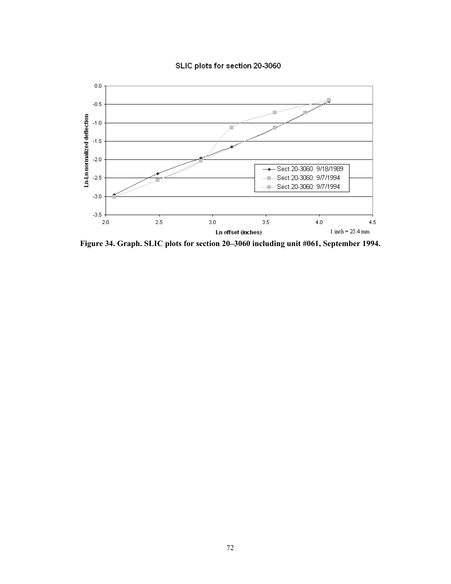



**Figure 34. Graph. SLIC plots for section 20–3060 including unit #061, September 1994.**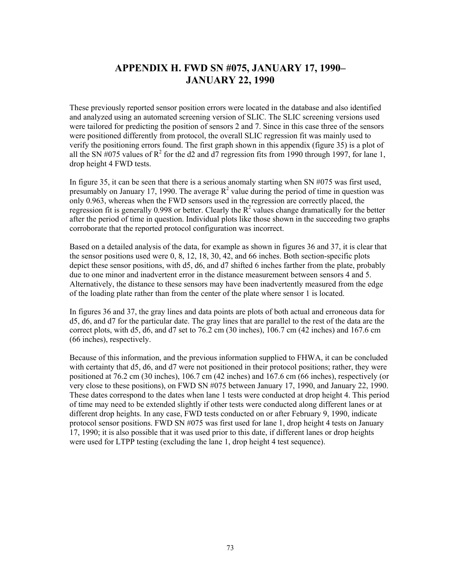# **APPENDIX H. FWD SN #075, JANUARY 17, 1990– JANUARY 22, 1990**

These previously reported sensor position errors were located in the database and also identified and analyzed using an automated screening version of SLIC. The SLIC screening versions used were tailored for predicting the position of sensors 2 and 7. Since in this case three of the sensors were positioned differently from protocol, the overall SLIC regression fit was mainly used to verify the positioning errors found. The first graph shown in this appendix (figure 35) is a plot of all the SN  $\#075$  values of R<sup>2</sup> for the d2 and d7 regression fits from 1990 through 1997, for lane 1, drop height 4 FWD tests.

In figure 35, it can be seen that there is a serious anomaly starting when SN #075 was first used, presumably on January 17, 1990. The average  $R^2$  value during the period of time in question was only 0.963, whereas when the FWD sensors used in the regression are correctly placed, the regression fit is generally 0.998 or better. Clearly the  $R^2$  values change dramatically for the better after the period of time in question. Individual plots like those shown in the succeeding two graphs corroborate that the reported protocol configuration was incorrect.

Based on a detailed analysis of the data, for example as shown in figures 36 and 37, it is clear that the sensor positions used were 0, 8, 12, 18, 30, 42, and 66 inches. Both section-specific plots depict these sensor positions, with d5, d6, and d7 shifted 6 inches farther from the plate, probably due to one minor and inadvertent error in the distance measurement between sensors 4 and 5. Alternatively, the distance to these sensors may have been inadvertently measured from the edge of the loading plate rather than from the center of the plate where sensor 1 is located.

In figures 36 and 37, the gray lines and data points are plots of both actual and erroneous data for d5, d6, and d7 for the particular date. The gray lines that are parallel to the rest of the data are the correct plots, with d5, d6, and d7 set to 76.2 cm (30 inches), 106.7 cm (42 inches) and 167.6 cm (66 inches), respectively.

Because of this information, and the previous information supplied to FHWA, it can be concluded with certainty that d5, d6, and d7 were not positioned in their protocol positions; rather, they were positioned at 76.2 cm (30 inches), 106.7 cm (42 inches) and 167.6 cm (66 inches), respectively (or very close to these positions), on FWD SN #075 between January 17, 1990, and January 22, 1990. These dates correspond to the dates when lane 1 tests were conducted at drop height 4. This period of time may need to be extended slightly if other tests were conducted along different lanes or at different drop heights. In any case, FWD tests conducted on or after February 9, 1990, indicate protocol sensor positions. FWD SN #075 was first used for lane 1, drop height 4 tests on January 17, 1990; it is also possible that it was used prior to this date, if different lanes or drop heights were used for LTPP testing (excluding the lane 1, drop height 4 test sequence).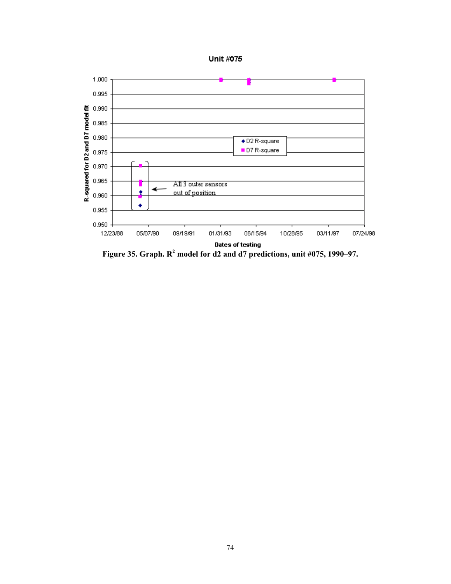



Figure 35. Graph.  $R^2$  model for d2 and d7 predictions, unit #075, 1990–97.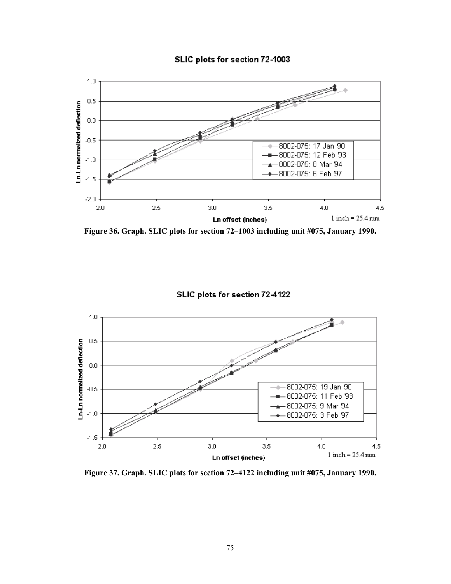



**Figure 36. Graph. SLIC plots for section 72–1003 including unit #075, January 1990.** 



**Figure 37. Graph. SLIC plots for section 72–4122 including unit #075, January 1990.**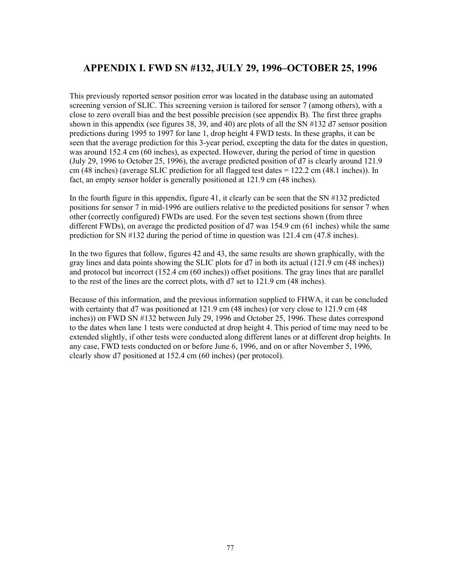## **APPENDIX I. FWD SN #132, JULY 29, 1996–OCTOBER 25, 1996**

This previously reported sensor position error was located in the database using an automated screening version of SLIC. This screening version is tailored for sensor 7 (among others), with a close to zero overall bias and the best possible precision (see appendix B). The first three graphs shown in this appendix (see figures 38, 39, and 40) are plots of all the SN #132 d7 sensor position predictions during 1995 to 1997 for lane 1, drop height 4 FWD tests. In these graphs, it can be seen that the average prediction for this 3-year period, excepting the data for the dates in question, was around 152.4 cm (60 inches), as expected. However, during the period of time in question (July 29, 1996 to October 25, 1996), the average predicted position of d7 is clearly around 121.9 cm (48 inches) (average SLIC prediction for all flagged test dates = 122.2 cm (48.1 inches)). In fact, an empty sensor holder is generally positioned at 121.9 cm (48 inches).

In the fourth figure in this appendix, figure 41, it clearly can be seen that the SN #132 predicted positions for sensor 7 in mid-1996 are outliers relative to the predicted positions for sensor 7 when other (correctly configured) FWDs are used. For the seven test sections shown (from three different FWDs), on average the predicted position of d7 was 154.9 cm (61 inches) while the same prediction for SN #132 during the period of time in question was 121.4 cm (47.8 inches).

In the two figures that follow, figures 42 and 43, the same results are shown graphically, with the gray lines and data points showing the SLIC plots for d7 in both its actual (121.9 cm (48 inches)) and protocol but incorrect (152.4 cm (60 inches)) offset positions. The gray lines that are parallel to the rest of the lines are the correct plots, with d7 set to 121.9 cm (48 inches).

Because of this information, and the previous information supplied to FHWA, it can be concluded with certainty that d7 was positioned at 121.9 cm (48 inches) (or very close to 121.9 cm (48 inches)) on FWD SN #132 between July 29, 1996 and October 25, 1996. These dates correspond to the dates when lane 1 tests were conducted at drop height 4. This period of time may need to be extended slightly, if other tests were conducted along different lanes or at different drop heights. In any case, FWD tests conducted on or before June 6, 1996, and on or after November 5, 1996, clearly show d7 positioned at 152.4 cm (60 inches) (per protocol).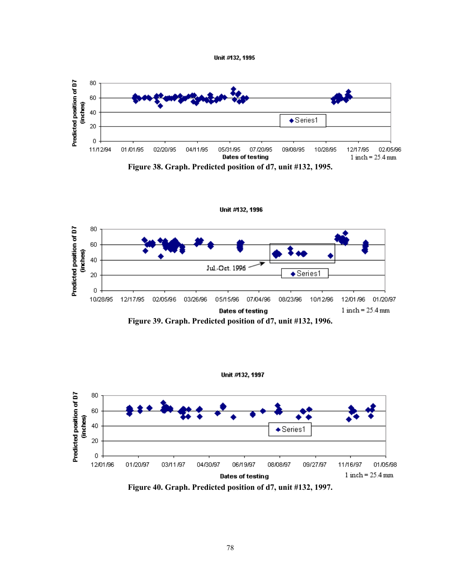







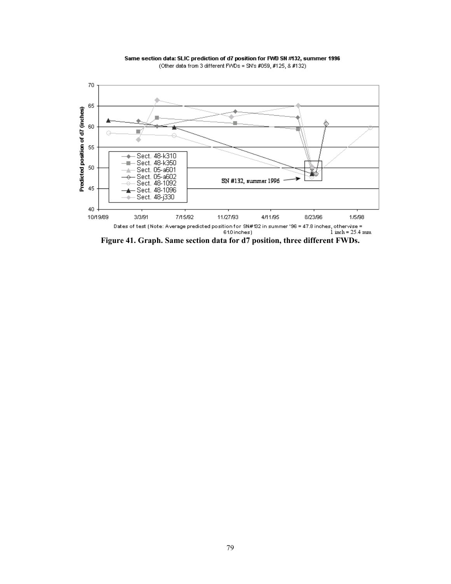

Same section data: SLIC prediction of d7 position for FWD SN #132, summer 1996 (Other data from 3 different FWDs = SN's #059, #125, & #132)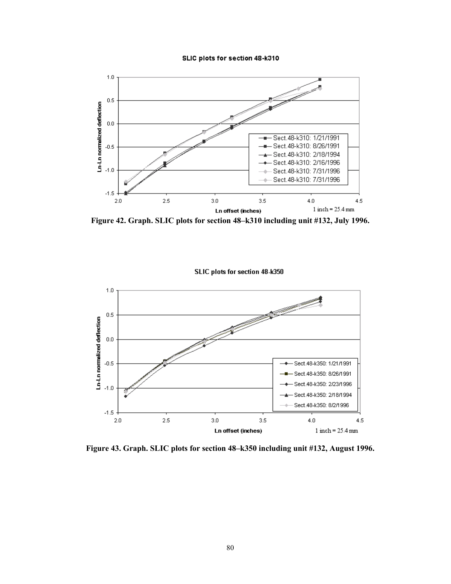#### SLIC plots for section 48-k310



**Figure 42. Graph. SLIC plots for section 48–k310 including unit #132, July 1996.** 



**Figure 43. Graph. SLIC plots for section 48–k350 including unit #132, August 1996.**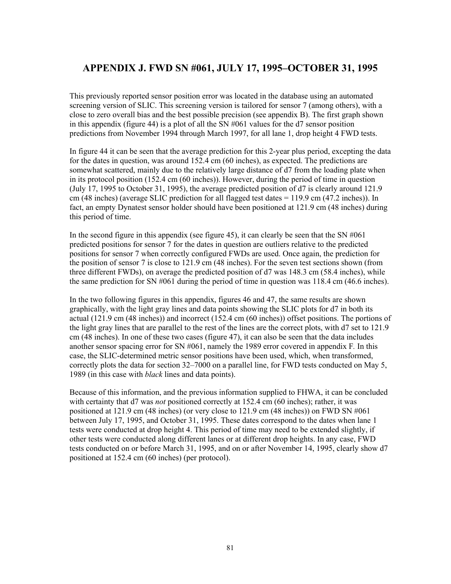## **APPENDIX J. FWD SN #061, JULY 17, 1995–OCTOBER 31, 1995**

This previously reported sensor position error was located in the database using an automated screening version of SLIC. This screening version is tailored for sensor 7 (among others), with a close to zero overall bias and the best possible precision (see appendix B). The first graph shown in this appendix (figure 44) is a plot of all the SN #061 values for the d7 sensor position predictions from November 1994 through March 1997, for all lane 1, drop height 4 FWD tests.

In figure 44 it can be seen that the average prediction for this 2-year plus period, excepting the data for the dates in question, was around 152.4 cm (60 inches), as expected. The predictions are somewhat scattered, mainly due to the relatively large distance of d7 from the loading plate when in its protocol position (152.4 cm (60 inches)). However, during the period of time in question (July 17, 1995 to October 31, 1995), the average predicted position of d7 is clearly around 121.9 cm (48 inches) (average SLIC prediction for all flagged test dates = 119.9 cm (47.2 inches)). In fact, an empty Dynatest sensor holder should have been positioned at 121.9 cm (48 inches) during this period of time.

In the second figure in this appendix (see figure 45), it can clearly be seen that the SN  $\text{\#061}$ predicted positions for sensor 7 for the dates in question are outliers relative to the predicted positions for sensor 7 when correctly configured FWDs are used. Once again, the prediction for the position of sensor 7 is close to 121.9 cm (48 inches). For the seven test sections shown (from three different FWDs), on average the predicted position of d7 was 148.3 cm (58.4 inches), while the same prediction for SN #061 during the period of time in question was 118.4 cm (46.6 inches).

In the two following figures in this appendix, figures 46 and 47, the same results are shown graphically, with the light gray lines and data points showing the SLIC plots for d7 in both its actual (121.9 cm (48 inches)) and incorrect (152.4 cm (60 inches)) offset positions. The portions of the light gray lines that are parallel to the rest of the lines are the correct plots, with d7 set to 121.9 cm (48 inches). In one of these two cases (figure 47), it can also be seen that the data includes another sensor spacing error for SN #061, namely the 1989 error covered in appendix F*.* In this case, the SLIC-determined metric sensor positions have been used, which, when transformed, correctly plots the data for section 32–7000 on a parallel line, for FWD tests conducted on May 5, 1989 (in this case with *black* lines and data points).

Because of this information, and the previous information supplied to FHWA, it can be concluded with certainty that d7 was *not* positioned correctly at 152.4 cm (60 inches); rather, it was positioned at 121.9 cm (48 inches) (or very close to 121.9 cm (48 inches)) on FWD SN #061 between July 17, 1995, and October 31, 1995. These dates correspond to the dates when lane 1 tests were conducted at drop height 4. This period of time may need to be extended slightly, if other tests were conducted along different lanes or at different drop heights. In any case, FWD tests conducted on or before March 31, 1995, and on or after November 14, 1995, clearly show d7 positioned at 152.4 cm (60 inches) (per protocol).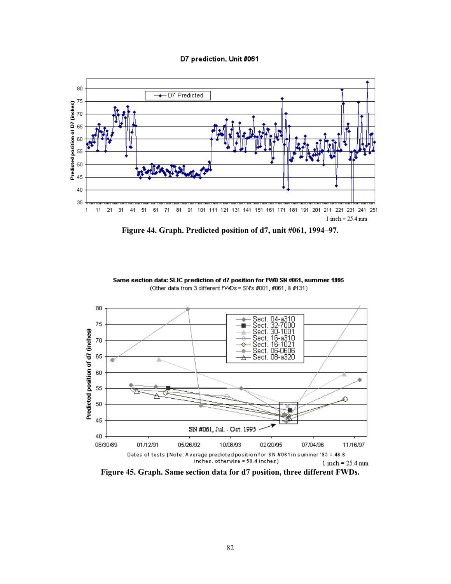#### D7 prediction, Unit #061



**Figure 44. Graph. Predicted position of d7, unit #061, 1994–97.** 



Same section data: SLIC prediction of d7 position for FWD SN #061, summer 1995 (Other data from 3 different FWDs = SN's #001, #061, & #131)

**Figure 45. Graph. Same section data for d7 position, three different FWDs.**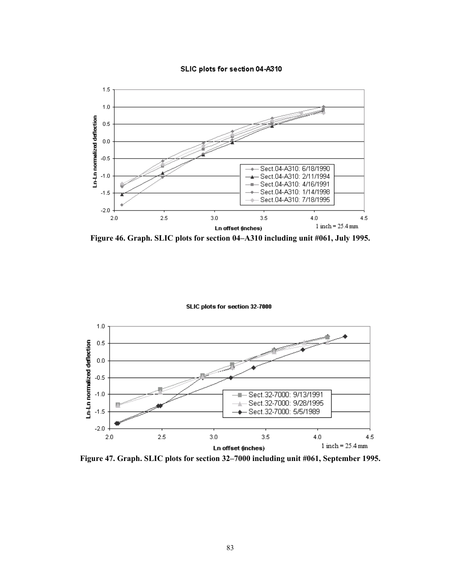



**Figure 46. Graph. SLIC plots for section 04–A310 including unit #061, July 1995.** 

SLIC plots for section 32-7000



**Figure 47. Graph. SLIC plots for section 32–7000 including unit #061, September 1995.**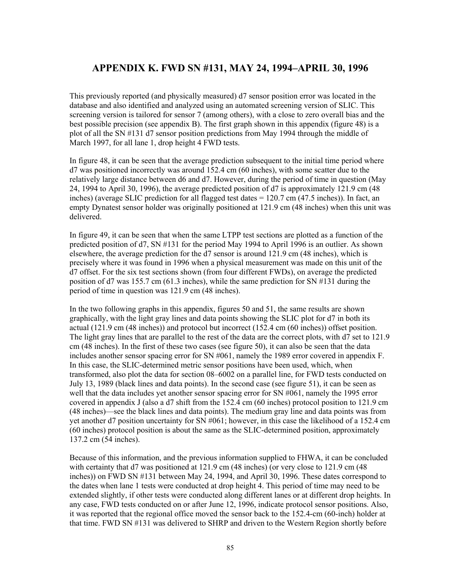## **APPENDIX K. FWD SN #131, MAY 24, 1994–APRIL 30, 1996**

This previously reported (and physically measured) d7 sensor position error was located in the database and also identified and analyzed using an automated screening version of SLIC. This screening version is tailored for sensor 7 (among others), with a close to zero overall bias and the best possible precision (see appendix B). The first graph shown in this appendix (figure 48) is a plot of all the SN #131 d7 sensor position predictions from May 1994 through the middle of March 1997, for all lane 1, drop height 4 FWD tests.

In figure 48, it can be seen that the average prediction subsequent to the initial time period where d7 was positioned incorrectly was around 152.4 cm (60 inches), with some scatter due to the relatively large distance between d6 and d7. However, during the period of time in question (May 24, 1994 to April 30, 1996), the average predicted position of d7 is approximately 121.9 cm (48 inches) (average SLIC prediction for all flagged test dates = 120.7 cm (47.5 inches)). In fact, an empty Dynatest sensor holder was originally positioned at 121.9 cm (48 inches) when this unit was delivered.

In figure 49, it can be seen that when the same LTPP test sections are plotted as a function of the predicted position of d7, SN #131 for the period May 1994 to April 1996 is an outlier. As shown elsewhere, the average prediction for the d7 sensor is around 121.9 cm (48 inches), which is precisely where it was found in 1996 when a physical measurement was made on this unit of the d7 offset. For the six test sections shown (from four different FWDs), on average the predicted position of d7 was 155.7 cm (61.3 inches), while the same prediction for SN #131 during the period of time in question was 121.9 cm (48 inches).

In the two following graphs in this appendix, figures 50 and 51, the same results are shown graphically, with the light gray lines and data points showing the SLIC plot for d7 in both its actual (121.9 cm (48 inches)) and protocol but incorrect (152.4 cm (60 inches)) offset position. The light gray lines that are parallel to the rest of the data are the correct plots, with d7 set to 121.9 cm (48 inches). In the first of these two cases (see figure 50), it can also be seen that the data includes another sensor spacing error for SN #061, namely the 1989 error covered in appendix F. In this case, the SLIC-determined metric sensor positions have been used, which, when transformed, also plot the data for section 08–6002 on a parallel line, for FWD tests conducted on July 13, 1989 (black lines and data points). In the second case (see figure 51), it can be seen as well that the data includes yet another sensor spacing error for SN #061, namely the 1995 error covered in appendix J (also a d7 shift from the 152.4 cm (60 inches) protocol position to 121.9 cm (48 inches)—see the black lines and data points). The medium gray line and data points was from yet another d7 position uncertainty for SN #061; however, in this case the likelihood of a 152.4 cm (60 inches) protocol position is about the same as the SLIC-determined position, approximately 137.2 cm (54 inches).

Because of this information, and the previous information supplied to FHWA, it can be concluded with certainty that d7 was positioned at 121.9 cm (48 inches) (or very close to 121.9 cm (48 inches)) on FWD SN #131 between May 24, 1994, and April 30, 1996. These dates correspond to the dates when lane 1 tests were conducted at drop height 4. This period of time may need to be extended slightly, if other tests were conducted along different lanes or at different drop heights. In any case, FWD tests conducted on or after June 12, 1996, indicate protocol sensor positions. Also, it was reported that the regional office moved the sensor back to the 152.4-cm (60-inch) holder at that time. FWD SN #131 was delivered to SHRP and driven to the Western Region shortly before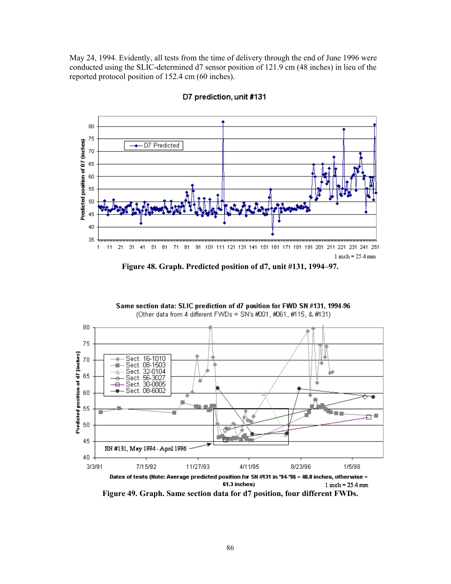May 24, 1994. Evidently, all tests from the time of delivery through the end of June 1996 were conducted using the SLIC-determined d7 sensor position of 121.9 cm (48 inches) in lieu of the reported protocol position of 152.4 cm (60 inches).



D7 prediction, unit #131



Same section data: SLIC prediction of d7 position for FWD SN #131, 1994-96 (Other data from 4 different FWDs = SN's #001, #061, #115, & #131)



**Figure 49. Graph. Same section data for d7 position, four different FWDs.**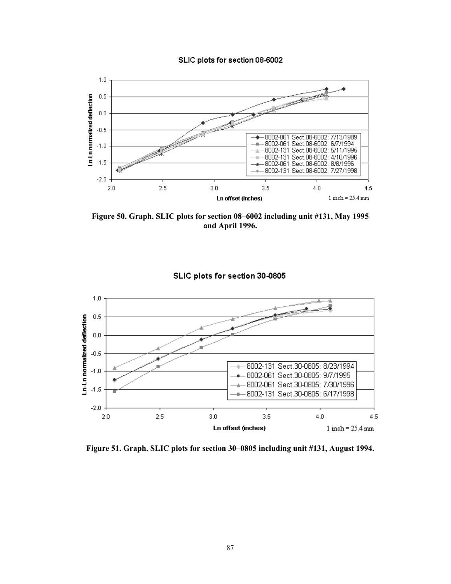#### SLIC plots for section 08-6002



**Figure 50. Graph. SLIC plots for section 08–6002 including unit #131, May 1995 and April 1996.** 



SLIC plots for section 30-0805

**Figure 51. Graph. SLIC plots for section 30–0805 including unit #131, August 1994.**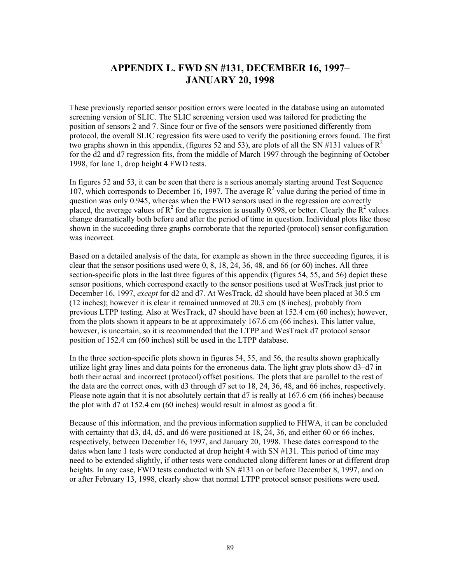# **APPENDIX L. FWD SN #131, DECEMBER 16, 1997– JANUARY 20, 1998**

These previously reported sensor position errors were located in the database using an automated screening version of SLIC. The SLIC screening version used was tailored for predicting the position of sensors 2 and 7. Since four or five of the sensors were positioned differently from protocol, the overall SLIC regression fits were used to verify the positioning errors found. The first two graphs shown in this appendix, (figures 52 and 53), are plots of all the SN #131 values of  $R^2$ for the d2 and d7 regression fits, from the middle of March 1997 through the beginning of October 1998, for lane 1, drop height 4 FWD tests.

In figures 52 and 53, it can be seen that there is a serious anomaly starting around Test Sequence 107, which corresponds to December 16, 1997. The average  $R^2$  value during the period of time in question was only 0.945, whereas when the FWD sensors used in the regression are correctly placed, the average values of  $R^2$  for the regression is usually 0.998, or better. Clearly the  $R^2$  values change dramatically both before and after the period of time in question. Individual plots like those shown in the succeeding three graphs corroborate that the reported (protocol) sensor configuration was incorrect.

Based on a detailed analysis of the data, for example as shown in the three succeeding figures, it is clear that the sensor positions used were 0, 8, 18, 24, 36, 48, and 66 (or 60) inches. All three section-specific plots in the last three figures of this appendix (figures 54, 55, and 56) depict these sensor positions, which correspond exactly to the sensor positions used at WesTrack just prior to December 16, 1997, *except* for d2 and d7. At WesTrack, d2 should have been placed at 30.5 cm (12 inches); however it is clear it remained unmoved at 20.3 cm (8 inches), probably from previous LTPP testing. Also at WesTrack, d7 should have been at 152.4 cm (60 inches); however, from the plots shown it appears to be at approximately 167.6 cm (66 inches). This latter value, however, is uncertain, so it is recommended that the LTPP and WesTrack d7 protocol sensor position of 152.4 cm (60 inches) still be used in the LTPP database.

In the three section-specific plots shown in figures 54, 55, and 56, the results shown graphically utilize light gray lines and data points for the erroneous data. The light gray plots show d3–d7 in both their actual and incorrect (protocol) offset positions. The plots that are parallel to the rest of the data are the correct ones, with d3 through d7 set to 18, 24, 36, 48, and 66 inches, respectively. Please note again that it is not absolutely certain that d7 is really at 167.6 cm (66 inches) because the plot with d7 at 152.4 cm (60 inches) would result in almost as good a fit.

Because of this information, and the previous information supplied to FHWA, it can be concluded with certainty that d3, d4, d5, and d6 were positioned at 18, 24, 36, and either 60 or 66 inches, respectively, between December 16, 1997, and January 20, 1998. These dates correspond to the dates when lane 1 tests were conducted at drop height 4 with SN #131. This period of time may need to be extended slightly, if other tests were conducted along different lanes or at different drop heights. In any case, FWD tests conducted with SN #131 on or before December 8, 1997, and on or after February 13, 1998, clearly show that normal LTPP protocol sensor positions were used.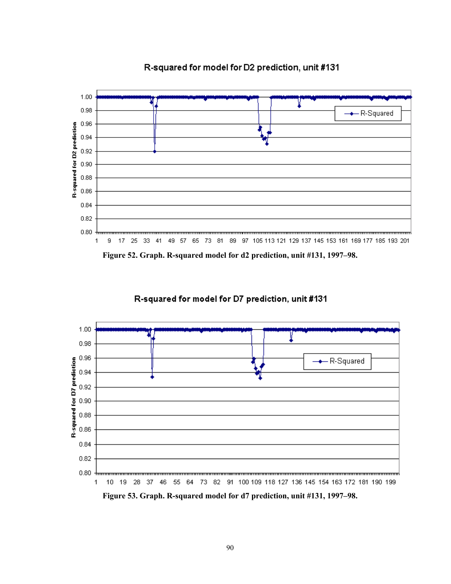

R-squared for model for D2 prediction, unit #131

**Figure 52. Graph. R-squared model for d2 prediction, unit #131, 1997–98.** 

R-squared for model for D7 prediction, unit #131



**Figure 53. Graph. R-squared model for d7 prediction, unit #131, 1997–98.**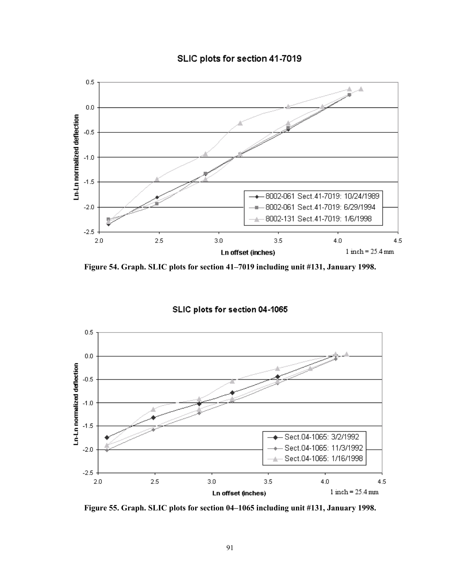



**Figure 54. Graph. SLIC plots for section 41–7019 including unit #131, January 1998.** 





**Figure 55. Graph. SLIC plots for section 04–1065 including unit #131, January 1998.**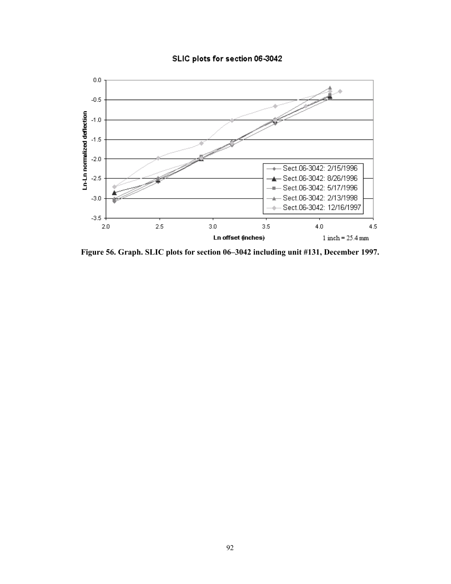### SLIC plots for section 06-3042



**Figure 56. Graph. SLIC plots for section 06–3042 including unit #131, December 1997.**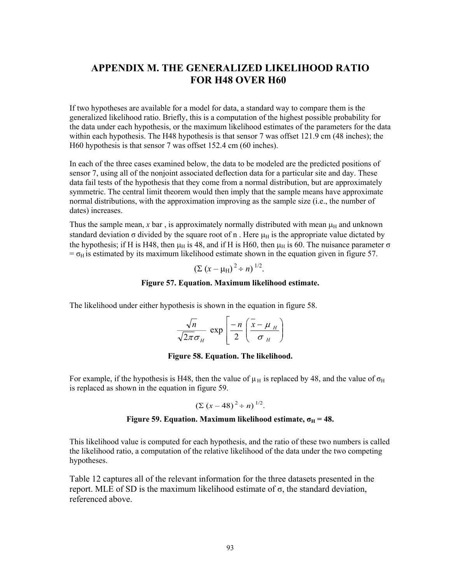# **APPENDIX M. THE GENERALIZED LIKELIHOOD RATIO FOR H48 OVER H60**

If two hypotheses are available for a model for data, a standard way to compare them is the generalized likelihood ratio. Briefly, this is a computation of the highest possible probability for the data under each hypothesis, or the maximum likelihood estimates of the parameters for the data within each hypothesis. The H48 hypothesis is that sensor 7 was offset 121.9 cm (48 inches); the H60 hypothesis is that sensor 7 was offset 152.4 cm (60 inches).

In each of the three cases examined below, the data to be modeled are the predicted positions of sensor 7, using all of the nonjoint associated deflection data for a particular site and day. These data fail tests of the hypothesis that they come from a normal distribution, but are approximately symmetric. The central limit theorem would then imply that the sample means have approximate normal distributions, with the approximation improving as the sample size (i.e., the number of dates) increases.

Thus the sample mean, *x* bar, is approximately normally distributed with mean  $\mu_H$  and unknown standard deviation  $\sigma$  divided by the square root of n. Here  $\mu$ <sup>H</sup> is the appropriate value dictated by the hypothesis; if H is H48, then  $\mu_H$  is 48, and if H is H60, then  $\mu_H$  is 60. The nuisance parameter  $\sigma$  $=$   $\sigma$ <sub>H</sub> is estimated by its maximum likelihood estimate shown in the equation given in figure 57.

$$
(\Sigma (x - \mu_{\rm H})^2 \div n)^{1/2}.
$$

#### **Figure 57. Equation. Maximum likelihood estimate.**

The likelihood under either hypothesis is shown in the equation in figure 58.

$$
\frac{\sqrt{n}}{\sqrt{2\pi}\sigma_H} \exp\left[\frac{-n}{2}\left(\frac{\bar{x} - \mu_H}{\sigma_H}\right)\right]
$$

#### **Figure 58. Equation. The likelihood.**

For example, if the hypothesis is H48, then the value of  $\mu_H$  is replaced by 48, and the value of  $\sigma_H$ is replaced as shown in the equation in figure 59.

$$
(\Sigma (x-48)^2 \div n)^{1/2}.
$$

#### **Figure 59. Equation. Maximum likelihood estimate,**  $\sigma_H = 48$ **.**

This likelihood value is computed for each hypothesis, and the ratio of these two numbers is called the likelihood ratio, a computation of the relative likelihood of the data under the two competing hypotheses.

Table 12 captures all of the relevant information for the three datasets presented in the report. MLE of SD is the maximum likelihood estimate of  $σ$ , the standard deviation, referenced above.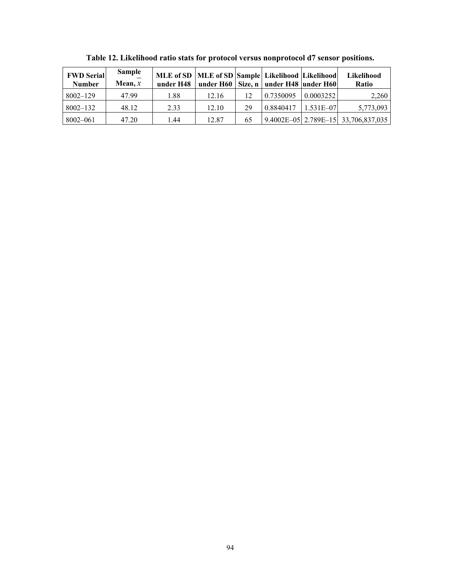| <b>FWD Serial</b><br><b>Number</b> | <b>Sample</b><br>Mean, $x$ | MLE of SD   MLE of SD   Sample   Likelihood   Likelihood  <br>under H48 |       |    | under H60   Size, n   under H48   under H60 |               | Likelihood<br><b>Ratio</b>                  |
|------------------------------------|----------------------------|-------------------------------------------------------------------------|-------|----|---------------------------------------------|---------------|---------------------------------------------|
| $8002 - 129$                       | 47.99                      | 1.88                                                                    | 12.16 | 12 | 0.7350095                                   | 0.0003252     | 2,260                                       |
| $8002 - 132$                       | 48.12                      | 2.33                                                                    | 12.10 | 29 | 0.8840417                                   | $1.531E - 07$ | 5,773,093                                   |
| 8002-061                           | 47.20                      | 1.44                                                                    | 12.87 | 65 |                                             |               | $\vert$ 9.4002E-05 2.789E-15 33,706,837,035 |

**Table 12. Likelihood ratio stats for protocol versus nonprotocol d7 sensor positions.**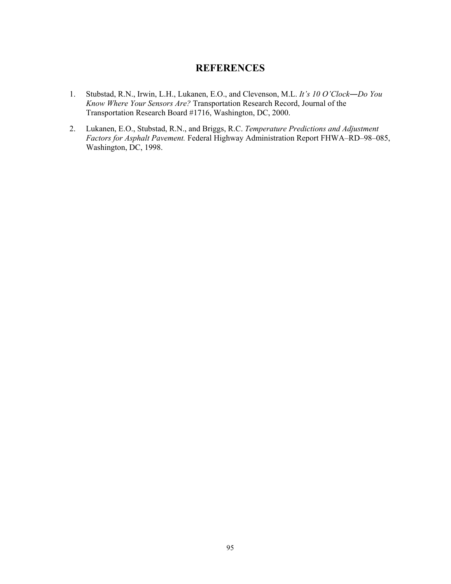## **REFERENCES**

- 1. Stubstad, R.N., Irwin, L.H., Lukanen, E.O., and Clevenson, M.L. *It's 10 O'Clock―Do You Know Where Your Sensors Are?* Transportation Research Record, Journal of the Transportation Research Board #1716, Washington, DC, 2000.
- 2. Lukanen, E.O., Stubstad, R.N., and Briggs, R.C. *Temperature Predictions and Adjustment Factors for Asphalt Pavement.* Federal Highway Administration Report FHWA–RD–98–085, Washington, DC, 1998.